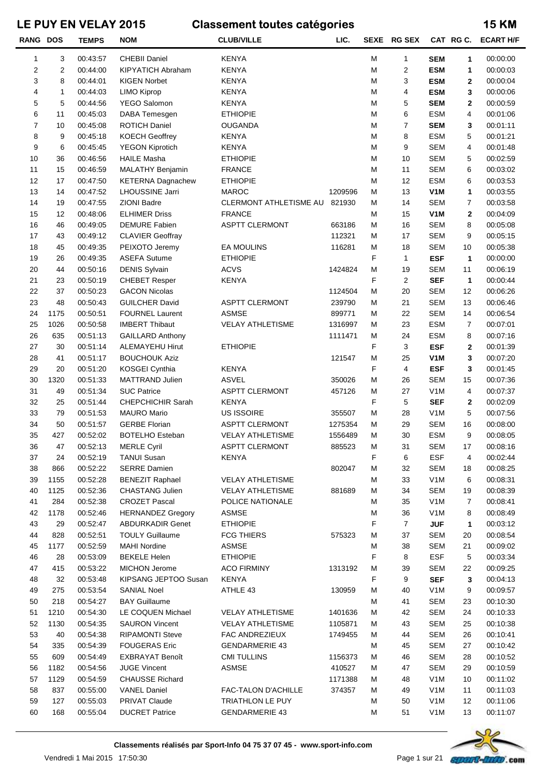| <b>RANG DOS</b> |                | <b>TEMPS</b> | <b>NOM</b>               | <b>CLUB/VILLE</b>       | LIC.    |   | SEXE RG SEX    |                  |                | CAT RG C. ECART H/F |
|-----------------|----------------|--------------|--------------------------|-------------------------|---------|---|----------------|------------------|----------------|---------------------|
| 1               | 3              | 00:43:57     | <b>CHEBII Daniel</b>     | <b>KENYA</b>            |         | М | 1              | <b>SEM</b>       | 1              | 00:00:00            |
| 2               | $\overline{c}$ | 00:44:00     | <b>KIPYATICH Abraham</b> | <b>KENYA</b>            |         | М | $\overline{c}$ | <b>ESM</b>       | 1              | 00:00:03            |
| 3               | 8              | 00:44:01     | <b>KIGEN Norbet</b>      | <b>KENYA</b>            |         | М | 3              | <b>ESM</b>       | $\mathbf{2}$   | 00:00:04            |
| 4               | 1              | 00:44:03     | LIMO Kiprop              | <b>KENYA</b>            |         | М | 4              | <b>ESM</b>       | 3              | 00:00:06            |
| 5               | 5              | 00:44:56     | YEGO Salomon             | <b>KENYA</b>            |         | М | 5              | <b>SEM</b>       | $\mathbf{2}$   | 00:00:59            |
| 6               | 11             | 00:45:03     | DABA Temesgen            | <b>ETHIOPIE</b>         |         | M | 6              | <b>ESM</b>       | 4              | 00:01:06            |
| 7               | 10             | 00:45:08     | <b>ROTICH Daniel</b>     | <b>OUGANDA</b>          |         | М | $\overline{7}$ | <b>SEM</b>       | 3              | 00:01:11            |
| 8               | 9              | 00:45:18     | <b>KOECH Geoffrey</b>    | <b>KENYA</b>            |         | M | 8              | <b>ESM</b>       | 5              | 00:01:21            |
| 9               | 6              | 00:45:45     | <b>YEGON Kiprotich</b>   | <b>KENYA</b>            |         | M | 9              | <b>SEM</b>       | 4              | 00:01:48            |
| 10              | 36             | 00:46:56     | <b>HAILE Masha</b>       | <b>ETHIOPIE</b>         |         | M | 10             | <b>SEM</b>       | 5              | 00:02:59            |
| 11              | 15             | 00:46:59     | <b>MALATHY Benjamin</b>  | <b>FRANCE</b>           |         | M | 11             | <b>SEM</b>       | 6              | 00:03:02            |
| 12              | 17             | 00:47:50     | <b>KETERNA Dagnachew</b> | <b>ETHIOPIE</b>         |         | М | 12             | <b>ESM</b>       | 6              | 00:03:53            |
| 13              | 14             | 00:47:52     | LHOUSSINE Jarri          | <b>MAROC</b>            | 1209596 | М | 13             | V <sub>1</sub> M | 1              | 00:03:55            |
| 14              | 19             | 00:47:55     | <b>ZIONI Badre</b>       | CLERMONT ATHLETISME AU  | 821930  | М | 14             | <b>SEM</b>       | $\overline{7}$ | 00:03:58            |
| 15              | 12             | 00:48:06     | <b>ELHIMER Driss</b>     | <b>FRANCE</b>           |         | М | 15             | V <sub>1</sub> M | $\mathbf{2}$   | 00:04:09            |
| 16              | 46             | 00:49:05     | <b>DEMURE Fabien</b>     | <b>ASPTT CLERMONT</b>   | 663186  | М | 16             | <b>SEM</b>       | 8              | 00:05:08            |
| 17              | 43             | 00:49:12     | <b>CLAVIER Geoffray</b>  |                         | 112321  | М | 17             | <b>SEM</b>       | 9              | 00:05:15            |
| 18              | 45             | 00:49:35     | PEIXOTO Jeremy           | <b>EA MOULINS</b>       | 116281  | М | 18             | <b>SEM</b>       | 10             | 00:05:38            |
| 19              | 26             | 00:49:35     | <b>ASEFA Sutume</b>      | <b>ETHIOPIE</b>         |         | F | $\mathbf{1}$   | <b>ESF</b>       | 1              | 00:00:00            |
| 20              | 44             | 00:50:16     | <b>DENIS Sylvain</b>     | <b>ACVS</b>             | 1424824 | М | 19             | <b>SEM</b>       | 11             | 00:06:19            |
| 21              | 23             | 00:50:19     | <b>CHEBET Resper</b>     | <b>KENYA</b>            |         | F | $\overline{2}$ | <b>SEF</b>       | 1              | 00:00:44            |
| 22              | 37             | 00:50:23     | <b>GACON Nicolas</b>     |                         | 1124504 | M | 20             | <b>SEM</b>       | 12             | 00:06:26            |
| 23              | 48             | 00:50:43     | <b>GUILCHER David</b>    | <b>ASPTT CLERMONT</b>   | 239790  | М | 21             | <b>SEM</b>       | 13             | 00:06:46            |
| 24              | 1175           | 00:50:51     | <b>FOURNEL Laurent</b>   | <b>ASMSE</b>            | 899771  | М | 22             | <b>SEM</b>       | 14             | 00:06:54            |
| 25              | 1026           | 00:50:58     | <b>IMBERT Thibaut</b>    | <b>VELAY ATHLETISME</b> | 1316997 | М | 23             | <b>ESM</b>       | $\overline{7}$ | 00:07:01            |
| 26              | 635            | 00:51:13     | <b>GAILLARD Anthony</b>  |                         | 1111471 | М | 24             | <b>ESM</b>       | 8              | 00:07:16            |
| 27              | 30             | 00:51:14     | <b>ALEMAYEHU Hirut</b>   | <b>ETHIOPIE</b>         |         | F | 3              | <b>ESF</b>       | $\mathbf{2}$   | 00:01:39            |
| 28              | 41             | 00:51:17     | <b>BOUCHOUK Aziz</b>     |                         | 121547  | M | 25             | V <sub>1</sub> M | 3              | 00:07:20            |
| 29              | 20             | 00:51:20     | KOSGEI Cynthia           | <b>KENYA</b>            |         | F | 4              | <b>ESF</b>       | 3              | 00:01:45            |
| 30              | 1320           | 00:51:33     | MATTRAND Julien          | <b>ASVEL</b>            | 350026  | M | 26             | <b>SEM</b>       | 15             | 00:07:36            |
| 31              | 49             | 00:51:34     | <b>SUC Patrice</b>       | <b>ASPTT CLERMONT</b>   | 457126  | М | 27             | V <sub>1</sub> M | 4              | 00:07:37            |
| 32              | 25             | 00:51:44     | CHEPCHICHIR Sarah        | <b>KENYA</b>            |         | F | 5              | <b>SEF</b>       | $\mathbf{2}$   | 00:02:09            |
| 33              | 79             | 00:51:53     | <b>MAURO Mario</b>       | <b>US ISSOIRE</b>       | 355507  | М | 28             | V1M              | 5              | 00:07:56            |
| 34              | 50             | 00:51:57     | <b>GERBE Florian</b>     | <b>ASPTT CLERMONT</b>   | 1275354 | М | 29             | <b>SEM</b>       | 16             | 00:08:00            |
| 35              | 427            | 00:52:02     | <b>BOTELHO Esteban</b>   | <b>VELAY ATHLETISME</b> | 1556489 | М | 30             | <b>ESM</b>       | 9              | 00:08:05            |
| 36              | 47             | 00:52:13     | <b>MERLE Cyril</b>       | <b>ASPTT CLERMONT</b>   | 885523  | м | 31             | SEM              | 17             | 00:08:16            |
| 37              | 24             | 00:52:19     | <b>TANUI Susan</b>       | KENYA                   |         | F | 6              | <b>ESF</b>       | 4              | 00:02:44            |
| 38              | 866            | 00:52:22     | <b>SERRE Damien</b>      |                         | 802047  | М | 32             | SEM              | 18             | 00:08:25            |
| 39              | 1155           | 00:52:28     | <b>BENEZIT Raphael</b>   | <b>VELAY ATHLETISME</b> |         | М | 33             | V <sub>1</sub> M | 6              | 00:08:31            |
| 40              | 1125           | 00:52:36     | <b>CHASTANG Julien</b>   | <b>VELAY ATHLETISME</b> | 881689  | М | 34             | <b>SEM</b>       | 19             | 00:08:39            |
| 41              | 284            | 00:52:38     | <b>CROZET Pascal</b>     | POLICE NATIONALE        |         | Μ | 35             | V <sub>1</sub> M | $\overline{7}$ | 00:08:41            |
| 42              | 1178           | 00:52:46     | <b>HERNANDEZ Gregory</b> | <b>ASMSE</b>            |         | M | 36             | V <sub>1</sub> M | 8              | 00:08:49            |
| 43              | 29             | 00:52:47     | <b>ABDURKADIR Genet</b>  | <b>ETHIOPIE</b>         |         | F | $\overline{7}$ | <b>JUF</b>       | 1              | 00:03:12            |
| 44              | 828            | 00:52:51     | <b>TOULY Guillaume</b>   | <b>FCG THIERS</b>       | 575323  | М | 37             | <b>SEM</b>       | 20             | 00:08:54            |
| 45              | 1177           | 00:52:59     | <b>MAHI Nordine</b>      | <b>ASMSE</b>            |         | М | 38             | <b>SEM</b>       | 21             | 00:09:02            |
| 46              | 28             | 00:53:09     | <b>BEKELE Helen</b>      | <b>ETHIOPIE</b>         |         | F | 8              | <b>ESF</b>       | 5              | 00:03:34            |
| 47              | 415            | 00:53:22     | MICHON Jerome            | <b>ACO FIRMINY</b>      | 1313192 | М | 39             | SEM              | 22             | 00:09:25            |
| 48              | 32             | 00:53:48     | KIPSANG JEPTOO Susan     | <b>KENYA</b>            |         | F | 9              | <b>SEF</b>       | 3              | 00:04:13            |
| 49              | 275            | 00:53:54     | SANIAL Noel              | ATHLE 43                | 130959  | Μ | 40             | V <sub>1</sub> M | 9              | 00:09:57            |
| 50              | 218            | 00:54:27     | <b>BAY Guillaume</b>     |                         |         | Μ | 41             | <b>SEM</b>       | 23             | 00:10:30            |
| 51              | 1210           | 00:54:30     | LE COQUEN Michael        | <b>VELAY ATHLETISME</b> | 1401636 | м | 42             | SEM              | 24             | 00:10:33            |
| 52              | 1130           | 00:54:35     | <b>SAURON Vincent</b>    | <b>VELAY ATHLETISME</b> | 1105871 | м | 43             | <b>SEM</b>       | 25             | 00:10:38            |
| 53              | 40             | 00:54:38     | <b>RIPAMONTI Steve</b>   | FAC ANDREZIEUX          | 1749455 | м | 44             | <b>SEM</b>       | 26             | 00:10:41            |
| 54              | 335            | 00:54:39     | <b>FOUGERAS Eric</b>     | <b>GENDARMERIE 43</b>   |         | М | 45             | <b>SEM</b>       | 27             | 00:10:42            |
| 55              | 609            | 00:54:49     | <b>EXBRAYAT Benoît</b>   | <b>CMI TULLINS</b>      | 1156373 | м | 46             | <b>SEM</b>       | 28             | 00:10:52            |
| 56              | 1182           | 00:54:56     | <b>JUGE Vincent</b>      | <b>ASMSE</b>            | 410527  | м | 47             | <b>SEM</b>       | 29             | 00:10:59            |
| 57              | 1129           | 00:54:59     | <b>CHAUSSE Richard</b>   |                         | 1171388 | м | 48             | V <sub>1</sub> M | 10             | 00:11:02            |
| 58              | 837            | 00:55:00     | <b>VANEL Daniel</b>      | FAC-TALON D'ACHILLE     | 374357  | м | 49             | V <sub>1</sub> M | 11             | 00:11:03            |
| 59              | 127            | 00:55:03     | PRIVAT Claude            | TRIATHLON LE PUY        |         | М | 50             | V <sub>1</sub> M | 12             | 00:11:06            |
| 60              | 168            | 00:55:04     | <b>DUCRET Patrice</b>    | <b>GENDARMERIE 43</b>   |         | М | 51             | V <sub>1</sub> M | 13             | 00:11:07            |
|                 |                |              |                          |                         |         |   |                |                  |                |                     |

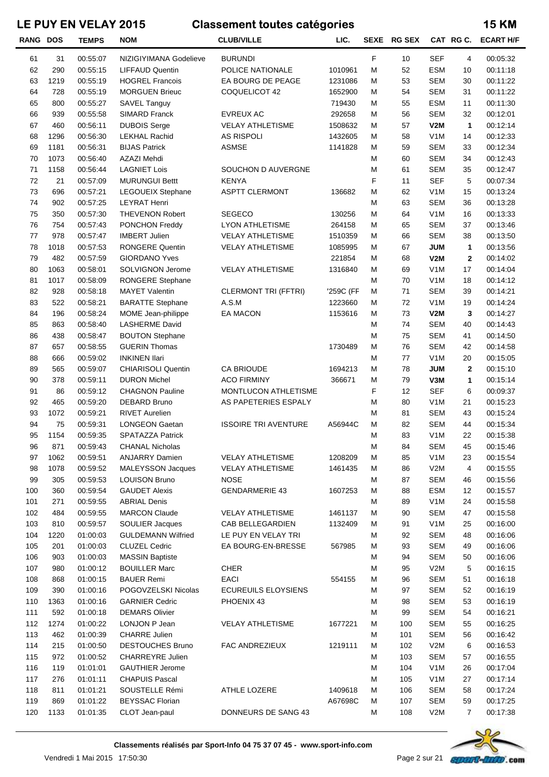| <b>RANG DOS</b> |      | <b>TEMPS</b> | <b>NOM</b>                | <b>CLUB/VILLE</b>           | LIC.      | <b>SEXE</b> | <b>RG SEX</b> |                  | CAT RG C.      | <b>ECART H/F</b> |
|-----------------|------|--------------|---------------------------|-----------------------------|-----------|-------------|---------------|------------------|----------------|------------------|
| 61              | 31   | 00:55:07     | NIZIGIYIMANA Godelieve    | <b>BURUNDI</b>              |           | F           | 10            | <b>SEF</b>       | 4              | 00:05:32         |
| 62              | 290  | 00:55:15     | <b>LIFFAUD Quentin</b>    | POLICE NATIONALE            | 1010961   | M           | 52            | <b>ESM</b>       | 10             | 00:11:18         |
| 63              | 1219 | 00:55:19     | <b>HOGREL Francois</b>    | EA BOURG DE PEAGE           | 1231086   | M           | 53            | <b>SEM</b>       | 30             | 00:11:22         |
| 64              | 728  | 00:55:19     | <b>MORGUEN Brieuc</b>     | COQUELICOT 42               | 1652900   | M           | 54            | <b>SEM</b>       | 31             | 00:11:22         |
| 65              | 800  | 00:55:27     | SAVEL Tanguy              |                             | 719430    | M           | 55            | <b>ESM</b>       | 11             | 00:11:30         |
| 66              | 939  | 00:55:58     | SIMARD Franck             | <b>EVREUX AC</b>            | 292658    | M           | 56            | <b>SEM</b>       | 32             | 00:12:01         |
| 67              | 460  | 00:56:11     | <b>DUBOIS Serge</b>       | <b>VELAY ATHLETISME</b>     | 1508632   | M           | 57            | V2M              | 1              | 00:12:14         |
| 68              | 1296 | 00:56:30     | <b>LEKHAL Rachid</b>      | <b>AS RISPOLI</b>           | 1432605   | M           | 58            | V <sub>1</sub> M | 14             | 00:12:33         |
| 69              | 1181 | 00:56:31     | <b>BIJAS Patrick</b>      | ASMSE                       | 1141828   | M           | 59            | <b>SEM</b>       | 33             | 00:12:34         |
| 70              | 1073 | 00:56:40     | AZAZI Mehdi               |                             |           | M           | 60            | <b>SEM</b>       | 34             | 00:12:43         |
| 71              | 1158 | 00:56:44     | <b>LAGNIET Lois</b>       | SOUCHON D AUVERGNE          |           | M           | 61            | <b>SEM</b>       | 35             | 00:12:47         |
| $72\,$          | 21   | 00:57:09     | <b>MURUNGUI Bettt</b>     | <b>KENYA</b>                |           | F           | 11            | <b>SEF</b>       | 5              | 00:07:34         |
| 73              | 696  | 00:57:21     | LEGOUEIX Stephane         | <b>ASPTT CLERMONT</b>       | 136682    | M           | 62            | V <sub>1</sub> M | 15             | 00:13:24         |
| 74              | 902  | 00:57:25     | <b>LEYRAT Henri</b>       |                             |           | M           | 63            | <b>SEM</b>       | 36             | 00:13:28         |
| 75              | 350  | 00:57:30     | <b>THEVENON Robert</b>    | <b>SEGECO</b>               | 130256    | M           | 64            | V <sub>1</sub> M | 16             | 00:13:33         |
| 76              | 754  | 00:57:43     | PONCHON Freddy            | <b>LYON ATHLETISME</b>      | 264158    | M           | 65            | <b>SEM</b>       | 37             | 00:13:46         |
| 77              | 978  | 00:57:47     | <b>IMBERT Julien</b>      | <b>VELAY ATHLETISME</b>     | 1510359   | M           | 66            | <b>SEM</b>       | 38             | 00:13:50         |
| 78              | 1018 | 00:57:53     | <b>RONGERE Quentin</b>    | <b>VELAY ATHLETISME</b>     | 1085995   | M           | 67            | <b>JUM</b>       | 1              | 00:13:56         |
| 79              | 482  | 00:57:59     | <b>GIORDANO Yves</b>      |                             | 221854    | M           | 68            | V2M              | $\mathbf 2$    | 00:14:02         |
| 80              | 1063 | 00:58:01     | SOLVIGNON Jerome          | <b>VELAY ATHLETISME</b>     | 1316840   | M           | 69            | V <sub>1</sub> M | 17             | 00:14:04         |
| 81              | 1017 | 00:58:09     | RONGERE Stephane          |                             |           | M           | 70            | V <sub>1</sub> M | 18             | 00:14:12         |
| 82              | 928  | 00:58:18     | <b>MAYET Valentin</b>     | <b>CLERMONT TRI (FFTRI)</b> | '259C (FF | M           | 71            | <b>SEM</b>       | 39             | 00:14:21         |
| 83              | 522  | 00:58:21     | <b>BARATTE Stephane</b>   | A.S.M                       | 1223660   | M           | 72            | V <sub>1</sub> M | 19             | 00:14:24         |
| 84              | 196  | 00:58:24     | MOME Jean-philippe        | EA MACON                    | 1153616   | M           | 73            | V2M              | 3              | 00:14:27         |
| 85              | 863  | 00:58:40     | <b>LASHERME David</b>     |                             |           | M           | 74            | <b>SEM</b>       | 40             | 00:14:43         |
| 86              | 438  | 00:58:47     | <b>BOUTON Stephane</b>    |                             |           | M           | 75            | <b>SEM</b>       | 41             | 00:14:50         |
| 87              | 657  | 00:58:55     | <b>GUERIN Thomas</b>      |                             | 1730489   | M           | 76            | <b>SEM</b>       | 42             | 00:14:58         |
| 88              | 666  | 00:59:02     | <b>INKINEN Ilari</b>      |                             |           | M           | 77            | V <sub>1</sub> M | 20             | 00:15:05         |
| 89              | 565  | 00:59:07     | <b>CHIARISOLI Quentin</b> | CA BRIOUDE                  | 1694213   | M           | 78            | <b>JUM</b>       | $\mathbf{2}$   | 00:15:10         |
| 90              | 378  | 00:59:11     | <b>DURON Michel</b>       | <b>ACO FIRMINY</b>          | 366671    | M           | 79            | V3M              | 1              | 00:15:14         |
| 91              | 86   | 00:59:12     | <b>CHAGNON Pauline</b>    | MONTLUCON ATHLETISME        |           | F           | 12            | <b>SEF</b>       | 6              | 00:09:37         |
| 92              | 465  | 00:59:20     | DEBARD Bruno              | AS PAPETERIES ESPALY        |           | M           | 80            | V <sub>1</sub> M | 21             | 00:15:23         |
| 93              | 1072 | 00:59:21     | <b>RIVET Aurelien</b>     |                             |           | M           | 81            | <b>SEM</b>       | 43             | 00:15:24         |
| 94              | 75   | 00:59:31     | <b>LONGEON Gaetan</b>     | <b>ISSOIRE TRI AVENTURE</b> | A56944C   | M           | 82            | <b>SEM</b>       | 44             | 00:15:34         |
| 95              | 1154 | 00:59:35     | <b>SPATAZZA Patrick</b>   |                             |           | M           | 83            | V <sub>1</sub> M | 22             | 00:15:38         |
| 96              | 871  | 00:59:43     | <b>CHANAL Nicholas</b>    |                             |           | М           | 84            | <b>SEM</b>       | 45             | 00:15:46         |
| 97              | 1062 | 00:59:51     | <b>ANJARRY Damien</b>     | <b>VELAY ATHLETISME</b>     | 1208209   | M           | 85            | V <sub>1</sub> M | 23             | 00:15:54         |
| 98              | 1078 | 00:59:52     | <b>MALEYSSON Jacques</b>  | <b>VELAY ATHLETISME</b>     | 1461435   | M           | 86            | V2M              | 4              | 00:15:55         |
| 99              | 305  | 00:59:53     | <b>LOUISON Bruno</b>      | <b>NOSE</b>                 |           | M           | 87            | <b>SEM</b>       | 46             | 00:15:56         |
| 100             | 360  | 00:59:54     | <b>GAUDET Alexis</b>      | <b>GENDARMERIE 43</b>       | 1607253   | M           | 88            | <b>ESM</b>       | 12             | 00:15:57         |
| 101             | 271  | 00:59:55     | <b>ABRIAL Denis</b>       |                             |           | M           | 89            | V <sub>1</sub> M | 24             | 00:15:58         |
| 102             | 484  | 00:59:55     | <b>MARCON Claude</b>      | <b>VELAY ATHLETISME</b>     | 1461137   | M           | 90            | <b>SEM</b>       | 47             | 00:15:58         |
| 103             | 810  | 00:59:57     | <b>SOULIER Jacques</b>    | CAB BELLEGARDIEN            | 1132409   | M           | 91            | V <sub>1</sub> M | 25             | 00:16:00         |
| 104             | 1220 | 01:00:03     | <b>GULDEMANN Wilfried</b> | LE PUY EN VELAY TRI         |           | M           | 92            | <b>SEM</b>       | 48             | 00:16:06         |
| 105             | 201  | 01:00:03     | <b>CLUZEL Cedric</b>      | EA BOURG-EN-BRESSE          | 567985    | M           | 93            | <b>SEM</b>       | 49             | 00:16:06         |
| 106             | 903  | 01:00:03     | <b>MASSIN Baptiste</b>    |                             |           | M           | 94            | <b>SEM</b>       | 50             | 00:16:06         |
| 107             | 980  | 01:00:12     | <b>BOUILLER Marc</b>      | <b>CHER</b>                 |           | M           | 95            | V2M              | 5              | 00:16:15         |
| 108             | 868  | 01:00:15     | <b>BAUER Remi</b>         | EACI                        | 554155    | M           | 96            | <b>SEM</b>       | 51             | 00:16:18         |
| 109             | 390  | 01:00:16     | POGOVZELSKI Nicolas       | <b>ECUREUILS ELOYSIENS</b>  |           | M           | 97            | <b>SEM</b>       | 52             | 00:16:19         |
| 110             | 1363 | 01:00:16     | <b>GARNIER Cedric</b>     | PHOENIX 43                  |           | M           | 98            | <b>SEM</b>       | 53             | 00:16:19         |
| 111             | 592  | 01:00:18     | <b>DEMARS Olivier</b>     |                             |           | M           | 99            | <b>SEM</b>       | 54             | 00:16:21         |
| 112             | 1274 | 01:00:22     | LONJON P Jean             | <b>VELAY ATHLETISME</b>     | 1677221   | M           | 100           | <b>SEM</b>       | 55             | 00:16:25         |
| 113             | 462  | 01:00:39     | <b>CHARRE Julien</b>      |                             |           | M           | 101           | <b>SEM</b>       | 56             | 00:16:42         |
| 114             | 215  | 01:00:50     | <b>DESTOUCHES Bruno</b>   | FAC ANDREZIEUX              | 1219111   | M           | 102           | V2M              | 6              | 00:16:53         |
| 115             | 972  | 01:00:52     | <b>CHARREYRE Julien</b>   |                             |           | M           | 103           | <b>SEM</b>       | 57             | 00:16:55         |
| 116             | 119  | 01:01:01     | <b>GAUTHIER Jerome</b>    |                             |           | M           | 104           | V <sub>1</sub> M | 26             | 00:17:04         |
| 117             | 276  | 01:01:11     | <b>CHAPUIS Pascal</b>     |                             |           | M           | 105           | V <sub>1</sub> M | 27             | 00:17:14         |
| 118             | 811  | 01:01:21     | SOUSTELLE Rémi            | ATHLE LOZERE                | 1409618   | M           | 106           | <b>SEM</b>       | 58             | 00:17:24         |
| 119             | 869  | 01:01:22     | <b>BEYSSAC Florian</b>    |                             | A67698C   | М           | 107           | <b>SEM</b>       | 59             | 00:17:25         |
| 120             | 1133 | 01:01:35     | CLOT Jean-paul            | DONNEURS DE SANG 43         |           | M           | 108           | V2M              | $\overline{7}$ | 00:17:38         |

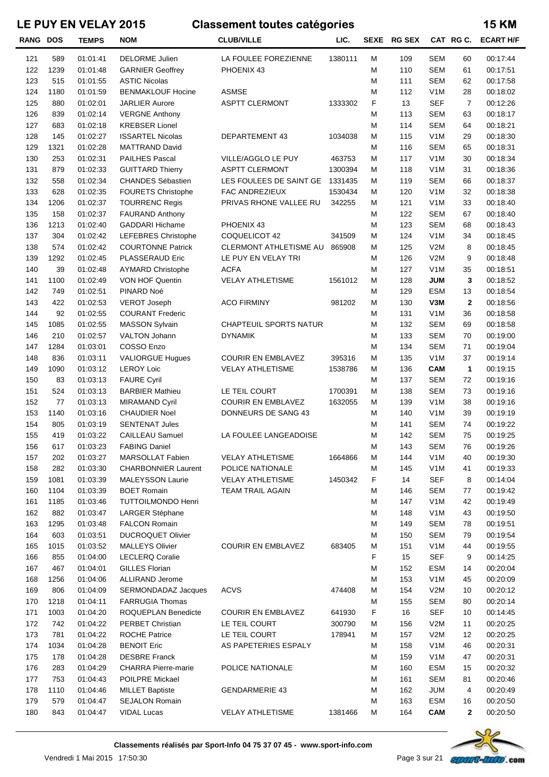| <b>RANG DOS</b> |             | <b>TEMPS</b>         | <b>NOM</b>                                         | <b>CLUB/VILLE</b>         | LIC.    |        | SEXE RG SEX |                                | CAT RGC.       | <b>ECART H/F</b>     |
|-----------------|-------------|----------------------|----------------------------------------------------|---------------------------|---------|--------|-------------|--------------------------------|----------------|----------------------|
| 121             | 589         | 01:01:41             | <b>DELORME Julien</b>                              | LA FOULEE FOREZIENNE      | 1380111 | м      | 109         | <b>SEM</b>                     | 60             | 00:17:44             |
| 122             | 1239        | 01:01:48             | <b>GARNIER Geoffrey</b>                            | PHOENIX 43                |         | M      | 110         | <b>SEM</b>                     | 61             | 00:17:51             |
| 123             | 515         | 01:01:55             | <b>ASTIC Nicolas</b>                               |                           |         | M      | 111         | <b>SEM</b>                     | 62             | 00:17:58             |
| 124             | 1180        | 01:01:59             | <b>BENMAKLOUF Hocine</b>                           | <b>ASMSE</b>              |         | M      | 112         | V <sub>1</sub> M               | 28             | 00:18:02             |
| 125             | 880         | 01:02:01             | <b>JARLIER Aurore</b>                              | <b>ASPTT CLERMONT</b>     | 1333302 | F      | 13          | <b>SEF</b>                     | $\overline{7}$ | 00:12:26             |
| 126             | 839         | 01:02:14             | <b>VERGNE Anthony</b>                              |                           |         | M      | 113         | <b>SEM</b>                     | 63             | 00:18:17             |
| 127             | 683         | 01:02:18             | <b>KREBSER Lionel</b>                              |                           |         | M      | 114         | <b>SEM</b>                     | 64             | 00:18:21             |
| 128             | 145         | 01:02:27             | <b>ISSARTEL Nicolas</b>                            | DEPARTEMENT 43            | 1034038 | M      | 115         | V1M                            | 29             | 00:18:30             |
| 129             | 1321        | 01:02:28             | <b>MATTRAND David</b>                              |                           |         | M      | 116         | <b>SEM</b>                     | 65             | 00:18:31             |
| 130             | 253         | 01:02:31             | <b>PAILHES Pascal</b>                              | VILLE/AGGLO LE PUY        | 463753  | M      | 117         | V1M                            | 30             | 00:18:34             |
| 131             | 879         | 01:02:33             | <b>GUITTARD Thierry</b>                            | <b>ASPTT CLERMONT</b>     | 1300394 | M      | 118         | V1M                            | 31             | 00:18:36             |
| 132             | 558         | 01:02:34             | <b>CHANDES Sébastien</b>                           | LES FOULEES DE SAINT GE   | 1331435 | M      | 119         | <b>SEM</b>                     | 66             | 00:18:37             |
| 133             | 628         | 01:02:35             | <b>FOURETS Christophe</b>                          | FAC ANDREZIEUX            | 1530434 | M      | 120         | V1M                            | 32             | 00:18:38             |
| 134             | 1206        | 01:02:37             | <b>TOURRENC Regis</b>                              | PRIVAS RHONE VALLEE RU    | 342255  | M      | 121         | V1M                            | 33             | 00:18:40             |
| 135             | 158         | 01:02:37             | <b>FAURAND Anthony</b>                             |                           |         | M      | 122         | <b>SEM</b>                     | 67             | 00:18:40             |
| 136             | 1213        | 01:02:40             | <b>GADDARI Hichame</b>                             | PHOENIX 43                |         | M      | 123         | <b>SEM</b>                     | 68             | 00:18:43             |
| 137             | 304         | 01:02:42             | LEFEBRES Christophe                                | COQUELICOT 42             | 341509  | M      | 124         | V1M                            | 34             | 00:18:45             |
| 138             | 574         | 01:02:42             | <b>COURTONNE Patrick</b>                           | CLERMONT ATHLETISME AU    | 865908  | M      | 125         | V2M                            | 8              | 00:18:45             |
| 139             | 1292        | 01:02:45             | PLASSERAUD Eric                                    | LE PUY EN VELAY TRI       |         | M      | 126         | V2M                            | 9              | 00:18:48             |
| 140             | 39          | 01:02:48             | <b>AYMARD Christophe</b>                           | <b>ACFA</b>               |         | M      | 127         | V1M                            | 35             | 00:18:51             |
| 141             | 1100        | 01:02:49             | VON HOF Quentin                                    | <b>VELAY ATHLETISME</b>   | 1561012 | M      | 128         | <b>JUM</b>                     | 3              | 00:18:52             |
| 142             | 749         | 01:02:51             | PINARD Noé                                         |                           |         | M      | 129         | <b>ESM</b>                     | 13             | 00:18:54             |
| 143             | 422         | 01:02:53             | <b>VEROT Joseph</b>                                | <b>ACO FIRMINY</b>        | 981202  | M      | 130         | V3M                            | $\mathbf 2$    | 00:18:56             |
| 144             | 92          | 01:02:55             | <b>COURANT Frederic</b>                            |                           |         | M      | 131         | V1M                            | 36             | 00:18:58             |
| 145             | 1085        | 01:02:55             | <b>MASSON Sylvain</b>                              | CHAPTEUIL SPORTS NATUR    |         | M      | 132         | <b>SEM</b>                     | 69             | 00:18:58             |
| 146             | 210         | 01:02:57             | <b>VALTON Johann</b>                               | <b>DYNAMIK</b>            |         | M      | 133         | <b>SEM</b>                     | 70             | 00:19:00             |
| 147             | 1284        | 01:03:01             | COSSO Enzo                                         |                           |         | M      | 134         | <b>SEM</b>                     | 71             | 00:19:04             |
| 148             | 836         | 01:03:11             | <b>VALIORGUE Hugues</b>                            | <b>COURIR EN EMBLAVEZ</b> | 395316  | M      | 135         | V1M                            | 37             | 00:19:14             |
| 149             | 1090        | 01:03:12             | <b>LEROY Loic</b>                                  | <b>VELAY ATHLETISME</b>   | 1538786 | M      | 136         | <b>CAM</b>                     | 1              | 00:19:15             |
| 150             | 83          | 01:03:13             | <b>FAURE Cyril</b>                                 |                           |         | M      | 137         | <b>SEM</b>                     | 72             | 00:19:16             |
| 151             | 524         | 01:03:13             | <b>BARBIER Mathieu</b>                             | LE TEIL COURT             | 1700391 | M      | 138         | <b>SEM</b>                     | 73             | 00:19:16             |
| 152             | 77          | 01:03:13             | <b>MIRAMAND Cyril</b>                              | <b>COURIR EN EMBLAVEZ</b> | 1632055 | M      | 139         | V1M                            | 38             | 00:19:16             |
| 153             | 1140        | 01:03:16             | <b>CHAUDIER Noel</b>                               | DONNEURS DE SANG 43       |         | M      | 140         | V1M                            | 39             | 00:19:19             |
| 154             | 805         | 01:03:19             | <b>SENTENAT Jules</b>                              |                           |         | M      | 141         | <b>SEM</b>                     | 74             | 00:19:22             |
| 155             | 419         | 01:03:22             | CAILLEAU Samuel                                    | LA FOULEE LANGEADOISE     |         | M      | 142         | <b>SEM</b>                     | 75             | 00:19:25             |
| 156             | 617         | 01:03:23             | <b>FABING Daniel</b>                               |                           |         | M      | 143         | <b>SEM</b>                     | 76             | 00:19:26             |
| 157             | 202         | 01:03:27             | MARSOLLAT Fabien                                   | <b>VELAY ATHLETISME</b>   | 1664866 | M      | 144         | V <sub>1</sub> M               | 40             | 00:19:30             |
| 158             | 282         | 01:03:30             | <b>CHARBONNIER Laurent</b>                         | POLICE NATIONALE          |         | M      | 145         | V <sub>1</sub> M               | 41             | 00:19:33             |
| 159             | 1081        | 01:03:39             | MALEYSSON Laurie                                   | <b>VELAY ATHLETISME</b>   | 1450342 | F      | 14          | <b>SEF</b>                     | 8              | 00:14:04             |
| 160             | 1104        | 01:03:39             | <b>BOET Romain</b>                                 | <b>TEAM TRAIL AGAIN</b>   |         | M      | 146         | <b>SEM</b>                     | 77             | 00:19:42             |
| 161             | 1185        | 01:03:46             | TUTTOILMONDO Henri                                 |                           |         | M      | 147         | V <sub>1</sub> M               | 42             | 00:19:49             |
| 162             | 882         | 01:03:47             | LARGER Stéphane                                    |                           |         | M      | 148         | V <sub>1</sub> M               | 43             | 00:19:50             |
| 163             | 1295        | 01:03:48             | <b>FALCON Romain</b>                               |                           |         | M      | 149         | <b>SEM</b>                     | 78             | 00:19:51             |
| 164<br>165      | 603<br>1015 | 01:03:51<br>01:03:52 | <b>DUCROQUET Olivier</b><br><b>MALLEYS Olivier</b> | <b>COURIR EN EMBLAVEZ</b> | 683405  | M      | 150<br>151  | <b>SEM</b><br>V <sub>1</sub> M | 79<br>44       | 00:19:54             |
| 166             | 855         | 01:04:00             | <b>LECLERQ Coralie</b>                             |                           |         | M<br>F | 15          | <b>SEF</b>                     | 9              | 00:19:55<br>00:14:25 |
| 167             | 467         | 01:04:01             | <b>GILLES Florian</b>                              |                           |         | M      | 152         | <b>ESM</b>                     | 14             | 00:20:04             |
| 168             | 1256        | 01:04:06             | <b>ALLIRAND Jerome</b>                             |                           |         | M      | 153         | V <sub>1</sub> M               | 45             | 00:20:09             |
| 169             | 806         | 01:04:09             | SERMONDADAZ Jacques                                | <b>ACVS</b>               | 474408  | M      | 154         | V2M                            | 10             | 00:20:12             |
| 170             | 1218        | 01:04:11             | <b>FARRUGIA Thomas</b>                             |                           |         | M      | 155         | <b>SEM</b>                     | 80             | 00:20:14             |
| 171             | 1003        | 01:04:20             | ROQUEPLAN Benedicte                                | <b>COURIR EN EMBLAVEZ</b> | 641930  | F      | 16          | <b>SEF</b>                     | 10             | 00:14:45             |
| 172             | 742         | 01:04:22             | PERBET Christian                                   | LE TEIL COURT             | 300790  | M      | 156         | V2M                            | 11             | 00:20:25             |
| 173             | 781         | 01:04:22             | <b>ROCHE Patrice</b>                               | LE TEIL COURT             | 178941  | M      | 157         | V2M                            | 12             | 00:20:25             |
| 174             | 1034        | 01:04:28             | <b>BENOIT Eric</b>                                 | AS PAPETERIES ESPALY      |         | M      | 158         | V <sub>1</sub> M               | 46             | 00:20:31             |
| 175             | 178         | 01:04:28             | <b>DESBRE Franck</b>                               |                           |         | M      | 159         | V <sub>1</sub> M               | 47             | 00:20:31             |
| 176             | 283         | 01:04:29             | <b>CHARRA Pierre-marie</b>                         | POLICE NATIONALE          |         | M      | 160         | <b>ESM</b>                     | 15             | 00:20:32             |
| 177             | 753         | 01:04:43             | POILPRE Mickael                                    |                           |         | M      | 161         | <b>SEM</b>                     | 81             | 00:20:46             |
| 178             | 1110        | 01:04:46             | <b>MILLET Baptiste</b>                             | <b>GENDARMERIE 43</b>     |         | M      | 162         | <b>JUM</b>                     | 4              | 00:20:49             |
| 179             | 579         | 01:04:47             | <b>SEJALON Romain</b>                              |                           |         | M      | 163         | <b>ESM</b>                     | 16             | 00:20:50             |
| 180             | 843         | 01:04:47             | <b>VIDAL Lucas</b>                                 | <b>VELAY ATHLETISME</b>   | 1381466 | M      | 164         | <b>CAM</b>                     | 2              | 00:20:50             |

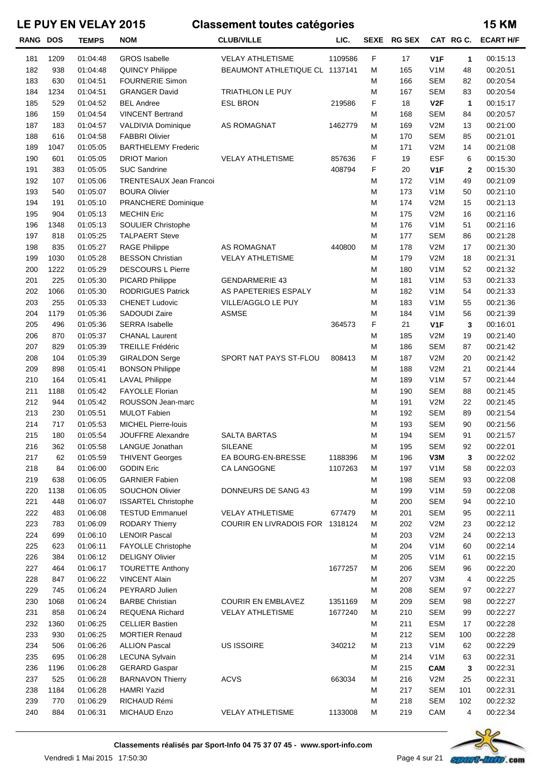| <b>RANG DOS</b> |      | <b>TEMPS</b> | <b>NOM</b>                 | <b>CLUB/VILLE</b>               | LIC.    |   | SEXE RG SEX |                  | CAT RG C. | <b>ECART H/F</b> |
|-----------------|------|--------------|----------------------------|---------------------------------|---------|---|-------------|------------------|-----------|------------------|
| 181             | 1209 | 01:04:48     | <b>GROS</b> Isabelle       | <b>VELAY ATHLETISME</b>         | 1109586 | F | 17          | V <sub>1</sub> F | 1         | 00:15:13         |
| 182             | 938  | 01:04:48     | <b>QUINCY Philippe</b>     | BEAUMONT ATHLETIQUE CL 1137141  |         | M | 165         | V <sub>1</sub> M | 48        | 00:20:51         |
| 183             | 630  | 01:04:51     | <b>FOURNERIE Simon</b>     |                                 |         | M | 166         | <b>SEM</b>       | 82        | 00:20:54         |
| 184             | 1234 | 01:04:51     | <b>GRANGER David</b>       | TRIATHLON LE PUY                |         | M | 167         | <b>SEM</b>       | 83        | 00:20:54         |
| 185             | 529  | 01:04:52     | <b>BEL Andree</b>          | <b>ESL BRON</b>                 | 219586  | F | 18          | V <sub>2</sub> F | 1         | 00:15:17         |
| 186             | 159  | 01:04:54     | <b>VINCENT Bertrand</b>    |                                 |         | M | 168         | <b>SEM</b>       | 84        | 00:20:57         |
| 187             | 183  | 01:04:57     | VALDIVIA Dominique         | AS ROMAGNAT                     | 1462779 | M | 169         | V2M              | 13        | 00:21:00         |
| 188             | 616  | 01:04:58     | <b>FABBRI Olivier</b>      |                                 |         | M | 170         | <b>SEM</b>       | 85        | 00:21:01         |
| 189             | 1047 | 01:05:05     | <b>BARTHELEMY Frederic</b> |                                 |         | M | 171         | V2M              | 14        | 00:21:08         |
| 190             | 601  | 01:05:05     | <b>DRIOT Marion</b>        | <b>VELAY ATHLETISME</b>         | 857636  | F | 19          | <b>ESF</b>       | 6         | 00:15:30         |
| 191             | 383  | 01:05:05     | <b>SUC Sandrine</b>        |                                 | 408794  | F | 20          | V <sub>1</sub> F | 2         | 00:15:30         |
| 192             | 107  | 01:05:06     | TRENTESAUX Jean Francoi    |                                 |         | M | 172         | V <sub>1</sub> M | 49        | 00:21:09         |
| 193             | 540  | 01:05:07     | <b>BOURA Olivier</b>       |                                 |         | M | 173         | V <sub>1</sub> M | 50        | 00:21:10         |
| 194             | 191  | 01:05:10     | PRANCHERE Dominique        |                                 |         | M | 174         | V2M              | 15        | 00:21:13         |
| 195             | 904  | 01:05:13     | <b>MECHIN Eric</b>         |                                 |         | M | 175         | V2M              | 16        | 00:21:16         |
| 196             | 1348 | 01:05:13     | SOULIER Christophe         |                                 |         | M | 176         | V <sub>1</sub> M | 51        | 00:21:16         |
| 197             | 818  | 01:05:25     | <b>TALPAERT Steve</b>      |                                 |         | M | 177         | <b>SEM</b>       | 86        | 00:21:28         |
| 198             | 835  | 01:05:27     | <b>RAGE Philippe</b>       | AS ROMAGNAT                     | 440800  | M | 178         | V2M              | 17        | 00:21:30         |
| 199             | 1030 | 01:05:28     | <b>BESSON Christian</b>    | <b>VELAY ATHLETISME</b>         |         | M | 179         | V2M              | 18        | 00:21:31         |
| 200             | 1222 | 01:05:29     | <b>DESCOURS L Pierre</b>   |                                 |         | M | 180         | V1M              | 52        | 00:21:32         |
| 201             | 225  | 01:05:30     | PICARD Philippe            | <b>GENDARMERIE 43</b>           |         | M | 181         | V <sub>1</sub> M | 53        | 00:21:33         |
| 202             | 1066 | 01:05:30     | <b>RODRIGUES Patrick</b>   | AS PAPETERIES ESPALY            |         | M | 182         | V1M              | 54        | 00:21:33         |
| 203             | 255  | 01:05:33     | <b>CHENET Ludovic</b>      | VILLE/AGGLO LE PUY              |         | M | 183         | V <sub>1</sub> M | 55        | 00:21:36         |
| 204             | 1179 | 01:05:36     | SADOUDI Zaire              | <b>ASMSE</b>                    |         | M | 184         | V <sub>1</sub> M | 56        | 00:21:39         |
| 205             | 496  | 01:05:36     | <b>SERRA Isabelle</b>      |                                 | 364573  | F | 21          | V <sub>1</sub> F | 3         | 00:16:01         |
| 206             | 870  | 01:05:37     | <b>CHANAL Laurent</b>      |                                 |         | M | 185         | V2M              | 19        | 00:21:40         |
| 207             | 829  | 01:05:39     | <b>TREILLE Frédéric</b>    |                                 |         | M | 186         | <b>SEM</b>       | 87        | 00:21:42         |
| 208             | 104  | 01:05:39     | <b>GIRALDON Serge</b>      | SPORT NAT PAYS ST-FLOU          | 808413  | M | 187         | V2M              | 20        | 00:21:42         |
| 209             | 898  | 01:05:41     | <b>BONSON Philippe</b>     |                                 |         | M | 188         | V2M              | 21        | 00:21:44         |
| 210             | 164  | 01:05:41     | <b>LAVAL Philippe</b>      |                                 |         | M | 189         | V <sub>1</sub> M | 57        | 00:21:44         |
| 211             | 1188 | 01:05:42     | <b>FAYOLLE Florian</b>     |                                 |         | M | 190         | <b>SEM</b>       | 88        | 00:21:45         |
| 212             | 944  | 01:05:42     | ROUSSON Jean-marc          |                                 |         | M | 191         | V2M              | 22        | 00:21:45         |
| 213             | 230  | 01:05:51     | <b>MULOT Fabien</b>        |                                 |         | M | 192         | <b>SEM</b>       | 89        | 00:21:54         |
| 214             | 717  | 01:05:53     | <b>MICHEL Pierre-louis</b> |                                 |         | M | 193         | <b>SEM</b>       | 90        | 00:21:56         |
| 215             | 180  | 01:05:54     | JOUFFRE Alexandre          | <b>SALTA BARTAS</b>             |         | M | 194         | <b>SEM</b>       | 91        | 00:21:57         |
| 216             | 362  | 01:05:58     | LANGUE Jonathan            | <b>SILEANE</b>                  |         | M | 195         | SEM              | 92        | 00:22:01         |
| 217             | 62   | 01:05:59     | <b>THIVENT Georges</b>     | EA BOURG-EN-BRESSE              | 1188396 | M | 196         | V3M              | 3         | 00:22:02         |
| 218             | 84   | 01:06:00     | <b>GODIN Eric</b>          | CA LANGOGNE                     | 1107263 | М | 197         | V <sub>1</sub> M | 58        | 00:22:03         |
| 219             | 638  | 01:06:05     | <b>GARNIER Fabien</b>      |                                 |         | М | 198         | SEM              | 93        | 00:22:08         |
| 220             | 1138 | 01:06:05     | <b>SOUCHON Olivier</b>     | DONNEURS DE SANG 43             |         | M | 199         | V <sub>1</sub> M | 59        | 00:22:08         |
| 221             | 448  | 01:06:07     | <b>ISSARTEL Christophe</b> |                                 |         | M | 200         | <b>SEM</b>       | 94        | 00:22:10         |
| 222             | 483  | 01:06:08     | <b>TESTUD Emmanuel</b>     | <b>VELAY ATHLETISME</b>         | 677479  | М | 201         | <b>SEM</b>       | 95        | 00:22:11         |
| 223             | 783  | 01:06:09     | <b>RODARY Thierry</b>      | COURIR EN LIVRADOIS FOR 1318124 |         | M | 202         | V2M              | 23        | 00:22:12         |
| 224             | 699  | 01:06:10     | <b>LENOIR Pascal</b>       |                                 |         | М | 203         | V2M              | 24        | 00:22:13         |
| 225             | 623  | 01:06:11     | <b>FAYOLLE Christophe</b>  |                                 |         | M | 204         | V <sub>1</sub> M | 60        | 00:22:14         |
| 226             | 384  | 01:06:12     | <b>DELIGNY Olivier</b>     |                                 |         | M | 205         | V <sub>1</sub> M | 61        | 00:22:15         |
| 227             | 464  | 01:06:17     | <b>TOURETTE Anthony</b>    |                                 | 1677257 | М | 206         | <b>SEM</b>       | 96        | 00:22:20         |
| 228             | 847  | 01:06:22     | <b>VINCENT Alain</b>       |                                 |         | М | 207         | V3M              | 4         | 00:22:25         |
| 229             | 745  | 01:06:24     | PEYRARD Julien             |                                 |         | M | 208         | <b>SEM</b>       | 97        | 00:22:27         |
| 230             | 1068 | 01:06:24     | <b>BARBE Christian</b>     | <b>COURIR EN EMBLAVEZ</b>       | 1351169 | M | 209         | <b>SEM</b>       | 98        | 00:22:27         |
| 231             | 858  | 01:06:24     | REQUENA Richard            | <b>VELAY ATHLETISME</b>         | 1677240 | M | 210         | <b>SEM</b>       | 99        | 00:22:27         |
| 232             | 1360 | 01:06:25     | <b>CELLIER Bastien</b>     |                                 |         | M | 211         | <b>ESM</b>       | 17        | 00:22:28         |
| 233             | 930  | 01:06:25     | <b>MORTIER Renaud</b>      |                                 |         | М | 212         | <b>SEM</b>       | 100       | 00:22:28         |
| 234             | 506  | 01:06:26     | <b>ALLION Pascal</b>       | <b>US ISSOIRE</b>               | 340212  | М | 213         | V <sub>1</sub> M | 62        | 00:22:29         |
| 235             | 695  | 01:06:28     | <b>LECUNA Sylvain</b>      |                                 |         | M | 214         | V <sub>1</sub> M | 63        | 00:22:31         |
| 236             | 1196 | 01:06:28     | <b>GERARD Gaspar</b>       |                                 |         | М | 215         | <b>CAM</b>       | 3         | 00:22:31         |
| 237             | 525  | 01:06:28     | <b>BARNAVON Thierry</b>    | <b>ACVS</b>                     | 663034  | М | 216         | V2M              | 25        | 00:22:31         |
| 238             | 1184 | 01:06:28     | <b>HAMRI Yazid</b>         |                                 |         | M | 217         | <b>SEM</b>       | 101       | 00:22:31         |
| 239             | 770  | 01:06:29     | RICHAUD Rémi               |                                 |         | M | 218         | <b>SEM</b>       | 102       | 00:22:32         |
| 240             | 884  | 01:06:31     | <b>MICHAUD Enzo</b>        | <b>VELAY ATHLETISME</b>         | 1133008 | м | 219         | CAM              | 4         | 00:22:34         |

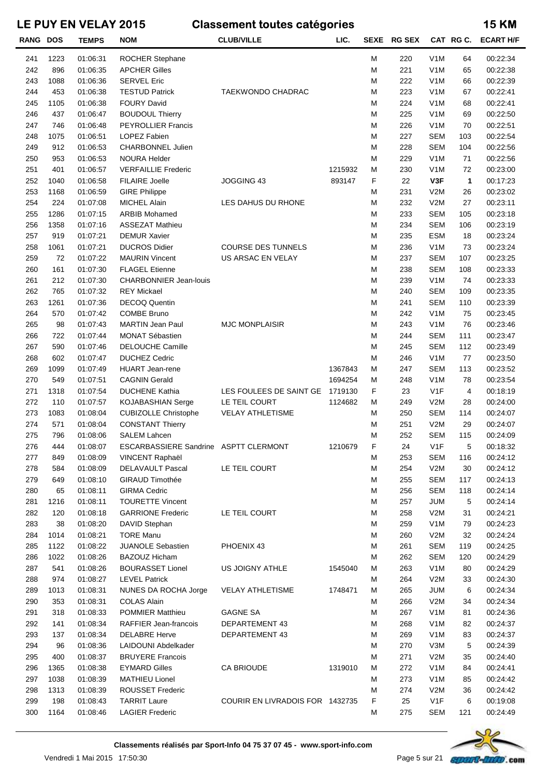| <b>RANG DOS</b> |      | <b>TEMPS</b> | <b>NOM</b>                            | <b>CLUB/VILLE</b>               | LIC.    | SEXE | <b>RG SEX</b> |                  | CAT RGC. | <b>ECART H/F</b> |
|-----------------|------|--------------|---------------------------------------|---------------------------------|---------|------|---------------|------------------|----------|------------------|
| 241             | 1223 | 01:06:31     | ROCHER Stephane                       |                                 |         | М    | 220           | V <sub>1</sub> M | 64       | 00:22:34         |
| 242             | 896  | 01:06:35     | <b>APCHER Gilles</b>                  |                                 |         | М    | 221           | V <sub>1</sub> M | 65       | 00:22:38         |
| 243             | 1088 | 01:06:36     | <b>SERVEL Eric</b>                    |                                 |         | М    | 222           | V <sub>1</sub> M | 66       | 00:22:39         |
| 244             | 453  | 01:06:38     | <b>TESTUD Patrick</b>                 | TAEKWONDO CHADRAC               |         | М    | 223           | V <sub>1</sub> M | 67       | 00:22:41         |
| 245             | 1105 | 01:06:38     | <b>FOURY David</b>                    |                                 |         | М    | 224           | V <sub>1</sub> M | 68       | 00:22:41         |
| 246             | 437  | 01:06:47     | <b>BOUDOUL Thierry</b>                |                                 |         | М    | 225           | V <sub>1</sub> M | 69       | 00:22:50         |
| 247             | 746  | 01:06:48     | <b>PEYROLLIER Francis</b>             |                                 |         | М    | 226           | V <sub>1</sub> M | 70       | 00:22:51         |
| 248             | 1075 | 01:06:51     | LOPEZ Fabien                          |                                 |         | М    | 227           | <b>SEM</b>       | 103      | 00:22:54         |
| 249             | 912  | 01:06:53     | CHARBONNEL Julien                     |                                 |         | M    | 228           | <b>SEM</b>       | 104      | 00:22:56         |
| 250             | 953  | 01:06:53     | <b>NOURA Helder</b>                   |                                 |         | М    | 229           | V <sub>1</sub> M | 71       | 00:22:56         |
| 251             | 401  | 01:06:57     | <b>VERFAILLIE Frederic</b>            |                                 | 1215932 | М    | 230           | V <sub>1</sub> M | 72       | 00:23:00         |
| 252             | 1040 | 01:06:58     | <b>FILAIRE Joelle</b>                 | JOGGING 43                      | 893147  | F    | 22            | V3F              | 1        | 00:17:23         |
| 253             | 1168 | 01:06:59     | <b>GIRE Philippe</b>                  |                                 |         | М    | 231           | V2M              | 26       | 00:23:02         |
| 254             | 224  | 01:07:08     | MICHEL Alain                          | LES DAHUS DU RHONE              |         | М    | 232           | V2M              | 27       | 00:23:11         |
| 255             | 1286 | 01:07:15     | <b>ARBIB Mohamed</b>                  |                                 |         | М    | 233           | <b>SEM</b>       | 105      | 00:23:18         |
| 256             | 1358 | 01:07:16     | <b>ASSEZAT Mathieu</b>                |                                 |         | М    | 234           | <b>SEM</b>       | 106      | 00:23:19         |
| 257             | 919  | 01:07:21     | <b>DEMUR Xavier</b>                   |                                 |         | М    | 235           | <b>ESM</b>       | 18       | 00:23:24         |
| 258             | 1061 | 01:07:21     | <b>DUCROS Didier</b>                  | <b>COURSE DES TUNNELS</b>       |         | М    | 236           | V <sub>1</sub> M | 73       | 00:23:24         |
| 259             | 72   | 01:07:22     | <b>MAURIN Vincent</b>                 | US ARSAC EN VELAY               |         | М    | 237           | <b>SEM</b>       | 107      | 00:23:25         |
| 260             | 161  | 01:07:30     | <b>FLAGEL Etienne</b>                 |                                 |         | М    | 238           | <b>SEM</b>       | 108      | 00:23:33         |
| 261             | 212  | 01:07:30     | <b>CHARBONNIER Jean-louis</b>         |                                 |         | М    | 239           | V <sub>1</sub> M | 74       | 00:23:33         |
| 262             | 765  | 01:07:32     | <b>REY Mickael</b>                    |                                 |         | М    | 240           | <b>SEM</b>       | 109      | 00:23:35         |
| 263             | 1261 | 01:07:36     | <b>DECOQ Quentin</b>                  |                                 |         | М    | 241           | <b>SEM</b>       | 110      | 00:23:39         |
| 264             | 570  | 01:07:42     | <b>COMBE Bruno</b>                    |                                 |         | М    | 242           | V <sub>1</sub> M | 75       | 00:23:45         |
| 265             | 98   | 01:07:43     | <b>MARTIN Jean Paul</b>               | <b>MJC MONPLAISIR</b>           |         | М    | 243           | V <sub>1</sub> M | 76       | 00:23:46         |
| 266             | 722  | 01:07:44     | MONAT Sébastien                       |                                 |         | М    | 244           | <b>SEM</b>       | 111      | 00:23:47         |
| 267             | 590  | 01:07:46     | <b>DELOUCHE Camille</b>               |                                 |         | M    | 245           | <b>SEM</b>       | 112      | 00:23:49         |
| 268             | 602  | 01:07:47     | <b>DUCHEZ Cedric</b>                  |                                 |         | М    | 246           | V <sub>1</sub> M | 77       | 00:23:50         |
| 269             | 1099 | 01:07:49     | <b>HUART</b> Jean-rene                |                                 | 1367843 | M    | 247           | <b>SEM</b>       | 113      | 00:23:52         |
| 270             | 549  | 01:07:51     | <b>CAGNIN Gerald</b>                  |                                 | 1694254 | M    | 248           | V <sub>1</sub> M | 78       | 00:23:54         |
| 271             | 1318 | 01:07:54     | <b>DUCHENE Kathia</b>                 | LES FOULEES DE SAINT GE         | 1719130 | F    | 23            | V <sub>1</sub> F | 4        | 00:18:19         |
| 272             | 110  | 01:07:57     | KOJABASHIAN Serge                     | LE TEIL COURT                   | 1124682 | М    | 249           | V2M              | 28       | 00:24:00         |
| 273             | 1083 | 01:08:04     | <b>CUBIZOLLE Christophe</b>           | <b>VELAY ATHLETISME</b>         |         | М    | 250           | <b>SEM</b>       | 114      | 00:24:07         |
| 274             | 571  | 01:08:04     | <b>CONSTANT Thierry</b>               |                                 |         | M    | 251           | V2M              | 29       | 00:24:07         |
| 275             | 796  | 01:08:06     | <b>SALEM Lahcen</b>                   |                                 |         | М    | 252           | <b>SEM</b>       | 115      | 00:24:09         |
| 276             | 444  | 01:08:07     | ESCARBASSIERE Sandrine ASPTT CLERMONT |                                 | 1210679 | F    | 24            | V1F              | 5        | 00:18:32         |
| 277             | 849  | 01:08:09     | VINCENT Raphaël                       |                                 |         | М    | 253           | <b>SEM</b>       | 116      | 00:24:12         |
| 278             | 584  | 01:08:09     | <b>DELAVAULT Pascal</b>               | LE TEIL COURT                   |         | М    | 254           | V2M              | 30       | 00:24:12         |
| 279             | 649  | 01:08:10     | <b>GIRAUD Timothée</b>                |                                 |         | М    | 255           | <b>SEM</b>       | 117      | 00:24:13         |
| 280             | 65   | 01:08:11     | <b>GIRMA Cedric</b>                   |                                 |         | М    | 256           | <b>SEM</b>       | 118      | 00:24:14         |
| 281             | 1216 | 01:08:11     | <b>TOURETTE Vincent</b>               |                                 |         | М    | 257           | <b>JUM</b>       | 5        | 00:24:14         |
| 282             | 120  | 01:08:18     | <b>GARRIONE Frederic</b>              | LE TEIL COURT                   |         | М    | 258           | V2M              | 31       | 00:24:21         |
| 283             | 38   | 01:08:20     | DAVID Stephan                         |                                 |         | М    | 259           | V <sub>1</sub> M | 79       | 00:24:23         |
| 284             | 1014 | 01:08:21     | <b>TORE Manu</b>                      |                                 |         | М    | 260           | V2M              | 32       | 00:24:24         |
| 285             | 1122 | 01:08:22     | <b>JUANOLE Sebastien</b>              | PHOENIX 43                      |         | М    | 261           | <b>SEM</b>       | 119      | 00:24:25         |
| 286             | 1022 | 01:08:26     | BAZOUZ Hicham                         |                                 |         | М    | 262           | <b>SEM</b>       | 120      | 00:24:29         |
| 287             | 541  | 01:08:26     | <b>BOURASSET Lionel</b>               | US JOIGNY ATHLE                 | 1545040 | M    | 263           | V <sub>1</sub> M | 80       | 00:24:29         |
| 288             | 974  | 01:08:27     | <b>LEVEL Patrick</b>                  |                                 |         | М    | 264           | V2M              | 33       | 00:24:30         |
| 289             | 1013 | 01:08:31     | NUNES DA ROCHA Jorge                  | <b>VELAY ATHLETISME</b>         | 1748471 | м    | 265           | <b>JUM</b>       | 6        | 00:24:34         |
| 290             | 353  | 01:08:31     | <b>COLAS Alain</b>                    |                                 |         | М    | 266           | V2M              | 34       | 00:24:34         |
| 291             | 318  | 01:08:33     | POMMIER Matthieu                      | <b>GAGNE SA</b>                 |         | М    | 267           | V <sub>1</sub> M | 81       | 00:24:36         |
| 292             | 141  | 01:08:34     | RAFFIER Jean-francois                 | DEPARTEMENT 43                  |         | М    | 268           | V <sub>1</sub> M | 82       | 00:24:37         |
| 293             | 137  | 01:08:34     | <b>DELABRE Herve</b>                  | DEPARTEMENT 43                  |         | М    | 269           | V <sub>1</sub> M | 83       | 00:24:37         |
| 294             | 96   | 01:08:36     | LAIDOUNI Abdelkader                   |                                 |         | М    | 270           | V3M              | 5        | 00:24:39         |
| 295             | 400  | 01:08:37     | <b>BRUYERE Francois</b>               |                                 |         | М    | 271           | V2M              | 35       | 00:24:40         |
| 296             | 1365 | 01:08:38     | <b>EYMARD Gilles</b>                  | <b>CA BRIOUDE</b>               | 1319010 | М    | 272           | V <sub>1</sub> M | 84       | 00:24:41         |
| 297             | 1038 | 01:08:39     | <b>MATHIEU Lionel</b>                 |                                 |         | М    | 273           | V <sub>1</sub> M | 85       | 00:24:42         |
| 298             | 1313 | 01:08:39     | <b>ROUSSET Frederic</b>               |                                 |         | М    | 274           | V2M              | 36       | 00:24:42         |
| 299             | 198  | 01:08:43     | <b>TARRIT Laure</b>                   | COURIR EN LIVRADOIS FOR 1432735 |         | F    | 25            | V <sub>1</sub> F | 6        | 00:19:08         |
| 300             | 1164 | 01:08:46     | <b>LAGIER Frederic</b>                |                                 |         | М    | 275           | <b>SEM</b>       | 121      | 00:24:49         |

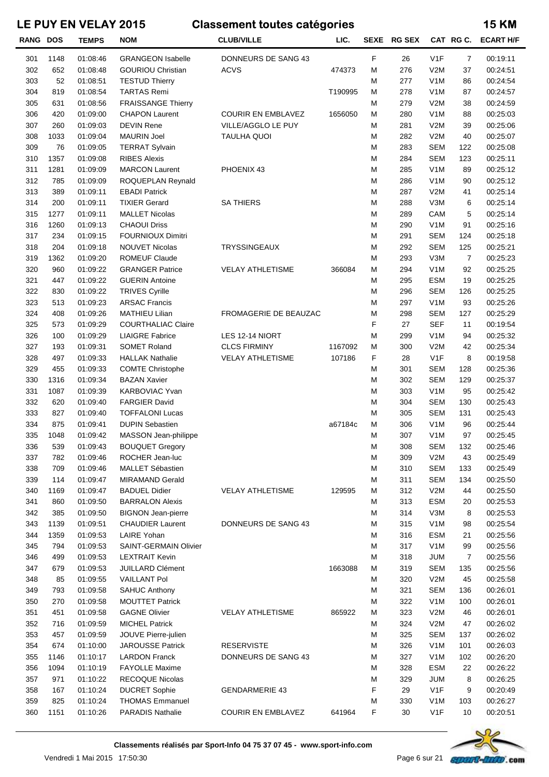| <b>RANG DOS</b> |      | <b>TEMPS</b> | <b>NOM</b>                | <b>CLUB/VILLE</b>         | LIC.    |   | SEXE RG SEX |                  |     | CAT RG C. ECART H/F |
|-----------------|------|--------------|---------------------------|---------------------------|---------|---|-------------|------------------|-----|---------------------|
| 301             | 1148 | 01:08:46     | <b>GRANGEON Isabelle</b>  | DONNEURS DE SANG 43       |         | F | 26          | V1F              | 7   | 00:19:11            |
| 302             | 652  | 01:08:48     | <b>GOURIOU Christian</b>  | <b>ACVS</b>               | 474373  | М | 276         | V2M              | 37  | 00:24:51            |
| 303             | 52   | 01:08:51     | <b>TESTUD Thierry</b>     |                           |         | M | 277         | V <sub>1</sub> M | 86  | 00:24:54            |
| 304             | 819  | 01:08:54     | <b>TARTAS Remi</b>        |                           | T190995 | М | 278         | V <sub>1</sub> M | 87  | 00:24:57            |
| 305             | 631  | 01:08:56     | <b>FRAISSANGE Thierry</b> |                           |         | M | 279         | V2M              | 38  | 00:24:59            |
| 306             | 420  | 01:09:00     | <b>CHAPON Laurent</b>     | <b>COURIR EN EMBLAVEZ</b> | 1656050 | M | 280         | V <sub>1</sub> M | 88  | 00:25:03            |
| 307             | 260  | 01:09:03     | <b>DEVIN Rene</b>         | VILLE/AGGLO LE PUY        |         | М | 281         | V2M              | 39  | 00:25:06            |
| 308             | 1033 | 01:09:04     | <b>MAURIN Joel</b>        | <b>TAULHA QUOI</b>        |         | М | 282         | V2M              | 40  | 00:25:07            |
| 309             | 76   | 01:09:05     | <b>TERRAT Sylvain</b>     |                           |         | M | 283         | <b>SEM</b>       | 122 | 00:25:08            |
| 310             | 1357 | 01:09:08     | <b>RIBES Alexis</b>       |                           |         | M | 284         | <b>SEM</b>       | 123 | 00:25:11            |
| 311             | 1281 | 01:09:09     | <b>MARCON Laurent</b>     | PHOENIX 43                |         | М | 285         | V <sub>1</sub> M | 89  | 00:25:12            |
| 312             | 785  | 01:09:09     | ROQUEPLAN Reynald         |                           |         | M | 286         | V <sub>1</sub> M | 90  | 00:25:12            |
| 313             | 389  | 01:09:11     | <b>EBADI Patrick</b>      |                           |         | M | 287         | V2M              | 41  | 00:25:14            |
| 314             | 200  | 01:09:11     | <b>TIXIER Gerard</b>      | <b>SA THIERS</b>          |         | М | 288         | V3M              | 6   | 00:25:14            |
| 315             | 1277 | 01:09:11     | <b>MALLET Nicolas</b>     |                           |         | М | 289         | CAM              | 5   | 00:25:14            |
|                 |      |              | <b>CHAOUI Driss</b>       |                           |         |   |             |                  |     |                     |
| 316             | 1260 | 01:09:13     |                           |                           |         | M | 290         | V <sub>1</sub> M | 91  | 00:25:16            |
| 317             | 234  | 01:09:15     | <b>FOURNIOUX Dimitri</b>  |                           |         | M | 291         | <b>SEM</b>       | 124 | 00:25:18            |
| 318             | 204  | 01:09:18     | <b>NOUVET Nicolas</b>     | <b>TRYSSINGEAUX</b>       |         | M | 292         | <b>SEM</b>       | 125 | 00:25:21            |
| 319             | 1362 | 01:09:20     | <b>ROMEUF Claude</b>      |                           |         | M | 293         | V3M              | 7   | 00:25:23            |
| 320             | 960  | 01:09:22     | <b>GRANGER Patrice</b>    | <b>VELAY ATHLETISME</b>   | 366084  | M | 294         | V <sub>1</sub> M | 92  | 00:25:25            |
| 321             | 447  | 01:09:22     | <b>GUERIN Antoine</b>     |                           |         | М | 295         | <b>ESM</b>       | 19  | 00:25:25            |
| 322             | 830  | 01:09:22     | <b>TRIVES Cyrille</b>     |                           |         | М | 296         | <b>SEM</b>       | 126 | 00:25:25            |
| 323             | 513  | 01:09:23     | <b>ARSAC Francis</b>      |                           |         | M | 297         | V <sub>1</sub> M | 93  | 00:25:26            |
| 324             | 408  | 01:09:26     | <b>MATHIEU Lilian</b>     | FROMAGERIE DE BEAUZAC     |         | M | 298         | <b>SEM</b>       | 127 | 00:25:29            |
| 325             | 573  | 01:09:29     | <b>COURTHALIAC Claire</b> |                           |         | F | 27          | <b>SEF</b>       | 11  | 00:19:54            |
| 326             | 100  | 01:09:29     | <b>LIAIGRE Fabrice</b>    | LES 12-14 NIORT           |         | M | 299         | V <sub>1</sub> M | 94  | 00:25:32            |
| 327             | 193  | 01:09:31     | <b>SOMET Roland</b>       | <b>CLCS FIRMINY</b>       | 1167092 | M | 300         | V2M              | 42  | 00:25:34            |
| 328             | 497  | 01:09:33     | <b>HALLAK Nathalie</b>    | <b>VELAY ATHLETISME</b>   | 107186  | F | 28          | V1F              | 8   | 00:19:58            |
| 329             | 455  | 01:09:33     | <b>COMTE Christophe</b>   |                           |         | М | 301         | <b>SEM</b>       | 128 | 00:25:36            |
| 330             | 1316 | 01:09:34     | <b>BAZAN Xavier</b>       |                           |         | M | 302         | <b>SEM</b>       | 129 | 00:25:37            |
| 331             | 1087 | 01:09:39     | <b>KARBOVIAC Yvan</b>     |                           |         | M | 303         | V <sub>1</sub> M | 95  | 00:25:42            |
| 332             | 620  | 01:09:40     | <b>FARGIER David</b>      |                           |         | M | 304         | <b>SEM</b>       | 130 | 00:25:43            |
| 333             | 827  | 01:09:40     | <b>TOFFALONI Lucas</b>    |                           |         | M | 305         | <b>SEM</b>       | 131 | 00:25:43            |
| 334             | 875  | 01:09:41     | <b>DUPIN Sebastien</b>    |                           | a67184c | M | 306         | V <sub>1</sub> M | 96  | 00:25:44            |
| 335             | 1048 | 01:09:42     | MASSON Jean-philippe      |                           |         | М | 307         | V <sub>1</sub> M | 97  | 00:25:45            |
| 336             | 539  | 01:09:43     | <b>BOUQUET Gregory</b>    |                           |         | M | 308         | <b>SEM</b>       | 132 | 00:25:46            |
| 337             | 782  | 01:09:46     | ROCHER Jean-luc           |                           |         | M | 309         | V2M              | 43  | 00:25:49            |
| 338             | 709  | 01:09:46     | MALLET Sébastien          |                           |         | M | 310         | SEM              | 133 | 00:25:49            |
| 339             | 114  | 01:09:47     | <b>MIRAMAND Gerald</b>    |                           |         | M | 311         | SEM              | 134 | 00:25:50            |
| 340             | 1169 | 01:09:47     | <b>BADUEL Didier</b>      | <b>VELAY ATHLETISME</b>   | 129595  | М | 312         | V2M              | 44  | 00:25:50            |
| 341             | 860  | 01:09:50     | <b>BARRALON Alexis</b>    |                           |         | M | 313         | ESM              | 20  | 00:25:53            |
| 342             | 385  | 01:09:50     | <b>BIGNON Jean-pierre</b> |                           |         | М | 314         | V3M              | 8   | 00:25:53            |
| 343             | 1139 | 01:09:51     | <b>CHAUDIER Laurent</b>   | DONNEURS DE SANG 43       |         | M | 315         | V <sub>1</sub> M | 98  | 00:25:54            |
| 344             | 1359 | 01:09:53     | LAIRE Yohan               |                           |         | M | 316         | ESM              | 21  | 00:25:56            |
| 345             | 794  | 01:09:53     | SAINT-GERMAIN Olivier     |                           |         | M | 317         | V <sub>1</sub> M | 99  | 00:25:56            |
| 346             | 499  | 01:09:53     | <b>LEXTRAIT Kevin</b>     |                           |         | M | 318         | <b>JUM</b>       | 7   | 00:25:56            |
| 347             | 679  | 01:09:53     | <b>JUILLARD Clément</b>   |                           | 1663088 | M | 319         | SEM              | 135 | 00:25:56            |
| 348             | 85   | 01:09:55     | <b>VAILLANT Pol</b>       |                           |         | M | 320         | V2M              | 45  | 00:25:58            |
| 349             | 793  | 01:09:58     | <b>SAHUC Anthony</b>      |                           |         | M | 321         | SEM              | 136 | 00:26:01            |
| 350             | 270  | 01:09:58     | <b>MOUTTET Patrick</b>    |                           |         | M | 322         | V <sub>1</sub> M | 100 | 00:26:01            |
| 351             | 451  | 01:09:58     | <b>GAGNE Olivier</b>      | <b>VELAY ATHLETISME</b>   | 865922  | M | 323         | V2M              | 46  | 00:26:01            |
| 352             | 716  | 01:09:59     | <b>MICHEL Patrick</b>     |                           |         | М | 324         | V2M              | 47  | 00:26:02            |
| 353             | 457  | 01:09:59     | JOUVE Pierre-julien       |                           |         | М | 325         | SEM              | 137 | 00:26:02            |
| 354             | 674  | 01:10:00     | <b>JAROUSSE Patrick</b>   | <b>RESERVISTE</b>         |         | M | 326         | V <sub>1</sub> M | 101 | 00:26:03            |
| 355             | 1146 | 01:10:17     | <b>LARDON Franck</b>      | DONNEURS DE SANG 43       |         | M | 327         | V <sub>1</sub> M | 102 | 00:26:20            |
| 356             | 1094 | 01:10:19     | <b>FAYOLLE Maxime</b>     |                           |         | M | 328         | ESM              | 22  | 00:26:22            |
| 357             | 971  | 01:10:22     | RECOQUE Nicolas           |                           |         | M | 329         | <b>JUM</b>       | 8   | 00:26:25            |
| 358             | 167  | 01:10:24     | <b>DUCRET Sophie</b>      | <b>GENDARMERIE 43</b>     |         | F | 29          | V <sub>1</sub> F | 9   | 00:20:49            |
| 359             | 825  | 01:10:24     | <b>THOMAS Emmanuel</b>    |                           |         | M | 330         | V <sub>1</sub> M | 103 | 00:26:27            |
| 360             | 1151 | 01:10:26     | <b>PARADIS Nathalie</b>   | <b>COURIR EN EMBLAVEZ</b> | 641964  | F | 30          | V1F              | 10  | 00:20:51            |
|                 |      |              |                           |                           |         |   |             |                  |     |                     |



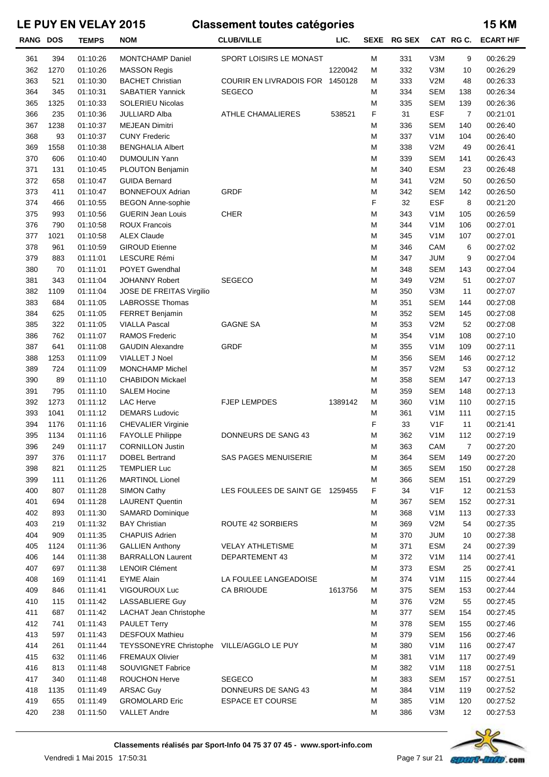| RANG DOS   |            | <b>TEMPS</b>         | <b>NOM</b>                                | <b>CLUB/VILLE</b>                          | LIC.    | <b>SEXE</b> | <b>RG SEX</b> |                                | CAT RGC.       | <b>ECART H/F</b>     |
|------------|------------|----------------------|-------------------------------------------|--------------------------------------------|---------|-------------|---------------|--------------------------------|----------------|----------------------|
| 361        | 394        | 01:10:26             | <b>MONTCHAMP Daniel</b>                   | SPORT LOISIRS LE MONAST                    |         | M           | 331           | V3M                            | 9              | 00:26:29             |
| 362        | 1270       | 01:10:26             | <b>MASSON Regis</b>                       |                                            | 1220042 | M           | 332           | V3M                            | 10             | 00:26:29             |
| 363        | 521        | 01:10:30             | <b>BACHET Christian</b>                   | COURIR EN LIVRADOIS FOR 1450128            |         | М           | 333           | V2M                            | 48             | 00:26:33             |
| 364        | 345        | 01:10:31             | <b>SABATIER Yannick</b>                   | <b>SEGECO</b>                              |         | М           | 334           | <b>SEM</b>                     | 138            | 00:26:34             |
| 365        | 1325       | 01:10:33             | <b>SOLERIEU Nicolas</b>                   |                                            |         | M           | 335           | <b>SEM</b>                     | 139            | 00:26:36             |
| 366        | 235        | 01:10:36             | JULLIARD Alba                             | <b>ATHLE CHAMALIERES</b>                   | 538521  | F           | 31            | <b>ESF</b>                     | $\overline{7}$ | 00:21:01             |
| 367        | 1238       | 01:10:37             | <b>MEJEAN Dimitri</b>                     |                                            |         | M           | 336           | <b>SEM</b>                     | 140            | 00:26:40             |
| 368        | 93         | 01:10:37             | <b>CUNY Frederic</b>                      |                                            |         | M           | 337           | V <sub>1</sub> M               | 104            | 00:26:40             |
| 369        | 1558       | 01:10:38             | <b>BENGHALIA Albert</b>                   |                                            |         | M           | 338           | V2M                            | 49             | 00:26:41             |
| 370        | 606        | 01:10:40             | <b>DUMOULIN Yann</b>                      |                                            |         | M           | 339           | <b>SEM</b>                     | 141            | 00:26:43             |
| 371        | 131        | 01:10:45             | PLOUTON Benjamin                          |                                            |         | M           | 340           | <b>ESM</b>                     | 23             | 00:26:48             |
| 372        | 658        | 01:10:47             | <b>GUIDA Bernard</b>                      |                                            |         | M           | 341           | V2M                            | 50             | 00:26:50             |
| 373        | 411        | 01:10:47             | <b>BONNEFOUX Adrian</b>                   | <b>GRDF</b>                                |         | M           | 342           | <b>SEM</b>                     | 142            | 00:26:50             |
| 374        | 466        | 01:10:55             | <b>BEGON Anne-sophie</b>                  |                                            |         | F           | 32            | <b>ESF</b>                     | 8              | 00:21:20             |
| 375        | 993        | 01:10:56             | <b>GUERIN Jean Louis</b>                  | <b>CHER</b>                                |         | M           | 343           | V <sub>1</sub> M               | 105            | 00:26:59             |
| 376        | 790        | 01:10:58             | <b>ROUX Francois</b>                      |                                            |         | M           | 344           | V <sub>1</sub> M               | 106            | 00:27:01             |
| 377        | 1021       | 01:10:58             | <b>ALEX Claude</b>                        |                                            |         | M           | 345           | V <sub>1</sub> M               | 107            | 00:27:01             |
| 378        | 961        | 01:10:59             | <b>GIROUD Etienne</b>                     |                                            |         | M           | 346           | CAM                            | 6              | 00:27:02             |
| 379        | 883        | 01:11:01             | LESCURE Rémi                              |                                            |         | M           | 347           | <b>JUM</b>                     | 9              | 00:27:04             |
| 380<br>381 | 70<br>343  | 01:11:01<br>01:11:04 | POYET Gwendhal<br><b>JOHANNY Robert</b>   | <b>SEGECO</b>                              |         | M<br>M      | 348<br>349    | <b>SEM</b><br>V2M              | 143<br>51      | 00:27:04<br>00:27:07 |
| 382        | 1109       | 01:11:04             | JOSE DE FREITAS Virgilio                  |                                            |         | M           | 350           | V3M                            | 11             | 00:27:07             |
| 383        | 684        | 01:11:05             | <b>LABROSSE Thomas</b>                    |                                            |         | M           | 351           | <b>SEM</b>                     | 144            | 00:27:08             |
| 384        | 625        | 01:11:05             | FERRET Benjamin                           |                                            |         | M           | 352           | <b>SEM</b>                     | 145            | 00:27:08             |
| 385        | 322        | 01:11:05             | <b>VIALLA Pascal</b>                      | <b>GAGNE SA</b>                            |         | M           | 353           | V2M                            | 52             | 00:27:08             |
| 386        | 762        | 01:11:07             | <b>RAMOS Frederic</b>                     |                                            |         | M           | 354           | V <sub>1</sub> M               | 108            | 00:27:10             |
| 387        | 641        | 01:11:08             | <b>GAUDIN Alexandre</b>                   | <b>GRDF</b>                                |         | M           | 355           | V <sub>1</sub> M               | 109            | 00:27:11             |
| 388        | 1253       | 01:11:09             | VIALLET J Noel                            |                                            |         | M           | 356           | <b>SEM</b>                     | 146            | 00:27:12             |
| 389        | 724        | 01:11:09             | <b>MONCHAMP Michel</b>                    |                                            |         | M           | 357           | V2M                            | 53             | 00:27:12             |
| 390        | 89         | 01:11:10             | <b>CHABIDON Mickael</b>                   |                                            |         | M           | 358           | <b>SEM</b>                     | 147            | 00:27:13             |
| 391        | 795        | 01:11:10             | <b>SALEM Hocine</b>                       |                                            |         | M           | 359           | <b>SEM</b>                     | 148            | 00:27:13             |
| 392        | 1273       | 01:11:12             | <b>LAC Herve</b>                          | <b>FJEP LEMPDES</b>                        | 1389142 | М           | 360           | V <sub>1</sub> M               | 110            | 00:27:15             |
| 393        | 1041       | 01:11:12             | <b>DEMARS Ludovic</b>                     |                                            |         | M           | 361           | V <sub>1</sub> M               | 111            | 00:27:15             |
| 394        | 1176       | 01:11:16             | <b>CHEVALIER Virginie</b>                 |                                            |         | F           | 33            | V <sub>1</sub> F               | 11             | 00:21:41             |
| 395        | 1134       | 01:11:16             | <b>FAYOLLE Philippe</b>                   | DONNEURS DE SANG 43                        |         | М           | 362           | V <sub>1</sub> M               | 112            | 00:27:19             |
| 396        | 249        | 01:11:17             | <b>CORNILLON Justin</b>                   |                                            |         | М           | 363           | CAM                            | $\overline{7}$ | 00:27:20             |
| 397        | 376        | 01:11:17             | <b>DOBEL Bertrand</b>                     | <b>SAS PAGES MENUISERIE</b>                |         | M           | 364           | <b>SEM</b>                     | 149            | 00:27:20             |
| 398        | 821        | 01:11:25             | <b>TEMPLIER Luc</b>                       |                                            |         | М           | 365           | <b>SEM</b>                     | 150            | 00:27:28             |
| 399        | 111        | 01:11:26             | <b>MARTINOL Lionel</b>                    |                                            |         | M           | 366           | <b>SEM</b>                     | 151            | 00:27:29             |
| 400        | 807        | 01:11:28             | <b>SIMON Cathy</b>                        | LES FOULEES DE SAINT GE 1259455            |         | F           | 34            | V <sub>1</sub> F               | 12             | 00:21:53             |
| 401        | 694        | 01:11:28             | <b>LAURENT Quentin</b>                    |                                            |         | М           | 367           | <b>SEM</b>                     | 152            | 00:27:31             |
| 402        | 893        | 01:11:30             | <b>SAMARD Dominique</b>                   |                                            |         | М           | 368           | V <sub>1</sub> M               | 113            | 00:27:33             |
| 403        | 219        | 01:11:32             | <b>BAY Christian</b>                      | <b>ROUTE 42 SORBIERS</b>                   |         | M           | 369           | V2M                            | 54             | 00:27:35             |
| 404        | 909        | 01:11:35             | <b>CHAPUIS Adrien</b>                     |                                            |         | М           | 370           | <b>JUM</b>                     | 10             | 00:27:38             |
| 405        | 1124       | 01:11:36             | <b>GALLIEN Anthony</b>                    | <b>VELAY ATHLETISME</b>                    |         | М           | 371           | <b>ESM</b>                     | 24             | 00:27:39             |
| 406        | 144        | 01:11:38             | <b>BARRALLON Laurent</b>                  | DEPARTEMENT 43                             |         | М           | 372           | V <sub>1</sub> M               | 114            | 00:27:41             |
| 407        | 697        | 01:11:38             | <b>LENOIR Clément</b>                     |                                            |         | М           | 373           | <b>ESM</b>                     | 25             | 00:27:41             |
| 408<br>409 | 169<br>846 | 01:11:41<br>01:11:41 | <b>EYME Alain</b><br>VIGOUROUX Luc        | LA FOULEE LANGEADOISE<br><b>CA BRIOUDE</b> | 1613756 | M<br>M      | 374<br>375    | V <sub>1</sub> M<br><b>SEM</b> | 115<br>153     | 00:27:44<br>00:27:44 |
| 410        | 115        | 01:11:42             | LASSABLIERE Guy                           |                                            |         | М           | 376           | V2M                            | 55             | 00:27:45             |
| 411        | 687        | 01:11:42             | LACHAT Jean Christophe                    |                                            |         | M           | 377           | <b>SEM</b>                     | 154            | 00:27:45             |
| 412        | 741        | 01:11:43             | <b>PAULET Terry</b>                       |                                            |         | M           | 378           | <b>SEM</b>                     | 155            | 00:27:46             |
| 413        | 597        | 01:11:43             | <b>DESFOUX Mathieu</b>                    |                                            |         | M           | 379           | <b>SEM</b>                     | 156            | 00:27:46             |
| 414        | 261        | 01:11:44             | TEYSSONEYRE Christophe VILLE/AGGLO LE PUY |                                            |         | M           | 380           | V <sub>1</sub> M               | 116            | 00:27:47             |
| 415        | 632        | 01:11:46             | <b>FREMAUX Olivier</b>                    |                                            |         | M           | 381           | V <sub>1</sub> M               | 117            | 00:27:49             |
| 416        | 813        | 01:11:48             | SOUVIGNET Fabrice                         |                                            |         | M           | 382           | V <sub>1</sub> M               | 118            | 00:27:51             |
| 417        | 340        | 01:11:48             | <b>ROUCHON Herve</b>                      | <b>SEGECO</b>                              |         | М           | 383           | <b>SEM</b>                     | 157            | 00:27:51             |
| 418        | 1135       | 01:11:49             | <b>ARSAC Guy</b>                          | DONNEURS DE SANG 43                        |         | M           | 384           | V <sub>1</sub> M               | 119            | 00:27:52             |
| 419        | 655        | 01:11:49             | <b>GROMOLARD Eric</b>                     | <b>ESPACE ET COURSE</b>                    |         | M           | 385           | V <sub>1</sub> M               | 120            | 00:27:52             |
| 420        | 238        | 01:11:50             | <b>VALLET Andre</b>                       |                                            |         | М           | 386           | V3M                            | 12             | 00:27:53             |

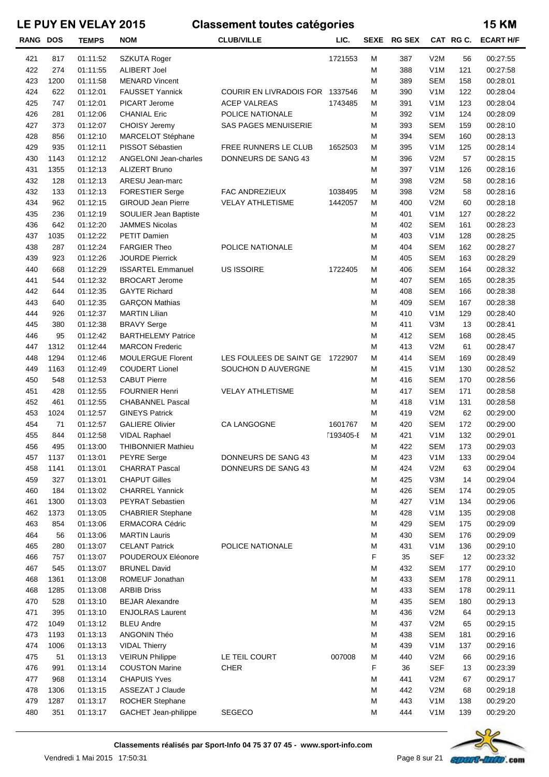| <b>RANG DOS</b> |      | <b>TEMPS</b> | <b>NOM</b>                   | <b>CLUB/VILLE</b>              | LIC.      |   | SEXE RG SEX |                  | CAT RG C. | <b>ECART H/F</b> |
|-----------------|------|--------------|------------------------------|--------------------------------|-----------|---|-------------|------------------|-----------|------------------|
| 421             | 817  | 01:11:52     | SZKUTA Roger                 |                                | 1721553   | М | 387         | V2M              | 56        | 00:27:55         |
| 422             | 274  | 01:11:55     | <b>ALIBERT Joel</b>          |                                |           | М | 388         | V <sub>1</sub> M | 121       | 00:27:58         |
| 423             | 1200 | 01:11:58     | <b>MENARD Vincent</b>        |                                |           | M | 389         | <b>SEM</b>       | 158       | 00:28:01         |
| 424             | 622  | 01:12:01     | <b>FAUSSET Yannick</b>       | <b>COURIR EN LIVRADOIS FOR</b> | 1337546   | M | 390         | V <sub>1</sub> M | 122       | 00:28:04         |
| 425             | 747  | 01:12:01     | PICART Jerome                | <b>ACEP VALREAS</b>            | 1743485   | М | 391         | V <sub>1</sub> M | 123       | 00:28:04         |
| 426             | 281  | 01:12:06     | <b>CHANIAL Eric</b>          | POLICE NATIONALE               |           | М | 392         | V <sub>1</sub> M | 124       | 00:28:09         |
| 427             | 373  | 01:12:07     | CHOISY Jeremy                | <b>SAS PAGES MENUISERIE</b>    |           | М | 393         | SEM              | 159       | 00:28:10         |
| 428             | 856  | 01:12:10     | MARCELOT Stéphane            |                                |           | M | 394         | <b>SEM</b>       | 160       | 00:28:13         |
| 429             | 935  | 01:12:11     | PISSOT Sébastien             | FREE RUNNERS LE CLUB           | 1652503   | M | 395         | V <sub>1</sub> M | 125       | 00:28:14         |
| 430             | 1143 | 01:12:12     | <b>ANGELONI Jean-charles</b> | DONNEURS DE SANG 43            |           | М | 396         | V2M              | 57        | 00:28:15         |
| 431             | 1355 | 01:12:13     | <b>ALIZERT Bruno</b>         |                                |           | M | 397         | V <sub>1</sub> M | 126       | 00:28:16         |
| 432             | 128  | 01:12:13     | ARESU Jean-marc              |                                |           | M | 398         | V2M              | 58        | 00:28:16         |
| 432             | 133  | 01:12:13     | <b>FORESTIER Serge</b>       | FAC ANDREZIEUX                 | 1038495   | M | 398         | V2M              | 58        | 00:28:16         |
| 434             | 962  | 01:12:15     | <b>GIROUD Jean Pierre</b>    | <b>VELAY ATHLETISME</b>        | 1442057   | M | 400         | V2M              | 60        | 00:28:18         |
| 435             | 236  | 01:12:19     | SOULIER Jean Baptiste        |                                |           | М | 401         | V <sub>1</sub> M | 127       | 00:28:22         |
| 436             | 642  | 01:12:20     | <b>JAMMES Nicolas</b>        |                                |           | М | 402         | <b>SEM</b>       | 161       | 00:28:23         |
| 437             | 1035 | 01:12:22     | <b>PETIT Damien</b>          |                                |           | M | 403         | V <sub>1</sub> M | 128       | 00:28:25         |
| 438             | 287  | 01:12:24     | <b>FARGIER Theo</b>          | POLICE NATIONALE               |           | M | 404         | <b>SEM</b>       | 162       | 00:28:27         |
| 439             | 923  | 01:12:26     | <b>JOURDE Pierrick</b>       |                                |           | M | 405         | <b>SEM</b>       | 163       | 00:28:29         |
| 440             | 668  | 01:12:29     | <b>ISSARTEL Emmanuel</b>     | US ISSOIRE                     | 1722405   | M | 406         | <b>SEM</b>       | 164       | 00:28:32         |
| 441             | 544  | 01:12:32     | <b>BROCART Jerome</b>        |                                |           | М | 407         | <b>SEM</b>       | 165       | 00:28:35         |
| 442             | 644  | 01:12:35     | <b>GAYTE Richard</b>         |                                |           | M | 408         | <b>SEM</b>       | 166       | 00:28:38         |
| 443             | 640  | 01:12:35     | <b>GARÇON Mathias</b>        |                                |           | M | 409         | <b>SEM</b>       | 167       | 00:28:38         |
| 444             | 926  | 01:12:37     | <b>MARTIN Lilian</b>         |                                |           | M | 410         | V <sub>1</sub> M | 129       | 00:28:40         |
| 445             | 380  | 01:12:38     | <b>BRAVY Serge</b>           |                                |           | M | 411         | V3M              | 13        | 00:28:41         |
| 446             | 95   | 01:12:42     | <b>BARTHELEMY Patrice</b>    |                                |           | M | 412         | <b>SEM</b>       | 168       | 00:28:45         |
| 447             | 1312 | 01:12:44     | <b>MARCON Frederic</b>       |                                |           | M | 413         | V2M              | 61        | 00:28:47         |
| 448             | 1294 | 01:12:46     | <b>MOULERGUE Florent</b>     | LES FOULEES DE SAINT GE        | 1722907   | M | 414         | <b>SEM</b>       | 169       | 00:28:49         |
| 449             | 1163 | 01:12:49     | <b>COUDERT Lionel</b>        | SOUCHON D AUVERGNE             |           | М | 415         | V <sub>1</sub> M | 130       | 00:28:52         |
| 450             | 548  | 01:12:53     | <b>CABUT Pierre</b>          |                                |           | М | 416         | SEM              | 170       | 00:28:56         |
| 451             | 428  | 01:12:55     | <b>FOURNIER Henri</b>        | <b>VELAY ATHLETISME</b>        |           | M | 417         | <b>SEM</b>       | 171       | 00:28:58         |
| 452             | 461  | 01:12:55     | <b>CHABANNEL Pascal</b>      |                                |           | M | 418         | V <sub>1</sub> M | 131       | 00:28:58         |
| 453             | 1024 | 01:12:57     | <b>GINEYS Patrick</b>        |                                |           | M | 419         | V2M              | 62        | 00:29:00         |
| 454             | 71   | 01:12:57     | <b>GALIERE Olivier</b>       | CA LANGOGNE                    | 1601767   | М | 420         | <b>SEM</b>       | 172       | 00:29:00         |
| 455             | 844  | 01:12:58     | <b>VIDAL Raphael</b>         |                                | [193405-E | М | 421         | V <sub>1</sub> M | 132       | 00:29:01         |
| 456             | 495  | 01:13:00     | THIBONNIER Mathieu           |                                |           | М | 422         | <b>SEM</b>       | 173       | 00:29:03         |
| 457             | 1137 | 01:13:01     | <b>PEYRE</b> Serge           | DONNEURS DE SANG 43            |           | M | 423         | V <sub>1</sub> M | 133       | 00:29:04         |
| 458             | 1141 | 01:13:01     | <b>CHARRAT Pascal</b>        | DONNEURS DE SANG 43            |           | M | 424         | V2M              | 63        | 00:29:04         |
| 459             | 327  | 01:13:01     | <b>CHAPUT Gilles</b>         |                                |           | М | 425         | V3M              | 14        | 00:29:04         |
| 460             | 184  | 01:13:02     | <b>CHARREL Yannick</b>       |                                |           | M | 426         | <b>SEM</b>       | 174       | 00:29:05         |
| 461             | 1300 | 01:13:03     | PEYRAT Sebastien             |                                |           | M | 427         | V <sub>1</sub> M | 134       | 00:29:06         |
| 462             | 1373 | 01:13:05     | <b>CHABRIER Stephane</b>     |                                |           | M | 428         | V <sub>1</sub> M | 135       | 00:29:08         |
| 463             | 854  | 01:13:06     | <b>ERMACORA Cédric</b>       |                                |           | M | 429         | <b>SEM</b>       | 175       | 00:29:09         |
| 464             | 56   | 01:13:06     | <b>MARTIN Lauris</b>         |                                |           | M | 430         | <b>SEM</b>       | 176       | 00:29:09         |
| 465             | 280  | 01:13:07     | <b>CELANT Patrick</b>        | POLICE NATIONALE               |           | M | 431         | V <sub>1</sub> M | 136       | 00:29:10         |
| 466             | 757  | 01:13:07     | POUDEROUX Eléonore           |                                |           | F | 35          | <b>SEF</b>       | 12        | 00:23:32         |
| 467             | 545  | 01:13:07     | <b>BRUNEL David</b>          |                                |           | М | 432         | <b>SEM</b>       | 177       | 00:29:10         |
| 468             | 1361 | 01:13:08     | ROMEUF Jonathan              |                                |           | M | 433         | <b>SEM</b>       | 178       | 00:29:11         |
| 468             | 1285 | 01:13:08     | <b>ARBIB Driss</b>           |                                |           | M | 433         | <b>SEM</b>       | 178       | 00:29:11         |
| 470             | 528  | 01:13:10     | <b>BEJAR Alexandre</b>       |                                |           | M | 435         | <b>SEM</b>       | 180       | 00:29:13         |
| 471             | 395  | 01:13:10     | <b>ENJOLRAS Laurent</b>      |                                |           | M | 436         | V2M              | 64        | 00:29:13         |
| 472             | 1049 | 01:13:12     | <b>BLEU Andre</b>            |                                |           | M | 437         | V2M              | 65        | 00:29:15         |
| 473             | 1193 | 01:13:13     | ANGONIN Théo                 |                                |           | M | 438         | <b>SEM</b>       | 181       | 00:29:16         |
| 474             | 1006 | 01:13:13     | <b>VIDAL Thierry</b>         |                                |           | M | 439         | V <sub>1</sub> M | 137       | 00:29:16         |
| 475             | 51   | 01:13:13     | <b>VEIRUN Philippe</b>       | LE TEIL COURT                  | 007008    | М | 440         | V2M              | 66        | 00:29:16         |
| 476             | 991  | 01:13:14     | <b>COUSTON Marine</b>        | <b>CHER</b>                    |           | F | 36          | <b>SEF</b>       | 13        | 00:23:39         |
| 477             | 968  | 01:13:14     | <b>CHAPUIS Yves</b>          |                                |           | М | 441         | V2M              | 67        | 00:29:17         |
| 478             | 1306 | 01:13:15     | ASSEZAT J Claude             |                                |           | M | 442         | V2M              | 68        | 00:29:18         |
| 479             | 1287 | 01:13:17     | ROCHER Stephane              |                                |           | М | 443         | V <sub>1</sub> M | 138       | 00:29:20         |
| 480             | 351  | 01:13:17     | GACHET Jean-philippe         | <b>SEGECO</b>                  |           | М | 444         | V <sub>1</sub> M | 139       | 00:29:20         |



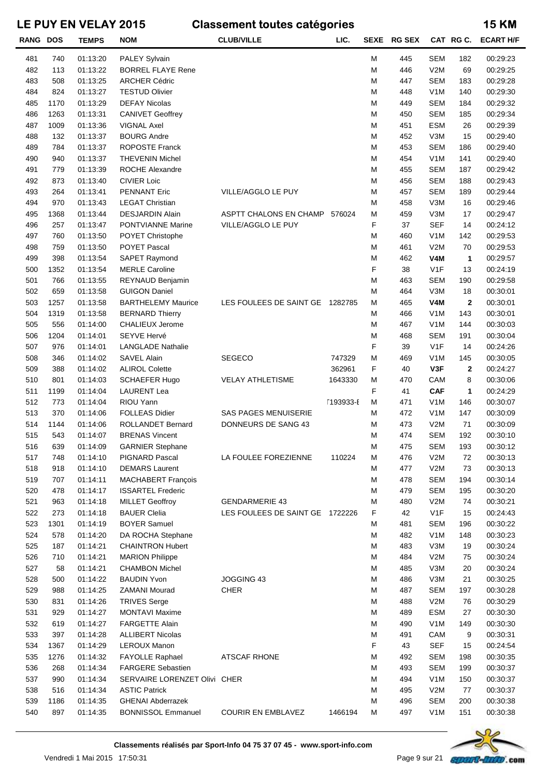| <b>RANG DOS</b> |      | <b>TEMPS</b> | <b>NOM</b>                   | <b>CLUB/VILLE</b>               | LIC.      |   | SEXE RG SEX |                  | CAT RGC.    | <b>ECART H/F</b> |
|-----------------|------|--------------|------------------------------|---------------------------------|-----------|---|-------------|------------------|-------------|------------------|
| 481             | 740  | 01:13:20     | PALEY Sylvain                |                                 |           | М | 445         | <b>SEM</b>       | 182         | 00:29:23         |
| 482             | 113  | 01:13:22     | <b>BORREL FLAYE Rene</b>     |                                 |           | M | 446         | V2M              | 69          | 00:29:25         |
| 483             | 508  | 01:13:25     | <b>ARCHER Cédric</b>         |                                 |           | М | 447         | <b>SEM</b>       | 183         | 00:29:28         |
| 484             | 824  | 01:13:27     | <b>TESTUD Olivier</b>        |                                 |           | M | 448         | V <sub>1</sub> M | 140         | 00:29:30         |
| 485             | 1170 | 01:13:29     | <b>DEFAY Nicolas</b>         |                                 |           | M | 449         | <b>SEM</b>       | 184         | 00:29:32         |
| 486             | 1263 | 01:13:31     | <b>CANIVET Geoffrey</b>      |                                 |           | M | 450         | <b>SEM</b>       | 185         | 00:29:34         |
| 487             | 1009 | 01:13:36     | <b>VIGNAL Axel</b>           |                                 |           | M | 451         | ESM              | 26          | 00:29:39         |
| 488             | 132  | 01:13:37     | <b>BOURG Andre</b>           |                                 |           | M | 452         | V3M              | 15          | 00:29:40         |
| 489             | 784  | 01:13:37     | ROPOSTE Franck               |                                 |           | M | 453         | <b>SEM</b>       | 186         | 00:29:40         |
| 490             | 940  | 01:13:37     | <b>THEVENIN Michel</b>       |                                 |           | M | 454         | V <sub>1</sub> M | 141         | 00:29:40         |
| 491             | 779  | 01:13:39     | <b>ROCHE Alexandre</b>       |                                 |           | M | 455         | <b>SEM</b>       | 187         | 00:29:42         |
| 492             | 873  | 01:13:40     | <b>CIVIER Loic</b>           |                                 |           | M | 456         | SEM              | 188         | 00:29:43         |
| 493             | 264  | 01:13:41     | <b>PENNANT Eric</b>          | VILLE/AGGLO LE PUY              |           | M | 457         | SEM              | 189         | 00:29:44         |
| 494             | 970  | 01:13:43     | <b>LEGAT Christian</b>       |                                 |           | M | 458         | V3M              | 16          | 00:29:46         |
| 495             | 1368 | 01:13:44     | <b>DESJARDIN Alain</b>       | ASPTT CHALONS EN CHAMP          | 576024    | M | 459         | V3M              | 17          | 00:29:47         |
| 496             | 257  | 01:13:47     | <b>PONTVIANNE Marine</b>     | VILLE/AGGLO LE PUY              |           | F | 37          | <b>SEF</b>       | 14          | 00:24:12         |
| 497             | 760  | 01:13:50     | POYET Christophe             |                                 |           | М | 460         | V <sub>1</sub> M | 142         | 00:29:53         |
| 498             | 759  | 01:13:50     | <b>POYET Pascal</b>          |                                 |           | M | 461         | V2M              | 70          | 00:29:53         |
| 499             | 398  | 01:13:54     | SAPET Raymond                |                                 |           | M | 462         | <b>V4M</b>       | 1           | 00:29:57         |
| 500             | 1352 | 01:13:54     | <b>MERLE Caroline</b>        |                                 |           | F | 38          | V <sub>1</sub> F | 13          | 00:24:19         |
| 501             | 766  | 01:13:55     | REYNAUD Benjamin             |                                 |           | M | 463         | SEM              | 190         | 00:29:58         |
| 502             | 659  | 01:13:58     | <b>GUIGON Daniel</b>         |                                 |           | M | 464         | V3M              | 18          | 00:30:01         |
| 503             | 1257 | 01:13:58     | <b>BARTHELEMY Maurice</b>    | LES FOULEES DE SAINT GE 1282785 |           | M | 465         | V4M              | $\mathbf 2$ | 00:30:01         |
| 504             | 1319 | 01:13:58     | <b>BERNARD Thierry</b>       |                                 |           | M | 466         | V <sub>1</sub> M | 143         | 00:30:01         |
| 505             | 556  | 01:14:00     | CHALIEUX Jerome              |                                 |           | M | 467         | V <sub>1</sub> M | 144         | 00:30:03         |
| 506             | 1204 | 01:14:01     | <b>SEYVE Hervé</b>           |                                 |           | M | 468         | <b>SEM</b>       | 191         | 00:30:04         |
| 507             | 976  | 01:14:01     | <b>LANGLADE Nathalie</b>     |                                 |           | F | 39          | V1F              | 14          | 00:24:26         |
| 508             | 346  | 01:14:02     | <b>SAVEL Alain</b>           | <b>SEGECO</b>                   | 747329    | M | 469         | V <sub>1</sub> M | 145         | 00:30:05         |
| 509             | 388  | 01:14:02     | <b>ALIROL Colette</b>        |                                 | 362961    | F | 40          | V3F              | 2           | 00:24:27         |
| 510             | 801  | 01:14:03     | <b>SCHAEFER Hugo</b>         | <b>VELAY ATHLETISME</b>         | 1643330   | M | 470         | CAM              | 8           | 00:30:06         |
| 511             | 1199 | 01:14:04     | <b>LAURENT Lea</b>           |                                 |           | F | 41          | <b>CAF</b>       | 1           | 00:24:29         |
| 512             | 773  | 01:14:04     | RIOU Yann                    |                                 | [193933-E | М | 471         | V <sub>1</sub> M | 146         | 00:30:07         |
| 513             | 370  | 01:14:06     | <b>FOLLEAS Didier</b>        | <b>SAS PAGES MENUISERIE</b>     |           | М | 472         | V <sub>1</sub> M | 147         | 00:30:09         |
| 514             | 1144 | 01:14:06     | ROLLANDET Bernard            | DONNEURS DE SANG 43             |           | М | 473         | V2M              | 71          | 00:30:09         |
| 515             | 543  | 01:14:07     | <b>BRENAS Vincent</b>        |                                 |           | М | 474         | <b>SEM</b>       | 192         | 00:30:10         |
| 516             | 639  | 01:14:09     | <b>GARNIER Stephane</b>      |                                 |           | М | 475         | <b>SEM</b>       | 193         | 00:30:12         |
| 517             | 748  | 01:14:10     | PIGNARD Pascal               | LA FOULEE FOREZIENNE            | 110224    | М | 476         | V2M              | 72          | 00:30:13         |
| 518             | 918  | 01:14:10     | <b>DEMARS Laurent</b>        |                                 |           | M | 477         | V2M              | 73          | 00:30:13         |
| 519             | 707  | 01:14:11     | <b>MACHABERT François</b>    |                                 |           | M | 478         | SEM              | 194         | 00:30:14         |
| 520             | 478  | 01:14:17     | <b>ISSARTEL Frederic</b>     |                                 |           | M | 479         | SEM              | 195         | 00:30:20         |
| 521             | 963  | 01:14:18     | <b>MILLET Geoffroy</b>       | <b>GENDARMERIE 43</b>           |           | M | 480         | V2M              | 74          | 00:30:21         |
| 522             | 273  | 01:14:18     | <b>BAUER Clelia</b>          | LES FOULEES DE SAINT GE 1722226 |           | F | 42          | V <sub>1</sub> F | 15          | 00:24:43         |
| 523             | 1301 | 01:14:19     | <b>BOYER Samuel</b>          |                                 |           | M | 481         | SEM              | 196         | 00:30:22         |
| 524             | 578  | 01:14:20     | DA ROCHA Stephane            |                                 |           | M | 482         | V <sub>1</sub> M | 148         | 00:30:23         |
| 525             | 187  | 01:14:21     | <b>CHAINTRON Hubert</b>      |                                 |           | M | 483         | V3M              | 19          | 00:30:24         |
| 526             | 710  | 01:14:21     | <b>MARION Philippe</b>       |                                 |           | M | 484         | V2M              | 75          | 00:30:24         |
| 527             | 58   | 01:14:21     | <b>CHAMBON Michel</b>        |                                 |           | M | 485         | V3M              | 20          | 00:30:24         |
| 528             | 500  | 01:14:22     | <b>BAUDIN Yvon</b>           | JOGGING 43                      |           | M | 486         | V3M              | 21          | 00:30:25         |
| 529             | 988  | 01:14:25     | <b>ZAMANI Mourad</b>         | <b>CHER</b>                     |           | M | 487         | SEM              | 197         | 00:30:28         |
| 530             | 831  | 01:14:26     | <b>TRIVES Serge</b>          |                                 |           | M | 488         | V2M              | 76          | 00:30:29         |
| 531             | 929  | 01:14:27     | MONTAVI Maxime               |                                 |           | M | 489         | ESM              | 27          | 00:30:30         |
| 532             | 619  | 01:14:27     | <b>FARGETTE Alain</b>        |                                 |           | M | 490         | V <sub>1</sub> M | 149         | 00:30:30         |
| 533             | 397  | 01:14:28     | <b>ALLIBERT Nicolas</b>      |                                 |           | M | 491         | CAM              | 9           | 00:30:31         |
| 534             | 1367 | 01:14:29     | LEROUX Manon                 |                                 |           | F | 43          | <b>SEF</b>       | 15          | 00:24:54         |
| 535             | 1276 | 01:14:32     | FAYOLLE Raphael              | <b>ATSCAF RHONE</b>             |           | M | 492         | SEM              | 198         | 00:30:35         |
| 536             | 268  | 01:14:34     | <b>FARGERE Sebastien</b>     |                                 |           | M | 493         | <b>SEM</b>       | 199         | 00:30:37         |
| 537             | 990  | 01:14:34     | SERVAIRE LORENZET Olivi CHER |                                 |           | M | 494         | V <sub>1</sub> M | 150         | 00:30:37         |
| 538             | 516  | 01:14:34     | <b>ASTIC Patrick</b>         |                                 |           | M | 495         | V2M              | 77          | 00:30:37         |
| 539             | 1186 | 01:14:35     | <b>GHENAI Abderrazek</b>     |                                 |           | М | 496         | SEM              | 200         | 00:30:38         |
| 540             | 897  | 01:14:35     | <b>BONNISSOL Emmanuel</b>    | <b>COURIR EN EMBLAVEZ</b>       | 1466194   | М | 497         | V <sub>1</sub> M | 151         | 00:30:38         |

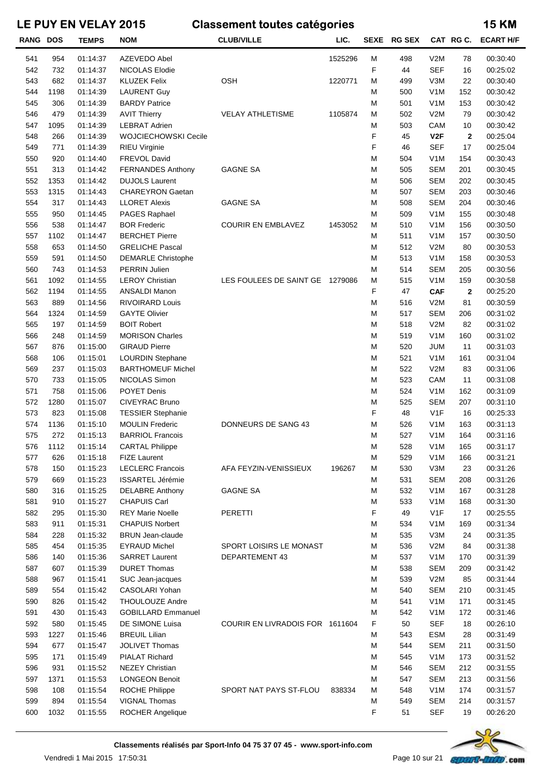| <b>RANG DOS</b> |            | <b>TEMPS</b>         | <b>NOM</b>                                          | <b>CLUB/VILLE</b>               | LIC.    | SEXE   | <b>RG SEX</b> |                                | CAT RGC.    | <b>ECART H/F</b>     |
|-----------------|------------|----------------------|-----------------------------------------------------|---------------------------------|---------|--------|---------------|--------------------------------|-------------|----------------------|
| 541             | 954        | 01:14:37             | <b>AZEVEDO Abel</b>                                 |                                 | 1525296 | M      | 498           | V2M                            | 78          | 00:30:40             |
| 542             | 732        | 01:14:37             | NICOLAS Elodie                                      |                                 |         | F      | 44            | <b>SEF</b>                     | 16          | 00:25:02             |
| 543             | 682        | 01:14:37             | <b>KLUZEK Felix</b>                                 | <b>OSH</b>                      | 1220771 | М      | 499           | V3M                            | 22          | 00:30:40             |
| 544             | 1198       | 01:14:39             | <b>LAURENT Guy</b>                                  |                                 |         | М      | 500           | V <sub>1</sub> M               | 152         | 00:30:42             |
| 545             | 306        | 01:14:39             | <b>BARDY Patrice</b>                                |                                 |         | M      | 501           | V <sub>1</sub> M               | 153         | 00:30:42             |
| 546             | 479        | 01:14:39             | <b>AVIT Thierry</b>                                 | <b>VELAY ATHLETISME</b>         | 1105874 | M      | 502           | V2M                            | 79          | 00:30:42             |
| 547             | 1095       | 01:14:39             | <b>LEBRAT Adrien</b>                                |                                 |         | M      | 503           | CAM                            | 10          | 00:30:42             |
| 548             | 266        | 01:14:39             | WOJCIECHOWSKI Cecile                                |                                 |         | F      | 45            | V2F                            | $\mathbf 2$ | 00:25:04             |
| 549             | 771        | 01:14:39             | <b>RIEU Virginie</b>                                |                                 |         | F      | 46            | <b>SEF</b>                     | 17          | 00:25:04             |
| 550             | 920        | 01:14:40             | FREVOL David                                        |                                 |         | M      | 504           | V <sub>1</sub> M               | 154         | 00:30:43             |
| 551             | 313        | 01:14:42             | <b>FERNANDES Anthony</b>                            | <b>GAGNE SA</b>                 |         | M      | 505           | <b>SEM</b>                     | 201         | 00:30:45             |
| 552             | 1353       | 01:14:42             | <b>DUJOLS Laurent</b>                               |                                 |         | M      | 506           | <b>SEM</b>                     | 202         | 00:30:45             |
| 553             | 1315       | 01:14:43             | <b>CHAREYRON Gaetan</b>                             |                                 |         | M      | 507           | <b>SEM</b>                     | 203         | 00:30:46             |
| 554             | 317        | 01:14:43             | <b>LLORET Alexis</b>                                | <b>GAGNE SA</b>                 |         | M      | 508           | <b>SEM</b>                     | 204         | 00:30:46             |
| 555             | 950        | 01:14:45             | PAGES Raphael                                       |                                 |         | M      | 509           | V <sub>1</sub> M               | 155         | 00:30:48             |
| 556             | 538        | 01:14:47             | <b>BOR Frederic</b>                                 | <b>COURIR EN EMBLAVEZ</b>       | 1453052 | M      | 510           | V <sub>1</sub> M               | 156         | 00:30:50             |
| 557             | 1102       | 01:14:47             | <b>BERCHET Pierre</b>                               |                                 |         | M      | 511           | V <sub>1</sub> M               | 157         | 00:30:50             |
| 558             | 653        | 01:14:50             | <b>GRELICHE Pascal</b>                              |                                 |         | M      | 512           | V2M                            | 80          | 00:30:53             |
| 559             | 591        | 01:14:50             | <b>DEMARLE Christophe</b>                           |                                 |         | M      | 513           | V <sub>1</sub> M               | 158         | 00:30:53             |
| 560             | 743        | 01:14:53             | PERRIN Julien                                       |                                 |         | M      | 514           | <b>SEM</b>                     | 205         | 00:30:56             |
| 561             | 1092       | 01:14:55             | <b>LEROY Christian</b>                              | LES FOULEES DE SAINT GE 1279086 |         | M      | 515           | V <sub>1</sub> M               | 159         | 00:30:58             |
| 562             | 1194       | 01:14:55             | ANSALDI Manon                                       |                                 |         | F      | 47            | <b>CAF</b>                     | $\mathbf 2$ | 00:25:20             |
| 563             | 889        | 01:14:56             | <b>RIVOIRARD Louis</b>                              |                                 |         | М      | 516           | V2M                            | 81          | 00:30:59             |
| 564             | 1324       | 01:14:59             | <b>GAYTE Olivier</b>                                |                                 |         | M      | 517           | <b>SEM</b>                     | 206         | 00:31:02             |
| 565             | 197        | 01:14:59             | <b>BOIT Robert</b>                                  |                                 |         | M      | 518           | V2M                            | 82          | 00:31:02             |
| 566             | 248        | 01:14:59             | <b>MORISON Charles</b>                              |                                 |         | M      | 519           | V <sub>1</sub> M               | 160         | 00:31:02             |
| 567<br>568      | 876<br>106 | 01:15:00<br>01:15:01 | <b>GIRAUD Pierre</b>                                |                                 |         | M<br>M | 520<br>521    | <b>JUM</b><br>V <sub>1</sub> M | 11<br>161   | 00:31:03<br>00:31:04 |
| 569             | 237        | 01:15:03             | <b>LOURDIN Stephane</b><br><b>BARTHOMEUF Michel</b> |                                 |         | M      | 522           | V2M                            | 83          | 00:31:06             |
| 570             | 733        | 01:15:05             | NICOLAS Simon                                       |                                 |         | M      | 523           | CAM                            | 11          | 00:31:08             |
| 571             | 758        | 01:15:06             | POYET Denis                                         |                                 |         | M      | 524           | V <sub>1</sub> M               | 162         | 00:31:09             |
| 572             | 1280       | 01:15:07             | CIVEYRAC Bruno                                      |                                 |         | M      | 525           | <b>SEM</b>                     | 207         | 00:31:10             |
| 573             | 823        | 01:15:08             | <b>TESSIER Stephanie</b>                            |                                 |         | F      | 48            | V <sub>1</sub> F               | 16          | 00:25:33             |
| 574             | 1136       | 01:15:10             | <b>MOULIN Frederic</b>                              | DONNEURS DE SANG 43             |         | M      | 526           | V <sub>1</sub> M               | 163         | 00:31:13             |
| 575             | 272        | 01:15:13             | <b>BARRIOL Francois</b>                             |                                 |         | М      | 527           | V <sub>1</sub> M               | 164         | 00:31:16             |
| 576             | 1112       | 01:15:14             | <b>CARTAL Philippe</b>                              |                                 |         | М      | 528           | V <sub>1</sub> M               | 165         | 00:31:17             |
| 577             | 626        | 01:15:18             | <b>FIZE Laurent</b>                                 |                                 |         | М      | 529           | V <sub>1</sub> M               | 166         | 00:31:21             |
| 578             | 150        | 01:15:23             | <b>LECLERC Francois</b>                             | AFA FEYZIN-VENISSIEUX           | 196267  | М      | 530           | V3M                            | 23          | 00:31:26             |
| 579             | 669        | 01:15:23             | <b>ISSARTEL Jérémie</b>                             |                                 |         | М      | 531           | <b>SEM</b>                     | 208         | 00:31:26             |
| 580             | 316        | 01:15:25             | <b>DELABRE Anthony</b>                              | <b>GAGNE SA</b>                 |         | М      | 532           | V <sub>1</sub> M               | 167         | 00:31:28             |
| 581             | 910        | 01:15:27             | <b>CHAPUIS Carl</b>                                 |                                 |         | M      | 533           | V <sub>1</sub> M               | 168         | 00:31:30             |
| 582             | 295        | 01:15:30             | <b>REY Marie Noelle</b>                             | <b>PERETTI</b>                  |         | F      | 49            | V <sub>1</sub> F               | 17          | 00:25:55             |
| 583             | 911        | 01:15:31             | <b>CHAPUIS Norbert</b>                              |                                 |         | M      | 534           | V <sub>1</sub> M               | 169         | 00:31:34             |
| 584             | 228        | 01:15:32             | <b>BRUN Jean-claude</b>                             |                                 |         | M      | 535           | V3M                            | 24          | 00:31:35             |
| 585             | 454        | 01:15:35             | <b>EYRAUD Michel</b>                                | SPORT LOISIRS LE MONAST         |         | M      | 536           | V2M                            | 84          | 00:31:38             |
| 586             | 140        | 01:15:36             | <b>SARRET Laurent</b>                               | <b>DEPARTEMENT 43</b>           |         | M      | 537           | V <sub>1</sub> M               | 170         | 00:31:39             |
| 587             | 607        | 01:15:39             | <b>DURET Thomas</b>                                 |                                 |         | M      | 538           | <b>SEM</b>                     | 209         | 00:31:42             |
| 588             | 967        | 01:15:41             | SUC Jean-jacques                                    |                                 |         | M      | 539           | V2M                            | 85          | 00:31:44             |
| 589             | 554        | 01:15:42             | CASOLARI Yohan                                      |                                 |         | M      | 540           | <b>SEM</b>                     | 210         | 00:31:45             |
| 590             | 826        | 01:15:42             | THOULOUZE Andre                                     |                                 |         | M      | 541           | V <sub>1</sub> M               | 171         | 00:31:45             |
| 591             | 430        | 01:15:43             | <b>GOBILLARD Emmanuel</b>                           |                                 |         | М      | 542           | V <sub>1</sub> M               | 172         | 00:31:46             |
| 592             | 580        | 01:15:45             | DE SIMONE Luisa                                     | COURIR EN LIVRADOIS FOR 1611604 |         | F      | 50            | <b>SEF</b>                     | 18          | 00:26:10             |
| 593             | 1227       | 01:15:46             | <b>BREUIL Lilian</b>                                |                                 |         | М      | 543           | <b>ESM</b>                     | 28          | 00:31:49             |
| 594             | 677        | 01:15:47             | <b>JOLIVET Thomas</b>                               |                                 |         | M      | 544           | <b>SEM</b>                     | 211         | 00:31:50             |
| 595<br>596      | 171<br>931 | 01:15:49             | <b>PIALAT Richard</b><br><b>NEZEY Christian</b>     |                                 |         | M      | 545<br>546    | V <sub>1</sub> M<br><b>SEM</b> | 173<br>212  | 00:31:52<br>00:31:55 |
| 597             | 1371       | 01:15:52<br>01:15:53 | <b>LONGEON Benoit</b>                               |                                 |         | М<br>М | 547           | <b>SEM</b>                     | 213         | 00:31:56             |
| 598             | 108        | 01:15:54             | ROCHE Philippe                                      | SPORT NAT PAYS ST-FLOU          | 838334  | М      | 548           | V <sub>1</sub> M               | 174         | 00:31:57             |
| 599             | 894        | 01:15:54             | VIGNAL Thomas                                       |                                 |         | М      | 549           | <b>SEM</b>                     | 214         | 00:31:57             |
| 600             | 1032       | 01:15:55             | ROCHER Angelique                                    |                                 |         | F      | 51            | <b>SEF</b>                     | 19          | 00:26:20             |
|                 |            |                      |                                                     |                                 |         |        |               |                                |             |                      |

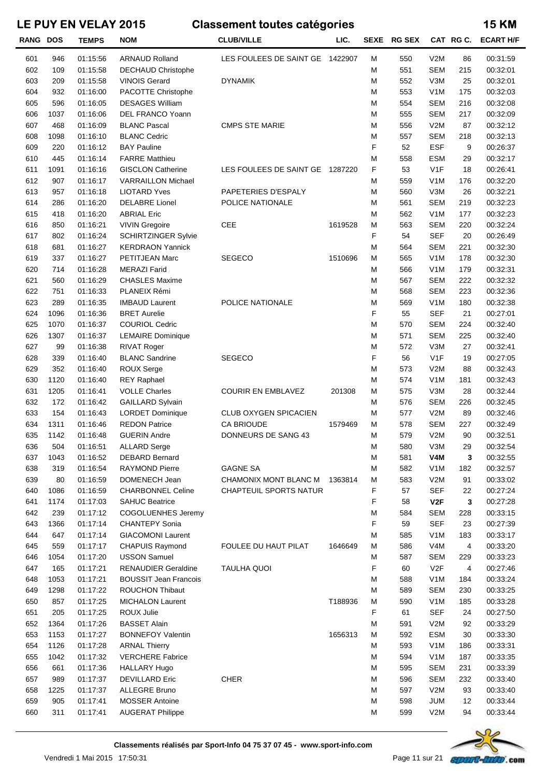| <b>RANG DOS</b> |      | <b>TEMPS</b> | <b>NOM</b>                   | <b>CLUB/VILLE</b>               | LIC.    | SEXE | <b>RG SEX</b> |                  | CAT RG C. | <b>ECART H/F</b> |
|-----------------|------|--------------|------------------------------|---------------------------------|---------|------|---------------|------------------|-----------|------------------|
| 601             | 946  | 01:15:56     | <b>ARNAUD Rolland</b>        | LES FOULEES DE SAINT GE 1422907 |         | М    | 550           | V2M              | 86        | 00:31:59         |
| 602             | 109  | 01:15:58     | DECHAUD Christophe           |                                 |         | М    | 551           | <b>SEM</b>       | 215       | 00:32:01         |
| 603             | 209  | 01:15:58     | <b>VINOIS Gerard</b>         | <b>DYNAMIK</b>                  |         | М    | 552           | V3M              | 25        | 00:32:01         |
| 604             | 932  | 01:16:00     | PACOTTE Christophe           |                                 |         | М    | 553           | V <sub>1</sub> M | 175       | 00:32:03         |
| 605             | 596  | 01:16:05     | <b>DESAGES William</b>       |                                 |         | M    | 554           | <b>SEM</b>       | 216       | 00:32:08         |
| 606             | 1037 | 01:16:06     | DEL FRANCO Yoann             |                                 |         | М    | 555           | <b>SEM</b>       | 217       | 00:32:09         |
| 607             | 468  | 01:16:09     | <b>BLANC Pascal</b>          | <b>CMPS STE MARIE</b>           |         | М    | 556           | V2M              | 87        | 00:32:12         |
| 608             | 1098 | 01:16:10     | <b>BLANC Cedric</b>          |                                 |         | M    | 557           | <b>SEM</b>       | 218       | 00:32:13         |
| 609             | 220  | 01:16:12     | <b>BAY Pauline</b>           |                                 |         | F    | 52            | <b>ESF</b>       | 9         | 00:26:37         |
| 610             | 445  | 01:16:14     | <b>FARRE Matthieu</b>        |                                 |         | M    | 558           | <b>ESM</b>       | 29        | 00:32:17         |
| 611             | 1091 | 01:16:16     | <b>GISCLON Catherine</b>     | LES FOULEES DE SAINT GE         | 1287220 | F    | 53            | V1F              | 18        | 00:26:41         |
| 612             | 907  | 01:16:17     | <b>VARRAILLON Michael</b>    |                                 |         | М    | 559           | V <sub>1</sub> M | 176       | 00:32:20         |
| 613             | 957  | 01:16:18     | <b>LIOTARD Yves</b>          | PAPETERIES D'ESPALY             |         | М    | 560           | V3M              | 26        | 00:32:21         |
| 614             | 286  | 01:16:20     | <b>DELABRE Lionel</b>        | POLICE NATIONALE                |         | М    | 561           | <b>SEM</b>       | 219       | 00:32:23         |
| 615             | 418  | 01:16:20     | <b>ABRIAL Eric</b>           |                                 |         | M    | 562           | V <sub>1</sub> M | 177       | 00:32:23         |
| 616             | 850  | 01:16:21     | <b>VIVIN Gregoire</b>        | CEE                             | 1619528 | M    | 563           | <b>SEM</b>       | 220       | 00:32:24         |
| 617             | 802  | 01:16:24     | <b>SCHIRTZINGER Sylvie</b>   |                                 |         | F    | 54            | <b>SEF</b>       | 20        | 00:26:49         |
| 618             | 681  | 01:16:27     | <b>KERDRAON Yannick</b>      |                                 |         | М    | 564           | <b>SEM</b>       | 221       | 00:32:30         |
| 619             | 337  | 01:16:27     | PETITJEAN Marc               | <b>SEGECO</b>                   | 1510696 | M    | 565           | V <sub>1</sub> M | 178       | 00:32:30         |
| 620             | 714  | 01:16:28     | <b>MERAZI Farid</b>          |                                 |         | М    | 566           | V <sub>1</sub> M | 179       | 00:32:31         |
| 621             | 560  | 01:16:29     | <b>CHASLES Maxime</b>        |                                 |         | М    | 567           | <b>SEM</b>       | 222       | 00:32:32         |
| 622             | 751  | 01:16:33     | PLANEIX Rémi                 |                                 |         | M    | 568           | <b>SEM</b>       | 223       | 00:32:36         |
| 623             | 289  | 01:16:35     | <b>IMBAUD Laurent</b>        | POLICE NATIONALE                |         | M    | 569           | V <sub>1</sub> M | 180       | 00:32:38         |
| 624             | 1096 | 01:16:36     | <b>BRET Aurelie</b>          |                                 |         | F    | 55            | <b>SEF</b>       | 21        | 00:27:01         |
| 625             | 1070 | 01:16:37     | <b>COURIOL Cedric</b>        |                                 |         | М    | 570           | <b>SEM</b>       | 224       | 00:32:40         |
| 626             | 1307 | 01:16:37     | <b>LEMAIRE Dominique</b>     |                                 |         | М    | 571           | <b>SEM</b>       | 225       | 00:32:40         |
| 627             | 99   | 01:16:38     | <b>RIVAT Roger</b>           |                                 |         | М    | 572           | V3M              | 27        | 00:32:41         |
| 628             | 339  | 01:16:40     | <b>BLANC Sandrine</b>        | <b>SEGECO</b>                   |         | F    | 56            | V1F              | 19        | 00:27:05         |
| 629             | 352  | 01:16:40     | <b>ROUX Serge</b>            |                                 |         | M    | 573           | V2M              | 88        | 00:32:43         |
| 630             | 1120 | 01:16:40     | <b>REY Raphael</b>           |                                 |         | М    | 574           | V <sub>1</sub> M | 181       | 00:32:43         |
| 631             | 1205 | 01:16:41     | <b>VOLLE Charles</b>         | <b>COURIR EN EMBLAVEZ</b>       | 201308  | M    | 575           | V3M              | 28        | 00:32:44         |
| 632             | 172  | 01:16:42     | <b>GAILLARD Sylvain</b>      |                                 |         | M    | 576           | <b>SEM</b>       | 226       | 00:32:45         |
| 633             | 154  | 01:16:43     | <b>LORDET Dominique</b>      | CLUB OXYGEN SPICACIEN           |         | M    | 577           | V2M              | 89        | 00:32:46         |
| 634             | 1311 | 01:16:46     | <b>REDON Patrice</b>         | <b>CA BRIOUDE</b>               | 1579469 | М    | 578           | <b>SEM</b>       | 227       | 00:32:49         |
| 635             | 1142 | 01:16:48     | <b>GUERIN Andre</b>          | DONNEURS DE SANG 43             |         | М    | 579           | V2M              | 90        | 00:32:51         |
| 636             | 504  | 01:16:51     | <b>ALLARD Serge</b>          |                                 |         | M    | 580           | V3M              | 29        | 00:32:54         |
| 637             | 1043 | 01:16:52     | <b>DEBARD Bernard</b>        |                                 |         | M    | 581           | V4M              | 3         | 00:32:55         |
| 638             | 319  | 01:16:54     | <b>RAYMOND Pierre</b>        | <b>GAGNE SA</b>                 |         | M    | 582           | V <sub>1</sub> M | 182       | 00:32:57         |
| 639             | 80   | 01:16:59     | DOMENECH Jean                | CHAMONIX MONT BLANC M           | 1363814 | M    | 583           | V2M              | 91        | 00:33:02         |
| 640             | 1086 | 01:16:59     | <b>CHARBONNEL Celine</b>     | <b>CHAPTEUIL SPORTS NATUR</b>   |         | F    | 57            | <b>SEF</b>       | 22        | 00:27:24         |
| 641             | 1174 | 01:17:03     | <b>SAHUC Beatrice</b>        |                                 |         | F    | 58            | V <sub>2</sub> F | 3         | 00:27:28         |
| 642             | 239  | 01:17:12     | COGOLUENHES Jeremy           |                                 |         | M    | 584           | <b>SEM</b>       | 228       | 00:33:15         |
| 643             | 1366 | 01:17:14     | <b>CHANTEPY Sonia</b>        |                                 |         | F    | 59            | <b>SEF</b>       | 23        | 00:27:39         |
| 644             | 647  | 01:17:14     | <b>GIACOMONI Laurent</b>     |                                 |         | M    | 585           | V <sub>1</sub> M | 183       | 00:33:17         |
| 645             | 559  | 01:17:17     | CHAPUIS Raymond              | FOULEE DU HAUT PILAT            | 1646649 | M    | 586           | V <sub>4</sub> M | 4         | 00:33:20         |
| 646             | 1054 | 01:17:20     | <b>USSON Samuel</b>          |                                 |         | M    | 587           | <b>SEM</b>       | 229       | 00:33:23         |
| 647             | 165  | 01:17:21     | <b>RENAUDIER Geraldine</b>   | <b>TAULHA QUOI</b>              |         | F    | 60            | V <sub>2</sub> F | 4         | 00:27:46         |
| 648             | 1053 | 01:17:21     | <b>BOUSSIT Jean Francois</b> |                                 |         | M    | 588           | V <sub>1</sub> M | 184       | 00:33:24         |
| 649             | 1298 | 01:17:22     | <b>ROUCHON Thibaut</b>       |                                 |         | M    | 589           | <b>SEM</b>       | 230       | 00:33:25         |
| 650             | 857  | 01:17:25     | <b>MICHALON Laurent</b>      |                                 | T188936 | M    | 590           | V <sub>1</sub> M | 185       | 00:33:28         |
| 651             | 205  | 01:17:25     | ROUX Julie                   |                                 |         | F    | 61            | <b>SEF</b>       | 24        | 00:27:50         |
| 652             | 1364 | 01:17:26     | <b>BASSET Alain</b>          |                                 |         | M    | 591           | V2M              | 92        | 00:33:29         |
| 653             | 1153 | 01:17:27     | <b>BONNEFOY Valentin</b>     |                                 | 1656313 | M    | 592           | <b>ESM</b>       | 30        | 00:33:30         |
| 654             | 1126 | 01:17:28     | <b>ARNAL Thierry</b>         |                                 |         | M    | 593           | V <sub>1</sub> M | 186       | 00:33:31         |
| 655             | 1042 | 01:17:32     | <b>VERCHERE Fabrice</b>      |                                 |         | M    | 594           | V <sub>1</sub> M | 187       | 00:33:35         |
| 656             | 661  | 01:17:36     | <b>HALLARY Hugo</b>          |                                 |         | M    | 595           | <b>SEM</b>       | 231       | 00:33:39         |
| 657             | 989  | 01:17:37     | <b>DEVILLARD Eric</b>        | <b>CHER</b>                     |         | M    | 596           | <b>SEM</b>       | 232       | 00:33:40         |
| 658             | 1225 | 01:17:37     | <b>ALLEGRE Bruno</b>         |                                 |         | M    | 597           | V2M              | 93        | 00:33:40         |
| 659             | 905  | 01:17:41     | <b>MOSSER Antoine</b>        |                                 |         | M    | 598           | <b>JUM</b>       | 12        | 00:33:44         |
| 660             | 311  | 01:17:41     | <b>AUGERAT Philippe</b>      |                                 |         | M    | 599           | V2M              | 94        | 00:33:44         |

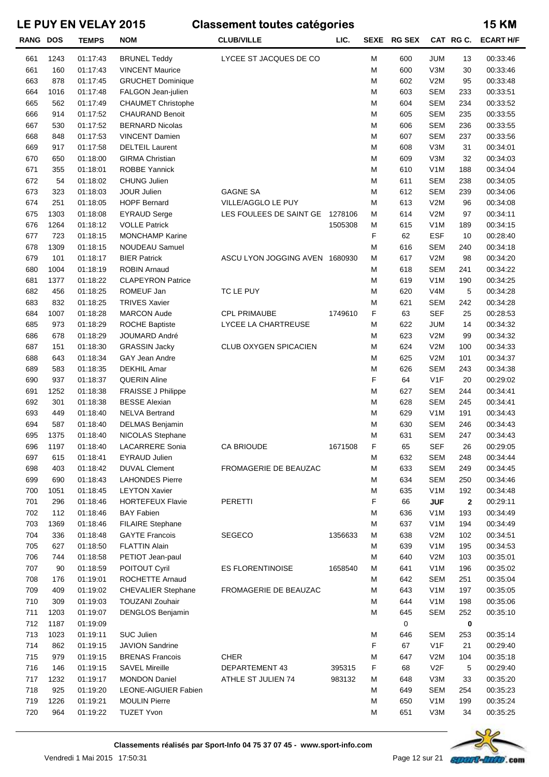| RANG DOS |      | <b>TEMPS</b> | <b>NOM</b>                  | <b>CLUB/VILLE</b>              | LIC.    |   | SEXE RG SEX |                  | CAT RGC.     | <b>ECART H/F</b> |
|----------|------|--------------|-----------------------------|--------------------------------|---------|---|-------------|------------------|--------------|------------------|
| 661      | 1243 | 01:17:43     | <b>BRUNEL Teddy</b>         | LYCEE ST JACQUES DE CO         |         | M | 600         | <b>JUM</b>       | 13           | 00:33:46         |
| 661      | 160  | 01:17:43     | <b>VINCENT Maurice</b>      |                                |         | M | 600         | V3M              | 30           | 00:33:46         |
| 663      | 878  | 01:17:45     | <b>GRUCHET Dominique</b>    |                                |         | M | 602         | V2M              | 95           | 00:33:48         |
| 664      | 1016 | 01:17:48     | FALGON Jean-julien          |                                |         | M | 603         | <b>SEM</b>       | 233          | 00:33:51         |
| 665      | 562  | 01:17:49     | <b>CHAUMET Christophe</b>   |                                |         | M | 604         | <b>SEM</b>       | 234          | 00:33:52         |
| 666      | 914  | 01:17:52     | <b>CHAURAND Benoit</b>      |                                |         | M | 605         | <b>SEM</b>       | 235          | 00:33:55         |
| 667      | 530  | 01:17:52     | <b>BERNARD Nicolas</b>      |                                |         | M | 606         | <b>SEM</b>       | 236          | 00:33:55         |
| 668      | 848  | 01:17:53     | <b>VINCENT Damien</b>       |                                |         | M | 607         | <b>SEM</b>       | 237          | 00:33:56         |
| 669      | 917  | 01:17:58     | <b>DELTEIL Laurent</b>      |                                |         | M | 608         | V3M              | 31           | 00:34:01         |
| 670      | 650  | 01:18:00     | <b>GIRMA Christian</b>      |                                |         | M | 609         | V3M              | 32           | 00:34:03         |
| 671      | 355  | 01:18:01     | ROBBE Yannick               |                                |         | M | 610         | V <sub>1</sub> M | 188          | 00:34:04         |
| 672      | 54   | 01:18:02     | <b>CHUNG Julien</b>         |                                |         | M | 611         | <b>SEM</b>       | 238          | 00:34:05         |
| 673      | 323  | 01:18:03     | <b>JOUR Julien</b>          | <b>GAGNE SA</b>                |         | M | 612         | <b>SEM</b>       | 239          | 00:34:06         |
| 674      | 251  | 01:18:05     | <b>HOPF Bernard</b>         | VILLE/AGGLO LE PUY             |         | M | 613         | V2M              | 96           | 00:34:08         |
| 675      | 1303 | 01:18:08     | <b>EYRAUD Serge</b>         | LES FOULEES DE SAINT GE        | 1278106 | M | 614         | V2M              | 97           | 00:34:11         |
| 676      | 1264 | 01:18:12     | <b>VOLLE Patrick</b>        |                                | 1505308 | M | 615         | V <sub>1</sub> M | 189          | 00:34:15         |
| 677      | 723  | 01:18:15     | <b>MONCHAMP Karine</b>      |                                |         | F | 62          | <b>ESF</b>       | 10           | 00:28:40         |
| 678      | 1309 | 01:18:15     | NOUDEAU Samuel              |                                |         | M | 616         | <b>SEM</b>       | 240          | 00:34:18         |
| 679      | 101  | 01:18:17     | <b>BIER Patrick</b>         | ASCU LYON JOGGING AVEN 1680930 |         | M | 617         | V2M              | 98           | 00:34:20         |
| 680      | 1004 | 01:18:19     | <b>ROBIN Arnaud</b>         |                                |         | M | 618         | <b>SEM</b>       | 241          | 00:34:22         |
| 681      | 1377 | 01:18:22     | <b>CLAPEYRON Patrice</b>    |                                |         | M | 619         | V <sub>1</sub> M | 190          | 00:34:25         |
| 682      | 456  | 01:18:25     | ROMEUF Jan                  | TC LE PUY                      |         | M | 620         | V4M              | 5            | 00:34:28         |
| 683      | 832  | 01:18:25     | <b>TRIVES Xavier</b>        |                                |         | M | 621         | <b>SEM</b>       | 242          | 00:34:28         |
| 684      | 1007 | 01:18:28     | <b>MARCON Aude</b>          | <b>CPL PRIMAUBE</b>            | 1749610 | F | 63          | <b>SEF</b>       | 25           | 00:28:53         |
| 685      | 973  | 01:18:29     | <b>ROCHE Baptiste</b>       | LYCEE LA CHARTREUSE            |         | M | 622         | <b>JUM</b>       | 14           | 00:34:32         |
| 686      | 678  | 01:18:29     | JOUMARD André               |                                |         | M | 623         | V2M              | 99           | 00:34:32         |
| 687      | 151  | 01:18:30     | <b>GRASSIN Jacky</b>        | CLUB OXYGEN SPICACIEN          |         | M | 624         | V2M              | 100          | 00:34:33         |
| 688      | 643  | 01:18:34     | <b>GAY Jean Andre</b>       |                                |         | M | 625         | V2M              | 101          | 00:34:37         |
| 689      | 583  | 01:18:35     | <b>DEKHIL Amar</b>          |                                |         | M | 626         | <b>SEM</b>       | 243          | 00:34:38         |
| 690      | 937  | 01:18:37     | <b>QUERIN Aline</b>         |                                |         | F | 64          | V <sub>1</sub> F | 20           | 00:29:02         |
| 691      | 1252 | 01:18:38     | <b>FRAISSE J Philippe</b>   |                                |         | M | 627         | <b>SEM</b>       | 244          | 00:34:41         |
| 692      | 301  | 01:18:38     | <b>BESSE Alexian</b>        |                                |         | M | 628         | <b>SEM</b>       | 245          | 00:34:41         |
| 693      | 449  | 01:18:40     | <b>NELVA Bertrand</b>       |                                |         | M | 629         | V <sub>1</sub> M | 191          | 00:34:43         |
| 694      | 587  | 01:18:40     | DELMAS Benjamin             |                                |         | M | 630         | <b>SEM</b>       | 246          | 00:34:43         |
| 695      | 1375 | 01:18:40     | NICOLAS Stephane            |                                |         | M | 631         | <b>SEM</b>       | 247          | 00:34:43         |
| 696      | 1197 | 01:18:40     | LACARRERE Sonia             | <b>CA BRIOUDE</b>              | 1671508 | F | 65          | <b>SEF</b>       | 26           | 00:29:05         |
| 697      | 615  | 01:18:41     | <b>EYRAUD Julien</b>        |                                |         | M | 632         | <b>SEM</b>       | 248          | 00:34:44         |
| 698      | 403  | 01:18:42     | <b>DUVAL Clement</b>        | FROMAGERIE DE BEAUZAC          |         | M | 633         | <b>SEM</b>       | 249          | 00:34:45         |
| 699      | 690  | 01:18:43     | <b>LAHONDES Pierre</b>      |                                |         | M | 634         | <b>SEM</b>       | 250          | 00:34:46         |
| 700      | 1051 | 01:18:45     | <b>LEYTON Xavier</b>        |                                |         | M | 635         | V <sub>1</sub> M | 192          | 00:34:48         |
| 701      | 296  | 01:18:46     | <b>HORTEFEUX Flavie</b>     | PERETTI                        |         | F | 66          | <b>JUF</b>       | $\mathbf{2}$ | 00:29:11         |
| 702      | 112  | 01:18:46     | <b>BAY Fabien</b>           |                                |         | M | 636         | V <sub>1</sub> M | 193          | 00:34:49         |
| 703      | 1369 | 01:18:46     | <b>FILAIRE Stephane</b>     |                                |         | M | 637         | V <sub>1</sub> M | 194          | 00:34:49         |
| 704      | 336  | 01:18:48     | <b>GAYTE Francois</b>       | SEGECO                         | 1356633 | M | 638         | V2M              | 102          | 00:34:51         |
| 705      | 627  | 01:18:50     | <b>FLATTIN Alain</b>        |                                |         | M | 639         | V <sub>1</sub> M | 195          | 00:34:53         |
| 706      | 744  | 01:18:58     | PETIOT Jean-paul            |                                |         | M | 640         | V2M              | 103          | 00:35:01         |
| 707      | 90   | 01:18:59     | POITOUT Cyril               | ES FLORENTINOISE               | 1658540 | M | 641         | V <sub>1</sub> M | 196          | 00:35:02         |
| 708      | 176  | 01:19:01     | ROCHETTE Arnaud             |                                |         | M | 642         | <b>SEM</b>       | 251          | 00:35:04         |
| 709      | 409  | 01:19:02     | CHEVALIER Stephane          | FROMAGERIE DE BEAUZAC          |         | M | 643         | V <sub>1</sub> M | 197          | 00:35:05         |
| 710      | 309  | 01:19:03     | <b>TOUZANI Zouhair</b>      |                                |         | M | 644         | V <sub>1</sub> M | 198          | 00:35:06         |
| 711      | 1203 | 01:19:07     | <b>DENGLOS Benjamin</b>     |                                |         | M | 645         | <b>SEM</b>       | 252          | 00:35:10         |
| 712      | 1187 | 01:19:09     |                             |                                |         |   | 0           |                  | $\mathbf 0$  |                  |
| 713      | 1023 | 01:19:11     | SUC Julien                  |                                |         | M | 646         | <b>SEM</b>       | 253          | 00:35:14         |
| 714      | 862  | 01:19:15     | <b>JAVION Sandrine</b>      |                                |         | F | 67          | V <sub>1</sub> F | 21           | 00:29:40         |
| 715      | 979  | 01:19:15     | <b>BRENAS Francois</b>      | <b>CHER</b>                    |         | M | 647         | V2M              | 104          | 00:35:18         |
| 716      | 146  | 01:19:15     | <b>SAVEL Mireille</b>       | DEPARTEMENT 43                 | 395315  | F | 68          | V <sub>2</sub> F | 5            | 00:29:40         |
| 717      | 1232 | 01:19:17     | <b>MONDON Daniel</b>        | ATHLE ST JULIEN 74             | 983132  | M | 648         | V3M              | 33           | 00:35:20         |
| 718      | 925  | 01:19:20     | <b>LEONE-AIGUIER Fabien</b> |                                |         | M | 649         | <b>SEM</b>       | 254          | 00:35:23         |
| 719      | 1226 | 01:19:21     | <b>MOULIN Pierre</b>        |                                |         | M | 650         | V <sub>1</sub> M | 199          | 00:35:24         |
| 720      | 964  | 01:19:22     | <b>TUZET Yvon</b>           |                                |         | M | 651         | V3M              | 34           | 00:35:25         |
|          |      |              |                             |                                |         |   |             |                  |              |                  |

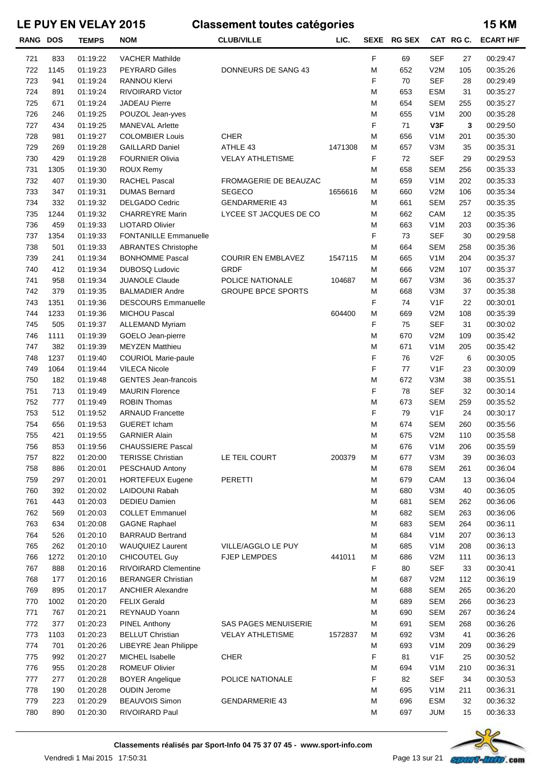| <b>RANG</b> | <b>DOS</b> | <b>TEMPS</b> | <b>NOM</b>                   | <b>CLUB/VILLE</b>           | LIC.    | <b>SEXE</b> | <b>RG SEX</b> |                  | CAT RG C. | <b>ECART H/F</b> |
|-------------|------------|--------------|------------------------------|-----------------------------|---------|-------------|---------------|------------------|-----------|------------------|
| 721         | 833        | 01:19:22     | <b>VACHER Mathilde</b>       |                             |         | F           | 69            | <b>SEF</b>       | 27        | 00:29:47         |
| 722         | 1145       | 01:19:23     | <b>PEYRARD Gilles</b>        | DONNEURS DE SANG 43         |         | M           | 652           | V2M              | 105       | 00:35:26         |
| 723         | 941        | 01:19:24     | RANNOU Klervi                |                             |         | F           | 70            | <b>SEF</b>       | 28        | 00:29:49         |
| 724         | 891        | 01:19:24     | <b>RIVOIRARD Victor</b>      |                             |         | M           | 653           | <b>ESM</b>       | 31        | 00:35:27         |
| 725         | 671        | 01:19:24     | <b>JADEAU Pierre</b>         |                             |         | M           | 654           | <b>SEM</b>       | 255       | 00:35:27         |
| 726         | 246        | 01:19:25     | POUZOL Jean-yves             |                             |         | M           | 655           | V <sub>1</sub> M | 200       | 00:35:28         |
| 727         | 434        | 01:19:25     | <b>MANEVAL Arlette</b>       |                             |         | F           | 71            | V3F              | 3         | 00:29:50         |
| 728         | 981        | 01:19:27     | <b>COLOMBIER Louis</b>       | <b>CHER</b>                 |         | M           | 656           | V <sub>1</sub> M | 201       | 00:35:30         |
| 729         | 269        | 01:19:28     | <b>GAILLARD Daniel</b>       | ATHLE 43                    | 1471308 | M           | 657           | V3M              | 35        | 00:35:31         |
| 730         | 429        | 01:19:28     | <b>FOURNIER Olivia</b>       | <b>VELAY ATHLETISME</b>     |         | F           | 72            | <b>SEF</b>       | 29        | 00:29:53         |
| 731         | 1305       | 01:19:30     | ROUX Remy                    |                             |         | M           | 658           | <b>SEM</b>       | 256       | 00:35:33         |
| 732         | 407        | 01:19:30     | <b>RACHEL Pascal</b>         | FROMAGERIE DE BEAUZAC       |         | M           | 659           | V <sub>1</sub> M | 202       | 00:35:33         |
| 733         | 347        | 01:19:31     | <b>DUMAS Bernard</b>         | <b>SEGECO</b>               | 1656616 | M           | 660           | V2M              | 106       | 00:35:34         |
| 734         | 332        | 01:19:32     | <b>DELGADO Cedric</b>        | <b>GENDARMERIE 43</b>       |         | M           | 661           | <b>SEM</b>       | 257       | 00:35:35         |
| 735         | 1244       | 01:19:32     | <b>CHARREYRE Marin</b>       | LYCEE ST JACQUES DE CO      |         | M           | 662           | CAM              | 12        | 00:35:35         |
| 736         | 459        | 01:19:33     | <b>LIOTARD Olivier</b>       |                             |         | M           | 663           | V <sub>1</sub> M | 203       | 00:35:36         |
| 737         | 1354       | 01:19:33     | <b>FONTANILLE Emmanuelle</b> |                             |         | F           | 73            | <b>SEF</b>       | 30        | 00:29:58         |
| 738         | 501        | 01:19:33     | <b>ABRANTES Christophe</b>   |                             |         | M           | 664           | <b>SEM</b>       | 258       | 00:35:36         |
| 739         | 241        | 01:19:34     | <b>BONHOMME Pascal</b>       | <b>COURIR EN EMBLAVEZ</b>   | 1547115 | M           | 665           | V <sub>1</sub> M | 204       | 00:35:37         |
| 740         | 412        | 01:19:34     | <b>DUBOSQ Ludovic</b>        | GRDF                        |         | M           | 666           | V2M              | 107       | 00:35:37         |
| 741         | 958        | 01:19:34     | <b>JUANOLE Claude</b>        | POLICE NATIONALE            | 104687  | M           | 667           | V3M              | 36        | 00:35:37         |
| 742         | 379        | 01:19:35     | <b>BALMADIER Andre</b>       | <b>GROUPE BPCE SPORTS</b>   |         | M           | 668           | V3M              | 37        | 00:35:38         |
| 743         | 1351       | 01:19:36     | <b>DESCOURS Emmanuelle</b>   |                             |         | F           | 74            | V <sub>1</sub> F | 22        | 00:30:01         |
| 744         | 1233       | 01:19:36     | <b>MICHOU Pascal</b>         |                             | 604400  | M           | 669           | V2M              | 108       | 00:35:39         |
| 745         | 505        | 01:19:37     | <b>ALLEMAND Myriam</b>       |                             |         | F           | 75            | <b>SEF</b>       | 31        | 00:30:02         |
| 746         | 1111       | 01:19:39     | GOELO Jean-pierre            |                             |         | M           | 670           | V2M              | 109       | 00:35:42         |
| 747         | 382        | 01:19:39     | <b>MEYZEN Matthieu</b>       |                             |         | M           | 671           | V <sub>1</sub> M | 205       | 00:35:42         |
| 748         | 1237       | 01:19:40     | <b>COURIOL Marie-paule</b>   |                             |         | F           | 76            | V <sub>2</sub> F | 6         | 00:30:05         |
| 749         | 1064       | 01:19:44     | <b>VILECA Nicole</b>         |                             |         | F           | 77            | V <sub>1</sub> F | 23        | 00:30:09         |
| 750         | 182        | 01:19:48     | <b>GENTES Jean-francois</b>  |                             |         | M           | 672           | V3M              | 38        | 00:35:51         |
| 751         | 713        | 01:19:49     | <b>MAURIN Florence</b>       |                             |         | F           | 78            | <b>SEF</b>       | 32        | 00:30:14         |
| 752         | 777        | 01:19:49     | <b>ROBIN Thomas</b>          |                             |         | M           | 673           | <b>SEM</b>       | 259       | 00:35:52         |
| 753         | 512        | 01:19:52     | <b>ARNAUD Francette</b>      |                             |         | F           | 79            | V <sub>1</sub> F | 24        | 00:30:17         |
| 754         | 656        | 01:19:53     | <b>GUERET Icham</b>          |                             |         | M           | 674           | <b>SEM</b>       | 260       | 00:35:56         |
| 755         | 421        | 01:19:55     | <b>GARNIER Alain</b>         |                             |         | M           | 675           | V2M              | 110       | 00:35:58         |
| 756         | 853        | 01:19:56     | <b>CHAUSSIERE Pascal</b>     |                             |         | М           | 676           | V <sub>1</sub> M | 206       | 00:35:59         |
| 757         | 822        | 01:20:00     | <b>TERISSE Christian</b>     | LE TEIL COURT               | 200379  | M           | 677           | V3M              | 39        | 00:36:03         |
| 758         | 886        | 01:20:01     | PESCHAUD Antony              |                             |         | M           | 678           | <b>SEM</b>       | 261       | 00:36:04         |
| 759         | 297        | 01:20:01     | <b>HORTEFEUX Eugene</b>      | <b>PERETTI</b>              |         | M           | 679           | CAM              | 13        | 00:36:04         |
| 760         | 392        | 01:20:02     | LAIDOUNI Rabah               |                             |         | M           | 680           | V3M              | 40        | 00:36:05         |
| 761         | 443        | 01:20:03     | <b>DEDIEU Damien</b>         |                             |         | M           | 681           | <b>SEM</b>       | 262       | 00:36:06         |
| 762         | 569        | 01:20:03     | <b>COLLET Emmanuel</b>       |                             |         | M           | 682           | <b>SEM</b>       | 263       | 00:36:06         |
| 763         | 634        | 01:20:08     | <b>GAGNE Raphael</b>         |                             |         | M           | 683           | <b>SEM</b>       | 264       | 00:36:11         |
| 764         | 526        | 01:20:10     | <b>BARRAUD Bertrand</b>      |                             |         | M           | 684           | V <sub>1</sub> M | 207       | 00:36:13         |
| 765         | 262        | 01:20:10     | <b>WAUQUIEZ Laurent</b>      | VILLE/AGGLO LE PUY          |         | M           | 685           | V <sub>1</sub> M | 208       | 00:36:13         |
| 766         | 1272       | 01:20:10     | <b>CHICOUTEL Guy</b>         | <b>FJEP LEMPDES</b>         | 441011  | M           | 686           | V2M              | 111       | 00:36:13         |
| 767         | 888        | 01:20:16     | RIVOIRARD Clementine         |                             |         | F           | 80            | <b>SEF</b>       | 33        | 00:30:41         |
| 768         | 177        | 01:20:16     | <b>BERANGER Christian</b>    |                             |         | M           | 687           | V2M              | 112       | 00:36:19         |
| 769         | 895        | 01:20:17     | <b>ANCHIER Alexandre</b>     |                             |         | M           | 688           | <b>SEM</b>       | 265       | 00:36:20         |
| 770         | 1002       | 01:20:20     | <b>FELIX Gerald</b>          |                             |         | M           | 689           | <b>SEM</b>       | 266       | 00:36:23         |
| 771         | 767        | 01:20:21     | REYNAUD Yoann                |                             |         | M           | 690           | <b>SEM</b>       | 267       | 00:36:24         |
| 772         | 377        | 01:20:23     | <b>PINEL Anthony</b>         | <b>SAS PAGES MENUISERIE</b> |         | M           | 691           | <b>SEM</b>       | 268       | 00:36:26         |
| 773         | 1103       | 01:20:23     | <b>BELLUT Christian</b>      | <b>VELAY ATHLETISME</b>     | 1572837 | M           | 692           | V3M              | 41        | 00:36:26         |
| 774         | 701        | 01:20:26     | LIBEYRE Jean Philippe        |                             |         | M           | 693           | V <sub>1</sub> M | 209       | 00:36:29         |
| 775         | 992        | 01:20:27     | MICHEL Isabelle              | <b>CHER</b>                 |         | F           | 81            | V <sub>1</sub> F | 25        | 00:30:52         |
| 776         | 955        | 01:20:28     | <b>ROMEUF Olivier</b>        |                             |         | M           | 694           | V <sub>1</sub> M | 210       | 00:36:31         |
| 777         | 277        | 01:20:28     | <b>BOYER Angelique</b>       | POLICE NATIONALE            |         | F           | 82            | <b>SEF</b>       | 34        | 00:30:53         |
| 778         | 190        | 01:20:28     | <b>OUDIN Jerome</b>          |                             |         | M           | 695           | V <sub>1</sub> M | 211       | 00:36:31         |
| 779         | 223        | 01:20:29     | <b>BEAUVOIS Simon</b>        | <b>GENDARMERIE 43</b>       |         | M           | 696           | <b>ESM</b>       | 32        | 00:36:32         |
| 780         | 890        | 01:20:30     | RIVOIRARD Paul               |                             |         | M           | 697           | <b>JUM</b>       | 15        | 00:36:33         |

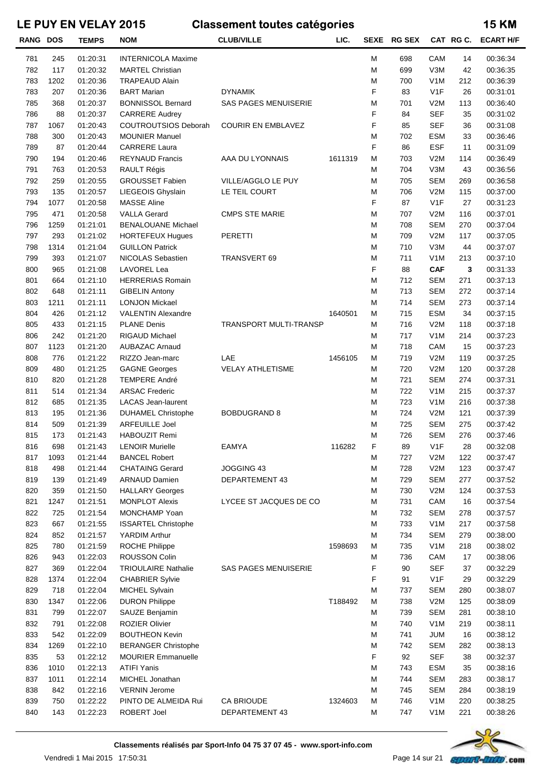| <b>RANG DOS</b> |      | <b>TEMPS</b> | <b>NOM</b>                 | <b>CLUB/VILLE</b>             | LIC.    |   | SEXE RG SEX |                  | CAT RG C. | <b>ECART H/F</b> |
|-----------------|------|--------------|----------------------------|-------------------------------|---------|---|-------------|------------------|-----------|------------------|
| 781             | 245  | 01:20:31     | <b>INTERNICOLA Maxime</b>  |                               |         | M | 698         | CAM              | 14        | 00:36:34         |
| 782             | 117  | 01:20:32     | <b>MARTEL Christian</b>    |                               |         | M | 699         | V3M              | 42        | 00:36:35         |
| 783             | 1202 | 01:20:36     | <b>TRAPEAUD Alain</b>      |                               |         | M | 700         | V <sub>1</sub> M | 212       | 00:36:39         |
| 783             | 207  | 01:20:36     | <b>BART Marian</b>         | <b>DYNAMIK</b>                |         | F | 83          | V1F              | 26        | 00:31:01         |
| 785             | 368  | 01:20:37     | <b>BONNISSOL Bernard</b>   | <b>SAS PAGES MENUISERIE</b>   |         | M | 701         | V2M              | 113       | 00:36:40         |
| 786             | 88   | 01:20:37     | <b>CARRERE Audrey</b>      |                               |         | F | 84          | <b>SEF</b>       | 35        | 00:31:02         |
| 787             | 1067 | 01:20:43     | COUTROUTSIOS Deborah       | <b>COURIR EN EMBLAVEZ</b>     |         | F | 85          | <b>SEF</b>       | 36        | 00:31:08         |
| 788             | 300  | 01:20:43     | <b>MOUNIER Manuel</b>      |                               |         | M | 702         | <b>ESM</b>       | 33        | 00:36:46         |
| 789             | 87   | 01:20:44     | <b>CARRERE Laura</b>       |                               |         | F | 86          | <b>ESF</b>       | 11        | 00:31:09         |
| 790             | 194  | 01:20:46     | <b>REYNAUD Francis</b>     | AAA DU LYONNAIS               | 1611319 | M | 703         | V2M              | 114       | 00:36:49         |
| 791             | 763  | 01:20:53     | RAULT Régis                |                               |         | м | 704         | V3M              | 43        | 00:36:56         |
| 792             | 259  | 01:20:55     | <b>GROUSSET Fabien</b>     | VILLE/AGGLO LE PUY            |         | M | 705         | <b>SEM</b>       | 269       | 00:36:58         |
| 793             | 135  | 01:20:57     | LIEGEOIS Ghyslain          | LE TEIL COURT                 |         | M | 706         | V2M              | 115       | 00:37:00         |
| 794             | 1077 | 01:20:58     | <b>MASSE Aline</b>         |                               |         | F | 87          | V1F              | 27        | 00:31:23         |
| 795             | 471  | 01:20:58     | <b>VALLA Gerard</b>        | <b>CMPS STE MARIE</b>         |         | M | 707         | V2M              | 116       | 00:37:01         |
| 796             | 1259 | 01:21:01     | <b>BENALOUANE Michael</b>  |                               |         | M | 708         | <b>SEM</b>       | 270       | 00:37:04         |
| 797             | 293  | 01:21:02     | <b>HORTEFEUX Hugues</b>    | <b>PERETTI</b>                |         | M | 709         | V2M              | 117       | 00:37:05         |
| 798             | 1314 | 01:21:04     | <b>GUILLON Patrick</b>     |                               |         | M | 710         | V3M              | 44        | 00:37:07         |
| 799             | 393  | 01:21:07     | NICOLAS Sebastien          | TRANSVERT 69                  |         | M | 711         | V <sub>1</sub> M | 213       | 00:37:10         |
| 800             | 965  | 01:21:08     | LAVOREL Lea                |                               |         | F | 88          | <b>CAF</b>       | 3         | 00:31:33         |
| 801             | 664  | 01:21:10     | <b>HERRERIAS Romain</b>    |                               |         | M | 712         | <b>SEM</b>       | 271       | 00:37:13         |
| 802             | 648  | 01:21:11     | <b>GIBELIN Antony</b>      |                               |         | M | 713         | <b>SEM</b>       | 272       | 00:37:14         |
| 803             | 1211 | 01:21:11     | <b>LONJON Mickael</b>      |                               |         | M | 714         | <b>SEM</b>       | 273       | 00:37:14         |
| 804             | 426  | 01:21:12     | <b>VALENTIN Alexandre</b>  |                               | 1640501 | м | 715         | <b>ESM</b>       | 34        | 00:37:15         |
| 805             | 433  | 01:21:15     | <b>PLANE Denis</b>         | <b>TRANSPORT MULTI-TRANSP</b> |         | м | 716         | V2M              | 118       | 00:37:18         |
| 806             | 242  | 01:21:20     | <b>RIGAUD Michael</b>      |                               |         | M | 717         | V <sub>1</sub> M | 214       | 00:37:23         |
| 807             | 1123 | 01:21:20     | <b>AUBAZAC Arnaud</b>      |                               |         | м | 718         | CAM              | 15        | 00:37:23         |
| 808             | 776  | 01:21:22     | RIZZO Jean-marc            | LAE                           | 1456105 | м | 719         | V2M              | 119       | 00:37:25         |
| 809             | 480  | 01:21:25     | <b>GAGNE Georges</b>       | <b>VELAY ATHLETISME</b>       |         | м | 720         | V2M              | 120       | 00:37:28         |
| 810             | 820  | 01:21:28     | <b>TEMPERE André</b>       |                               |         | M | 721         | <b>SEM</b>       | 274       | 00:37:31         |
| 811             | 514  | 01:21:34     | <b>ARSAC Frederic</b>      |                               |         | M | 722         | V <sub>1</sub> M | 215       | 00:37:37         |
| 812             | 685  | 01:21:35     | <b>LACAS Jean-laurent</b>  |                               |         | M | 723         | V <sub>1</sub> M | 216       | 00:37:38         |
| 813             | 195  | 01:21:36     | <b>DUHAMEL Christophe</b>  | <b>BOBDUGRAND 8</b>           |         | M | 724         | V2M              | 121       | 00:37:39         |
| 814             | 509  | 01:21:39     | <b>ARFEUILLE Joel</b>      |                               |         | M | 725         | <b>SEM</b>       | 275       | 00:37:42         |
| 815             | 173  | 01:21:43     | HABOUZIT Remi              |                               |         | M | 726         | <b>SEM</b>       | 276       | 00:37:46         |
| 816             | 698  | 01:21:43     | <b>LENOIR Murielle</b>     | EAMYA                         | 116282  | F | 89          | V1F              | 28        | 00:32:08         |
| 817             | 1093 | 01:21:44     | <b>BANCEL Robert</b>       |                               |         | M | 727         | V2M              | 122       | 00:37:47         |
| 818             | 498  | 01:21:44     | <b>CHATAING Gerard</b>     | JOGGING 43                    |         | M | 728         | V2M              | 123       | 00:37:47         |
| 819             | 139  | 01:21:49     | <b>ARNAUD Damien</b>       | DEPARTEMENT 43                |         | M | 729         | <b>SEM</b>       | 277       | 00:37:52         |
| 820             | 359  | 01:21:50     | <b>HALLARY Georges</b>     |                               |         | M | 730         | V2M              | 124       | 00:37:53         |
| 821             | 1247 | 01:21:51     | <b>MONPLOT Alexis</b>      | LYCEE ST JACQUES DE CO        |         | M | 731         | CAM              | 16        | 00:37:54         |
| 822             | 725  | 01:21:54     | MONCHAMP Yoan              |                               |         | M | 732         | <b>SEM</b>       | 278       | 00:37:57         |
| 823             | 667  | 01:21:55     | <b>ISSARTEL Christophe</b> |                               |         | M | 733         | V <sub>1</sub> M | 217       | 00:37:58         |
| 824             | 852  | 01:21:57     | YARDIM Arthur              |                               |         | M | 734         | <b>SEM</b>       | 279       | 00:38:00         |
| 825             | 780  | 01:21:59     | <b>ROCHE Philippe</b>      |                               | 1598693 | м | 735         | V <sub>1</sub> M | 218       | 00:38:02         |
| 826             | 943  | 01:22:03     | <b>ROUSSON Colin</b>       |                               |         | м | 736         | CAM              | 17        | 00:38:06         |
| 827             | 369  | 01:22:04     | <b>TRIOULAIRE Nathalie</b> | <b>SAS PAGES MENUISERIE</b>   |         | F | 90          | <b>SEF</b>       | 37        | 00:32:29         |
| 828             | 1374 | 01:22:04     | <b>CHABRIER Sylvie</b>     |                               |         | F | 91          | V <sub>1</sub> F | 29        | 00:32:29         |
| 829             | 718  | 01:22:04     | MICHEL Sylvain             |                               |         | M | 737         | <b>SEM</b>       | 280       | 00:38:07         |
| 830             | 1347 | 01:22:06     | <b>DURON Philippe</b>      |                               | T188492 | M | 738         | V2M              | 125       | 00:38:09         |
| 831             | 799  | 01:22:07     | SAUZE Benjamin             |                               |         | м | 739         | <b>SEM</b>       | 281       | 00:38:10         |
| 832             | 791  | 01:22:08     | <b>ROZIER Olivier</b>      |                               |         | M | 740         | V <sub>1</sub> M | 219       | 00:38:11         |
| 833             | 542  | 01:22:09     | <b>BOUTHEON Kevin</b>      |                               |         | M | 741         | JUM              | 16        | 00:38:12         |
| 834             | 1269 | 01:22:10     | <b>BERANGER Christophe</b> |                               |         | M | 742         | <b>SEM</b>       | 282       | 00:38:13         |
| 835             | 53   | 01:22:12     | <b>MOURIER Emmanuelle</b>  |                               |         | F | 92          | <b>SEF</b>       | 38        | 00:32:37         |
| 836             | 1010 | 01:22:13     | <b>ATIFI Yanis</b>         |                               |         | M | 743         | <b>ESM</b>       | 35        | 00:38:16         |
| 837             | 1011 | 01:22:14     | MICHEL Jonathan            |                               |         | M | 744         | <b>SEM</b>       | 283       | 00:38:17         |
| 838             | 842  | 01:22:16     | <b>VERNIN Jerome</b>       |                               |         | M | 745         | <b>SEM</b>       | 284       | 00:38:19         |
| 839             | 750  | 01:22:22     | PINTO DE ALMEIDA Rui       | <b>CA BRIOUDE</b>             | 1324603 | M | 746         | V <sub>1</sub> M | 220       | 00:38:25         |
| 840             | 143  | 01:22:23     | ROBERT Joel                | DEPARTEMENT 43                |         | M | 747         | V <sub>1</sub> M | 221       | 00:38:26         |

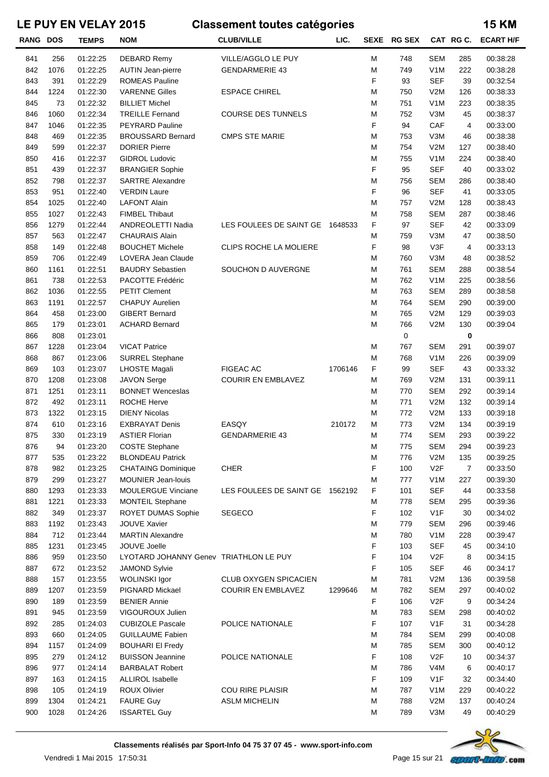| <b>RANG DOS</b> |      | <b>TEMPS</b> | <b>NOM</b>                             | <b>CLUB/VILLE</b>               | LIC.    |   | SEXE RG SEX |                  |     | CAT RG C. ECART H/F |
|-----------------|------|--------------|----------------------------------------|---------------------------------|---------|---|-------------|------------------|-----|---------------------|
| 841             | 256  | 01:22:25     | <b>DEBARD Remy</b>                     | VILLE/AGGLO LE PUY              |         | M | 748         | <b>SEM</b>       | 285 | 00:38:28            |
| 842             | 1076 | 01:22:25     | <b>AUTIN Jean-pierre</b>               | <b>GENDARMERIE 43</b>           |         | M | 749         | V <sub>1</sub> M | 222 | 00:38:28            |
| 843             | 391  | 01:22:29     | <b>ROMEAS Pauline</b>                  |                                 |         | F | 93          | <b>SEF</b>       | 39  | 00:32:54            |
| 844             | 1224 | 01:22:30     | <b>VARENNE Gilles</b>                  | <b>ESPACE CHIREL</b>            |         | M | 750         | V2M              | 126 | 00:38:33            |
| 845             | 73   | 01:22:32     | <b>BILLIET Michel</b>                  |                                 |         | M | 751         | V <sub>1</sub> M | 223 | 00:38:35            |
| 846             | 1060 | 01:22:34     | <b>TREILLE Fernand</b>                 | <b>COURSE DES TUNNELS</b>       |         | M | 752         | V3M              | 45  | 00:38:37            |
| 847             | 1046 | 01:22:35     | <b>PEYRARD Pauline</b>                 |                                 |         | F | 94          | CAF              | 4   | 00:33:00            |
| 848             | 469  | 01:22:35     | <b>BROUSSARD Bernard</b>               | <b>CMPS STE MARIE</b>           |         | M | 753         | V3M              | 46  | 00:38:38            |
| 849             | 599  | 01:22:37     | <b>DORIER Pierre</b>                   |                                 |         | M | 754         | V2M              | 127 | 00:38:40            |
| 850             | 416  | 01:22:37     | <b>GIDROL Ludovic</b>                  |                                 |         | M | 755         | V <sub>1</sub> M | 224 | 00:38:40            |
| 851             | 439  | 01:22:37     | <b>BRANGIER Sophie</b>                 |                                 |         | F | 95          | <b>SEF</b>       | 40  | 00:33:02            |
| 852             | 798  | 01:22:37     | <b>SARTRE Alexandre</b>                |                                 |         | M | 756         | <b>SEM</b>       | 286 | 00:38:40            |
| 853             | 951  | 01:22:40     | <b>VERDIN Laure</b>                    |                                 |         | F | 96          | <b>SEF</b>       | 41  | 00:33:05            |
| 854             | 1025 | 01:22:40     | <b>LAFONT Alain</b>                    |                                 |         | M | 757         | V2M              | 128 | 00:38:43            |
| 855             | 1027 | 01:22:43     | <b>FIMBEL Thibaut</b>                  |                                 |         | M | 758         | <b>SEM</b>       | 287 | 00:38:46            |
| 856             | 1279 | 01:22:44     | ANDREOLETTI Nadia                      | LES FOULEES DE SAINT GE 1648533 |         | F | 97          | <b>SEF</b>       | 42  | 00:33:09            |
| 857             | 563  | 01:22:47     | <b>CHAURAIS Alain</b>                  |                                 |         | M | 759         | V3M              | 47  | 00:38:50            |
| 858             | 149  | 01:22:48     | <b>BOUCHET Michele</b>                 | CLIPS ROCHE LA MOLIERE          |         | F | 98          | V3F              | 4   | 00:33:13            |
| 859             | 706  | 01:22:49     | LOVERA Jean Claude                     |                                 |         | M | 760         | V3M              | 48  | 00:38:52            |
| 860             | 1161 | 01:22:51     | <b>BAUDRY Sebastien</b>                | SOUCHON D AUVERGNE              |         | M | 761         | <b>SEM</b>       | 288 | 00:38:54            |
| 861             | 738  | 01:22:53     | PACOTTE Frédéric                       |                                 |         | M | 762         | V <sub>1</sub> M | 225 | 00:38:56            |
| 862             | 1036 | 01:22:55     | <b>PETIT Clement</b>                   |                                 |         | M | 763         | <b>SEM</b>       | 289 | 00:38:58            |
| 863             | 1191 | 01:22:57     | <b>CHAPUY Aurelien</b>                 |                                 |         | M | 764         | <b>SEM</b>       | 290 | 00:39:00            |
| 864             | 458  | 01:23:00     | <b>GIBERT Bernard</b>                  |                                 |         | M | 765         | V2M              | 129 | 00:39:03            |
| 865             | 179  | 01:23:01     | <b>ACHARD Bernard</b>                  |                                 |         | M | 766         | V2M              | 130 | 00:39:04            |
| 866             | 808  | 01:23:01     |                                        |                                 |         |   | $\mathbf 0$ |                  |     |                     |
|                 |      |              |                                        |                                 |         |   | 767         |                  | 0   |                     |
| 867             | 1228 | 01:23:04     | <b>VICAT Patrice</b>                   |                                 |         | M |             | <b>SEM</b>       | 291 | 00:39:07            |
| 868             | 867  | 01:23:06     | <b>SURREL Stephane</b>                 |                                 |         | M | 768         | V <sub>1</sub> M | 226 | 00:39:09            |
| 869             | 103  | 01:23:07     | <b>LHOSTE Magali</b>                   | <b>FIGEAC AC</b>                | 1706146 | F | 99          | <b>SEF</b>       | 43  | 00:33:32            |
| 870             | 1208 | 01:23:08     | <b>JAVON Serge</b>                     | <b>COURIR EN EMBLAVEZ</b>       |         | M | 769         | V2M              | 131 | 00:39:11            |
| 871             | 1251 | 01:23:11     | <b>BONNET Wenceslas</b>                |                                 |         | M | 770         | <b>SEM</b>       | 292 | 00:39:14            |
| 872             | 492  | 01:23:11     | <b>ROCHE Herve</b>                     |                                 |         | M | 771         | V2M              | 132 | 00:39:14            |
| 873             | 1322 | 01:23:15     | <b>DIENY Nicolas</b>                   |                                 |         | M | 772         | V2M              | 133 | 00:39:18            |
| 874             | 610  | 01:23:16     | <b>EXBRAYAT Denis</b>                  | EASQY                           | 210172  | M | 773         | V2M              | 134 | 00:39:19            |
| 875             | 330  | 01:23:19     | <b>ASTIER Florian</b>                  | <b>GENDARMERIE 43</b>           |         | M | 774         | <b>SEM</b>       | 293 | 00:39:22            |
| 876             | 94   | 01:23:20     | <b>COSTE Stephane</b>                  |                                 |         | M | 775         | SEM              | 294 | 00:39:23            |
| 877             | 535  | 01:23:22     | <b>BLONDEAU Patrick</b>                |                                 |         | M | 776         | V2M              | 135 | 00:39:25            |
| 878             | 982  | 01:23:25     | <b>CHATAING Dominique</b>              | <b>CHER</b>                     |         | F | 100         | V2F              | 7   | 00:33:50            |
| 879             | 299  | 01:23:27     | MOUNIER Jean-louis                     |                                 |         | M | 777         | V <sub>1</sub> M | 227 | 00:39:30            |
| 880             | 1293 | 01:23:33     | MOULERGUE Vinciane                     | LES FOULEES DE SAINT GE 1562192 |         | F | 101         | <b>SEF</b>       | 44  | 00:33:58            |
| 881             | 1221 | 01:23:33     | <b>MONTEIL Stephane</b>                |                                 |         | М | 778         | <b>SEM</b>       | 295 | 00:39:36            |
| 882             | 349  | 01:23:37     | ROYET DUMAS Sophie                     | <b>SEGECO</b>                   |         | F | 102         | V <sub>1</sub> F | 30  | 00:34:02            |
| 883             | 1192 | 01:23:43     | <b>JOUVE Xavier</b>                    |                                 |         | M | 779         | <b>SEM</b>       | 296 | 00:39:46            |
| 884             | 712  | 01:23:44     | <b>MARTIN Alexandre</b>                |                                 |         | M | 780         | V <sub>1</sub> M | 228 | 00:39:47            |
| 885             | 1231 | 01:23:45     | JOUVE Joelle                           |                                 |         | F | 103         | <b>SEF</b>       | 45  | 00:34:10            |
| 886             | 959  | 01:23:50     | LYOTARD JOHANNY Genev TRIATHLON LE PUY |                                 |         | F | 104         | V <sub>2</sub> F | 8   | 00:34:15            |
| 887             | 672  | 01:23:52     | <b>JAMOND Sylvie</b>                   |                                 |         | F | 105         | <b>SEF</b>       | 46  | 00:34:17            |
| 888             | 157  | 01:23:55     | <b>WOLINSKI Igor</b>                   | CLUB OXYGEN SPICACIEN           |         | M | 781         | V2M              | 136 | 00:39:58            |
| 889             | 1207 | 01:23:59     | PIGNARD Mickael                        | <b>COURIR EN EMBLAVEZ</b>       | 1299646 | M | 782         | <b>SEM</b>       | 297 | 00:40:02            |
| 890             | 189  | 01:23:59     | <b>BENIER Annie</b>                    |                                 |         | F | 106         | V <sub>2</sub> F | 9   | 00:34:24            |
| 891             | 945  | 01:23:59     | VIGOUROUX Julien                       |                                 |         | M | 783         | <b>SEM</b>       | 298 | 00:40:02            |
| 892             | 285  | 01:24:03     | <b>CUBIZOLE Pascale</b>                | POLICE NATIONALE                |         | F | 107         | V <sub>1</sub> F | 31  | 00:34:28            |
| 893             | 660  | 01:24:05     | <b>GUILLAUME Fabien</b>                |                                 |         | M | 784         | <b>SEM</b>       | 299 | 00:40:08            |
| 894             | 1157 | 01:24:09     | <b>BOUHARI EI Fredy</b>                |                                 |         | M | 785         | <b>SEM</b>       | 300 | 00:40:12            |
| 895             | 279  | 01:24:12     | <b>BUISSON Jeannine</b>                | POLICE NATIONALE                |         | F | 108         | V2F              | 10  | 00:34:37            |
| 896             | 977  | 01:24:14     | <b>BARBALAT Robert</b>                 |                                 |         | M | 786         | V4M              | 6   | 00:40:17            |
| 897             | 163  | 01:24:15     | <b>ALLIROL Isabelle</b>                |                                 |         | F | 109         | V <sub>1</sub> F | 32  | 00:34:40            |
| 898             | 105  | 01:24:19     | ROUX Olivier                           | COU RIRE PLAISIR                |         | M | 787         | V <sub>1</sub> M | 229 | 00:40:22            |
| 899             | 1304 | 01:24:21     | <b>FAURE Guy</b>                       | <b>ASLM MICHELIN</b>            |         | M | 788         | V2M              | 137 | 00:40:24            |
| 900             | 1028 | 01:24:26     | <b>ISSARTEL Guy</b>                    |                                 |         | M | 789         | V3M              | 49  | 00:40:29            |
|                 |      |              |                                        |                                 |         |   |             |                  |     |                     |

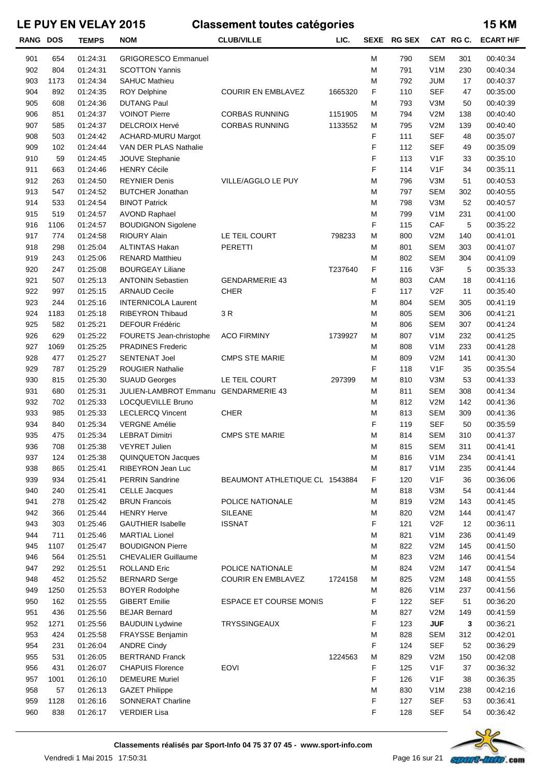| <b>RANG DOS</b> |      | <b>TEMPS</b> | <b>NOM</b>                           | <b>CLUB/VILLE</b>              | LIC.    |   | SEXE RG SEX |                  | CAT RG C. | <b>ECART H/F</b> |
|-----------------|------|--------------|--------------------------------------|--------------------------------|---------|---|-------------|------------------|-----------|------------------|
| 901             | 654  | 01:24:31     | <b>GRIGORESCO Emmanuel</b>           |                                |         | M | 790         | <b>SEM</b>       | 301       | 00:40:34         |
| 902             | 804  | 01:24:31     | <b>SCOTTON Yannis</b>                |                                |         | M | 791         | V <sub>1</sub> M | 230       | 00:40:34         |
| 903             | 1173 | 01:24:34     | <b>SAHUC Mathieu</b>                 |                                |         | М | 792         | JUM              | 17        | 00:40:37         |
| 904             | 892  | 01:24:35     | <b>ROY Delphine</b>                  | <b>COURIR EN EMBLAVEZ</b>      | 1665320 | F | 110         | <b>SEF</b>       | 47        | 00:35:00         |
| 905             | 608  | 01:24:36     | <b>DUTANG Paul</b>                   |                                |         | М | 793         | V3M              | 50        | 00:40:39         |
| 906             | 851  | 01:24:37     | <b>VOINOT Pierre</b>                 | <b>CORBAS RUNNING</b>          | 1151905 | м | 794         | V2M              | 138       | 00:40:40         |
| 907             | 585  | 01:24:37     | <b>DELCROIX Hervé</b>                | <b>CORBAS RUNNING</b>          | 1133552 | М | 795         | V2M              | 139       | 00:40:40         |
| 908             | 503  | 01:24:42     | <b>ACHARD-MURU Margot</b>            |                                |         | F | 111         | <b>SEF</b>       | 48        | 00:35:07         |
| 909             | 102  | 01:24:44     | VAN DER PLAS Nathalie                |                                |         | F | 112         | <b>SEF</b>       | 49        | 00:35:09         |
| 910             | 59   | 01:24:45     | <b>JOUVE Stephanie</b>               |                                |         | F | 113         | V1F              | 33        | 00:35:10         |
| 911             | 663  | 01:24:46     | <b>HENRY Cécile</b>                  |                                |         | F | 114         | V1F              | 34        | 00:35:11         |
| 912             | 263  | 01:24:50     | <b>REYNIER Denis</b>                 | VILLE/AGGLO LE PUY             |         | M | 796         | V3M              | 51        | 00:40:53         |
| 913             | 547  | 01:24:52     | <b>BUTCHER Jonathan</b>              |                                |         | М | 797         | <b>SEM</b>       | 302       | 00:40:55         |
| 914             | 533  | 01:24:54     | <b>BINOT Patrick</b>                 |                                |         | M | 798         | V3M              | 52        | 00:40:57         |
| 915             | 519  | 01:24:57     | <b>AVOND Raphael</b>                 |                                |         | M | 799         | V <sub>1</sub> M | 231       | 00:41:00         |
| 916             | 1106 | 01:24:57     | <b>BOUDIGNON Sigolene</b>            |                                |         | F | 115         | CAF              | 5         | 00:35:22         |
| 917             | 774  | 01:24:58     | <b>RIOURY Alain</b>                  | LE TEIL COURT                  | 798233  | M | 800         | V2M              | 140       | 00:41:01         |
| 918             | 298  | 01:25:04     | <b>ALTINTAS Hakan</b>                | PERETTI                        |         | М | 801         | <b>SEM</b>       | 303       | 00:41:07         |
| 919             | 243  | 01:25:06     | <b>RENARD Matthieu</b>               |                                |         | М | 802         | <b>SEM</b>       | 304       | 00:41:09         |
| 920             | 247  | 01:25:08     | <b>BOURGEAY Liliane</b>              |                                | T237640 | F | 116         | V3F              | 5         | 00:35:33         |
| 921             | 507  | 01:25:13     | <b>ANTONIN Sebastien</b>             | <b>GENDARMERIE 43</b>          |         | M | 803         | CAM              | 18        | 00:41:16         |
| 922             | 997  | 01:25:15     | <b>ARNAUD Cecile</b>                 | <b>CHER</b>                    |         | F | 117         | V2F              | 11        | 00:35:40         |
| 923             | 244  | 01:25:16     | <b>INTERNICOLA Laurent</b>           |                                |         | M | 804         | <b>SEM</b>       | 305       | 00:41:19         |
| 924             | 1183 | 01:25:18     | <b>RIBEYRON Thibaud</b>              | 3 R                            |         | M | 805         | <b>SEM</b>       | 306       | 00:41:21         |
| 925             | 582  | 01:25:21     | <b>DEFOUR Frédèric</b>               |                                |         | М | 806         | <b>SEM</b>       | 307       | 00:41:24         |
| 926             | 629  | 01:25:22     | FOURETS Jean-christophe              | <b>ACO FIRMINY</b>             | 1739927 | М | 807         | V <sub>1</sub> M | 232       | 00:41:25         |
| 927             | 1069 | 01:25:25     | <b>PRADINES Frederic</b>             |                                |         | М | 808         | V <sub>1</sub> M | 233       | 00:41:28         |
|                 |      |              |                                      |                                |         |   |             |                  |           | 00:41:30         |
| 928             | 477  | 01:25:27     | <b>SENTENAT Joel</b>                 | <b>CMPS STE MARIE</b>          |         | М | 809         | V2M              | 141       |                  |
| 929             | 787  | 01:25:29     | <b>ROUGIER Nathalie</b>              |                                |         | F | 118         | V1F              | 35        | 00:35:54         |
| 930             | 815  | 01:25:30     | <b>SUAUD Georges</b>                 | LE TEIL COURT                  | 297399  | M | 810         | V3M              | 53        | 00:41:33         |
| 931             | 680  | 01:25:31     | JULIEN-LAMBROT Emmanu GENDARMERIE 43 |                                |         | М | 811         | <b>SEM</b>       | 308       | 00:41:34         |
| 932             | 702  | 01:25:33     | LOCQUEVILLE Bruno                    |                                |         | М | 812         | V2M              | 142       | 00:41:36         |
| 933             | 985  | 01:25:33     | <b>LECLERCQ Vincent</b>              | <b>CHER</b>                    |         | М | 813         | <b>SEM</b>       | 309       | 00:41:36         |
| 934             | 840  | 01:25:34     | <b>VERGNE Amélie</b>                 |                                |         | F | 119         | <b>SEF</b>       | 50        | 00:35:59         |
| 935             | 475  | 01:25:34     | <b>LEBRAT Dimitri</b>                | <b>CMPS STE MARIE</b>          |         | M | 814         | <b>SEM</b>       | 310       | 00:41:37         |
| 936             | 708  | 01:25:38     | <b>VEYRET Julien</b>                 |                                |         | M | 815         | SEM              | 311       | 00:41:41         |
| 937             | 124  | 01:25:38     | QUINQUETON Jacques                   |                                |         | М | 816         | V <sub>1</sub> M | 234       | 00:41:41         |
| 938             | 865  | 01:25:41     | RIBEYRON Jean Luc                    |                                |         | М | 817         | V <sub>1</sub> M | 235       | 00:41:44         |
| 939             | 934  | 01:25:41     | <b>PERRIN Sandrine</b>               | BEAUMONT ATHLETIQUE CL 1543884 |         | F | 120         | V1F              | 36        | 00:36:06         |
| 940             | 240  | 01:25:41     | <b>CELLE Jacques</b>                 |                                |         | М | 818         | V3M              | 54        | 00:41:44         |
| 941             | 278  | 01:25:42     | <b>BRUN Francois</b>                 | POLICE NATIONALE               |         | М | 819         | V2M              | 143       | 00:41:45         |
| 942             | 366  | 01:25:44     | <b>HENRY Herve</b>                   | <b>SILEANE</b>                 |         | М | 820         | V2M              | 144       | 00:41:47         |
| 943             | 303  | 01:25:46     | <b>GAUTHIER Isabelle</b>             | <b>ISSNAT</b>                  |         | F | 121         | V <sub>2</sub> F | 12        | 00:36:11         |
| 944             | 711  | 01:25:46     | <b>MARTIAL Lionel</b>                |                                |         | М | 821         | V <sub>1</sub> M | 236       | 00:41:49         |
| 945             | 1107 | 01:25:47     | <b>BOUDIGNON Pierre</b>              |                                |         | М | 822         | V2M              | 145       | 00:41:50         |
| 946             | 564  | 01:25:51     | <b>CHEVALIER Guillaume</b>           |                                |         | М | 823         | V2M              | 146       | 00:41:54         |
| 947             | 292  | 01:25:51     | <b>ROLLAND Eric</b>                  | POLICE NATIONALE               |         | М | 824         | V2M              | 147       | 00:41:54         |
| 948             | 452  | 01:25:52     | <b>BERNARD Serge</b>                 | <b>COURIR EN EMBLAVEZ</b>      | 1724158 | М | 825         | V2M              | 148       | 00:41:55         |
| 949             | 1250 | 01:25:53     | <b>BOYER Rodolphe</b>                |                                |         | М | 826         | V <sub>1</sub> M | 237       | 00:41:56         |
| 950             | 162  | 01:25:55     | <b>GIBERT Emilie</b>                 | <b>ESPACE ET COURSE MONIS</b>  |         | F | 122         | <b>SEF</b>       | 51        | 00:36:20         |
| 951             | 436  | 01:25:56     | <b>BEJAR Bernard</b>                 |                                |         | М | 827         | V2M              | 149       | 00:41:59         |
| 952             | 1271 | 01:25:56     | <b>BAUDUIN Lydwine</b>               | <b>TRYSSINGEAUX</b>            |         | F | 123         | <b>JUF</b>       | 3         | 00:36:21         |
| 953             | 424  | 01:25:58     | <b>FRAYSSE Benjamin</b>              |                                |         | М | 828         | <b>SEM</b>       | 312       | 00:42:01         |
| 954             | 231  | 01:26:04     | <b>ANDRE Cindy</b>                   |                                |         | F | 124         | <b>SEF</b>       | 52        | 00:36:29         |
| 955             | 531  | 01:26:05     | <b>BERTRAND Franck</b>               |                                | 1224563 | М | 829         | V2M              | 150       | 00:42:08         |
| 956             | 431  | 01:26:07     | <b>CHAPUIS Florence</b>              | <b>EOVI</b>                    |         | F | 125         | V <sub>1</sub> F | 37        | 00:36:32         |
| 957             | 1001 | 01:26:10     | <b>DEMEURE Muriel</b>                |                                |         | F | 126         | V <sub>1</sub> F | 38        | 00:36:35         |
| 958             | 57   | 01:26:13     | <b>GAZET Philippe</b>                |                                |         | М | 830         | V <sub>1</sub> M | 238       | 00:42:16         |
| 959             | 1128 | 01:26:16     | <b>SONNERAT Charline</b>             |                                |         | F | 127         | <b>SEF</b>       | 53        | 00:36:41         |
| 960             | 838  | 01:26:17     | <b>VERDIER Lisa</b>                  |                                |         | F | 128         | <b>SEF</b>       | 54        | 00:36:42         |
|                 |      |              |                                      |                                |         |   |             |                  |           |                  |

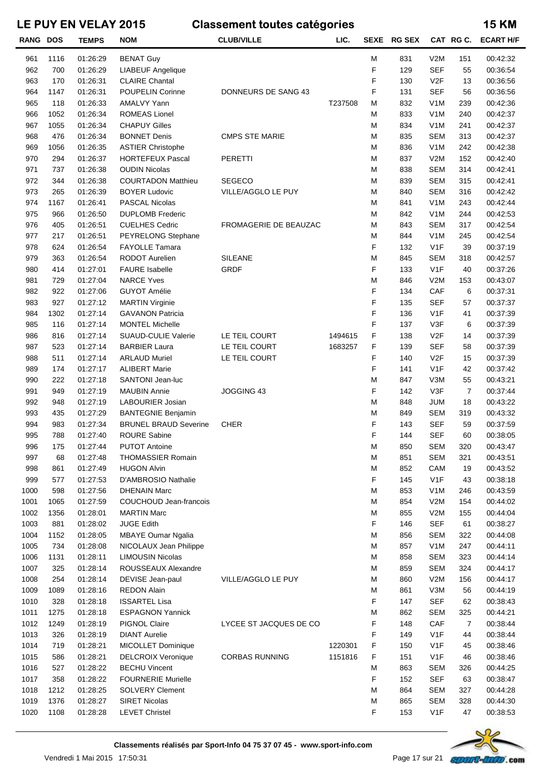| <b>RANG DOS</b> |      | <b>TEMPS</b> | <b>NOM</b>                   | <b>CLUB/VILLE</b>      | LIC.    |   | SEXE RG SEX |                  | CAT RGC. | <b>ECART H/F</b> |
|-----------------|------|--------------|------------------------------|------------------------|---------|---|-------------|------------------|----------|------------------|
| 961             | 1116 | 01:26:29     | <b>BENAT Guy</b>             |                        |         | M | 831         | V2M              | 151      | 00:42:32         |
| 962             | 700  | 01:26:29     | <b>LIABEUF Angelique</b>     |                        |         | F | 129         | <b>SEF</b>       | 55       | 00:36:54         |
| 963             | 170  | 01:26:31     | <b>CLAIRE Chantal</b>        |                        |         | F | 130         | V2F              | 13       | 00:36:56         |
| 964             | 1147 | 01:26:31     | <b>POUPELIN Corinne</b>      | DONNEURS DE SANG 43    |         | F | 131         | <b>SEF</b>       | 56       | 00:36:56         |
| 965             | 118  | 01:26:33     | <b>AMALVY Yann</b>           |                        | T237508 | М | 832         | V <sub>1</sub> M | 239      | 00:42:36         |
| 966             | 1052 | 01:26:34     | <b>ROMEAS Lionel</b>         |                        |         | М | 833         | V <sub>1</sub> M | 240      | 00:42:37         |
| 967             | 1055 | 01:26:34     | <b>CHAPUY Gilles</b>         |                        |         | М | 834         | V <sub>1</sub> M | 241      | 00:42:37         |
| 968             | 476  | 01:26:34     | <b>BONNET Denis</b>          | <b>CMPS STE MARIE</b>  |         | М | 835         | <b>SEM</b>       | 313      | 00:42:37         |
| 969             | 1056 | 01:26:35     | <b>ASTIER Christophe</b>     |                        |         | М | 836         | V <sub>1</sub> M | 242      | 00:42:38         |
| 970             | 294  | 01:26:37     | <b>HORTEFEUX Pascal</b>      | <b>PERETTI</b>         |         | М | 837         | V2M              | 152      | 00:42:40         |
| 971             | 737  | 01:26:38     | <b>OUDIN Nicolas</b>         |                        |         | М | 838         | <b>SEM</b>       | 314      | 00:42:41         |
| 972             | 344  | 01:26:38     | <b>COURTADON Matthieu</b>    | <b>SEGECO</b>          |         | М | 839         | <b>SEM</b>       | 315      | 00:42:41         |
| 973             | 265  | 01:26:39     | <b>BOYER Ludovic</b>         | VILLE/AGGLO LE PUY     |         | М | 840         | <b>SEM</b>       | 316      | 00:42:42         |
| 974             | 1167 | 01:26:41     | <b>PASCAL Nicolas</b>        |                        |         | М | 841         | V <sub>1</sub> M | 243      | 00:42:44         |
| 975             | 966  | 01:26:50     | <b>DUPLOMB Frederic</b>      |                        |         | М | 842         | V <sub>1</sub> M | 244      | 00:42:53         |
| 976             | 405  | 01:26:51     | <b>CUELHES Cedric</b>        | FROMAGERIE DE BEAUZAC  |         | М | 843         | <b>SEM</b>       | 317      | 00:42:54         |
| 977             | 217  | 01:26:51     | PEYRELONG Stephane           |                        |         | М | 844         | V <sub>1</sub> M | 245      | 00:42:54         |
| 978             | 624  | 01:26:54     | <b>FAYOLLE Tamara</b>        |                        |         | F | 132         | V <sub>1</sub> F | 39       | 00:37:19         |
| 979             | 363  | 01:26:54     | <b>RODOT Aurelien</b>        | <b>SILEANE</b>         |         | М | 845         | <b>SEM</b>       | 318      | 00:42:57         |
| 980             | 414  | 01:27:01     | <b>FAURE</b> Isabelle        | <b>GRDF</b>            |         | F | 133         | V1F              | 40       | 00:37:26         |
| 981             | 729  | 01:27:04     | <b>NARCE Yves</b>            |                        |         | М | 846         | V2M              | 153      | 00:43:07         |
| 982             | 922  | 01:27:06     | <b>GUYOT Amélie</b>          |                        |         | F | 134         | CAF              | 6        | 00:37:31         |
| 983             | 927  | 01:27:12     | <b>MARTIN Virginie</b>       |                        |         | F | 135         | <b>SEF</b>       | 57       | 00:37:37         |
| 984             | 1302 | 01:27:14     | <b>GAVANON Patricia</b>      |                        |         | F | 136         | V <sub>1</sub> F | 41       | 00:37:39         |
| 985             | 116  | 01:27:14     | <b>MONTEL Michelle</b>       |                        |         | F | 137         | V3F              | 6        | 00:37:39         |
| 986             | 816  | 01:27:14     | <b>SUAUD-CULIE Valerie</b>   | LE TEIL COURT          | 1494615 | F | 138         | V2F              | 14       | 00:37:39         |
| 987             | 523  | 01:27:14     | <b>BARBIER Laura</b>         | LE TEIL COURT          | 1683257 | F | 139         | <b>SEF</b>       | 58       | 00:37:39         |
| 988             | 511  | 01:27:14     | <b>ARLAUD Muriel</b>         | LE TEIL COURT          |         | F | 140         | V2F              | 15       | 00:37:39         |
| 989             | 174  | 01:27:17     | <b>ALIBERT Marie</b>         |                        |         | F | 141         | V1F              | 42       | 00:37:42         |
| 990             | 222  | 01:27:18     | SANTONI Jean-luc             |                        |         | М | 847         | V3M              | 55       | 00:43:21         |
| 991             | 949  | 01:27:19     | <b>MAUBIN Annie</b>          | JOGGING 43             |         | F | 142         | V3F              | 7        | 00:37:44         |
| 992             | 948  | 01:27:19     | LABOURIER Josian             |                        |         | М | 848         | <b>JUM</b>       | 18       | 00:43:22         |
| 993             | 435  | 01:27:29     | <b>BANTEGNIE Benjamin</b>    |                        |         | М | 849         | <b>SEM</b>       | 319      | 00:43:32         |
| 994             | 983  | 01:27:34     | <b>BRUNEL BRAUD Severine</b> | <b>CHER</b>            |         | F | 143         | <b>SEF</b>       | 59       | 00:37:59         |
| 995             | 788  | 01:27:40     | <b>ROURE Sabine</b>          |                        |         | F | 144         | <b>SEF</b>       | 60       | 00:38:05         |
| 996             | 175  | 01:27:44     | <b>PUTOT Antoine</b>         |                        |         | м | 850         | SEM              | 320      | 00:43:47         |
| 997             | 68   | 01:27:48     | <b>THOMASSIER Romain</b>     |                        |         | М | 851         | <b>SEM</b>       | 321      | 00:43:51         |
| 998             | 861  | 01:27:49     | <b>HUGON Alvin</b>           |                        |         | М | 852         | CAM              | 19       | 00:43:52         |
| 999             | 577  | 01:27:53     | D'AMBROSIO Nathalie          |                        |         | F | 145         | V <sub>1</sub> F | 43       | 00:38:18         |
| 1000            | 598  | 01:27:56     | <b>DHENAIN Marc</b>          |                        |         | М | 853         | V <sub>1</sub> M | 246      | 00:43:59         |
| 1001            | 1065 | 01:27:59     | COUCHOUD Jean-francois       |                        |         | М | 854         | V2M              | 154      | 00:44:02         |
| 1002            | 1356 | 01:28:01     | <b>MARTIN Marc</b>           |                        |         | М | 855         | V2M              | 155      | 00:44:04         |
| 1003            | 881  | 01:28:02     | <b>JUGE Edith</b>            |                        |         | F | 146         | <b>SEF</b>       | 61       | 00:38:27         |
| 1004            | 1152 | 01:28:05     | <b>MBAYE Oumar Ngalia</b>    |                        |         | М | 856         | <b>SEM</b>       | 322      | 00:44:08         |
| 1005            | 734  | 01:28:08     | NICOLAUX Jean Philippe       |                        |         | М | 857         | V <sub>1</sub> M | 247      | 00:44:11         |
| 1006            | 1131 | 01:28:11     | <b>LIMOUSIN Nicolas</b>      |                        |         | М | 858         | <b>SEM</b>       | 323      | 00:44:14         |
| 1007            | 325  | 01:28:14     | ROUSSEAUX Alexandre          |                        |         | М | 859         | <b>SEM</b>       | 324      | 00:44:17         |
| 1008            | 254  | 01:28:14     | DEVISE Jean-paul             | VILLE/AGGLO LE PUY     |         | М | 860         | V2M              | 156      | 00:44:17         |
| 1009            | 1089 | 01:28:16     | <b>REDON Alain</b>           |                        |         | М | 861         | V3M              | 56       | 00:44:19         |
| 1010            | 328  | 01:28:18     | <b>ISSARTEL Lisa</b>         |                        |         | F | 147         | <b>SEF</b>       | 62       | 00:38:43         |
| 1011            | 1275 | 01:28:18     | <b>ESPAGNON Yannick</b>      |                        |         | М | 862         | <b>SEM</b>       | 325      | 00:44:21         |
| 1012            | 1249 | 01:28:19     | <b>PIGNOL Claire</b>         | LYCEE ST JACQUES DE CO |         | F | 148         | CAF              | 7        | 00:38:44         |
| 1013            | 326  | 01:28:19     | <b>DIANT Aurelie</b>         |                        |         | F | 149         | V <sub>1</sub> F | 44       | 00:38:44         |
| 1014            | 719  | 01:28:21     | MICOLLET Dominique           |                        | 1220301 | F | 150         | V <sub>1</sub> F | 45       | 00:38:46         |
| 1015            | 586  | 01:28:21     | <b>DELCROIX Veronique</b>    | <b>CORBAS RUNNING</b>  | 1151816 | F | 151         | V <sub>1</sub> F | 46       | 00:38:46         |
| 1016            | 527  | 01:28:22     | <b>BECHU Vincent</b>         |                        |         | М | 863         | <b>SEM</b>       | 326      | 00:44:25         |
| 1017            | 358  | 01:28:22     | <b>FOURNERIE Murielle</b>    |                        |         | F | 152         | <b>SEF</b>       | 63       | 00:38:47         |
| 1018            | 1212 | 01:28:25     | <b>SOLVERY Clement</b>       |                        |         | М | 864         | <b>SEM</b>       | 327      | 00:44:28         |
| 1019            | 1376 | 01:28:27     | <b>SIRET Nicolas</b>         |                        |         | М | 865         | <b>SEM</b>       | 328      | 00:44:30         |
| 1020            | 1108 | 01:28:28     | <b>LEVET Christel</b>        |                        |         | F | 153         | V <sub>1</sub> F | 47       | 00:38:53         |
|                 |      |              |                              |                        |         |   |             |                  |          |                  |

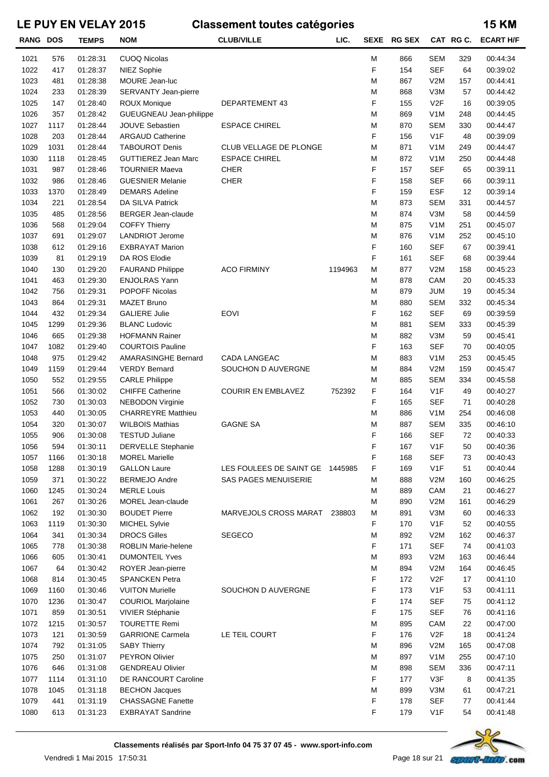| <b>RANG DOS</b> |      | <b>TEMPS</b> | <b>NOM</b>                 | <b>CLUB/VILLE</b>               | LIC.    | <b>SEXE</b> | <b>RG SEX</b> |                  | CAT RG C. | <b>ECART H/F</b> |
|-----------------|------|--------------|----------------------------|---------------------------------|---------|-------------|---------------|------------------|-----------|------------------|
| 1021            | 576  | 01:28:31     | <b>CUOQ Nicolas</b>        |                                 |         | M           | 866           | <b>SEM</b>       | 329       | 00:44:34         |
| 1022            | 417  | 01:28:37     | NIEZ Sophie                |                                 |         | F           | 154           | <b>SEF</b>       | 64        | 00:39:02         |
| 1023            | 481  | 01:28:38     | MOURE Jean-luc             |                                 |         | M           | 867           | V2M              | 157       | 00:44:41         |
| 1024            | 233  | 01:28:39     | SERVANTY Jean-pierre       |                                 |         | M           | 868           | V3M              | 57        | 00:44:42         |
| 1025            | 147  | 01:28:40     | <b>ROUX Monique</b>        | DEPARTEMENT 43                  |         | F           | 155           | V2F              | 16        | 00:39:05         |
| 1026            | 357  | 01:28:42     | GUEUGNEAU Jean-philippe    |                                 |         | M           | 869           | V <sub>1</sub> M | 248       | 00:44:45         |
| 1027            | 1117 | 01:28:44     | <b>JOUVE Sebastien</b>     | <b>ESPACE CHIREL</b>            |         | M           | 870           | <b>SEM</b>       | 330       | 00:44:47         |
| 1028            | 203  | 01:28:44     | <b>ARGAUD Catherine</b>    |                                 |         | F           | 156           | V <sub>1</sub> F | 48        | 00:39:09         |
| 1029            | 1031 | 01:28:44     | <b>TABOUROT Denis</b>      | CLUB VELLAGE DE PLONGE          |         | M           | 871           | V <sub>1</sub> M | 249       | 00:44:47         |
| 1030            | 1118 | 01:28:45     | <b>GUTTIEREZ Jean Marc</b> | <b>ESPACE CHIREL</b>            |         | M           | 872           | V <sub>1</sub> M | 250       | 00:44:48         |
| 1031            | 987  | 01:28:46     | <b>TOURNIER Maeva</b>      | <b>CHER</b>                     |         | F           | 157           | <b>SEF</b>       | 65        | 00:39:11         |
| 1032            | 986  | 01:28:46     | <b>GUESNIER Melanie</b>    | <b>CHER</b>                     |         | F           | 158           | <b>SEF</b>       | 66        | 00:39:11         |
| 1033            | 1370 | 01:28:49     | <b>DEMARS Adeline</b>      |                                 |         | F           | 159           | <b>ESF</b>       | 12        | 00:39:14         |
| 1034            | 221  | 01:28:54     | DA SILVA Patrick           |                                 |         | M           | 873           | <b>SEM</b>       | 331       | 00:44:57         |
| 1035            | 485  | 01:28:56     | <b>BERGER Jean-claude</b>  |                                 |         | M           | 874           | V3M              | 58        | 00:44:59         |
| 1036            | 568  | 01:29:04     | <b>COFFY Thierry</b>       |                                 |         | M           | 875           | V <sub>1</sub> M | 251       | 00:45:07         |
| 1037            | 691  | 01:29:07     | <b>LANDRIOT Jerome</b>     |                                 |         | M           | 876           | V <sub>1</sub> M | 252       | 00:45:10         |
| 1038            | 612  | 01:29:16     | <b>EXBRAYAT Marion</b>     |                                 |         | F           | 160           | <b>SEF</b>       | 67        | 00:39:41         |
| 1039            | 81   | 01:29:19     | DA ROS Elodie              |                                 |         | F           | 161           | <b>SEF</b>       | 68        | 00:39:44         |
| 1040            | 130  | 01:29:20     | <b>FAURAND Philippe</b>    | <b>ACO FIRMINY</b>              | 1194963 | M           | 877           | V2M              | 158       | 00:45:23         |
| 1041            | 463  | 01:29:30     | <b>ENJOLRAS Yann</b>       |                                 |         | M           | 878           | CAM              | 20        | 00:45:33         |
| 1042            | 756  | 01:29:31     | <b>POPOFF Nicolas</b>      |                                 |         | M           | 879           | <b>JUM</b>       | 19        | 00:45:34         |
| 1043            | 864  | 01:29:31     | <b>MAZET Bruno</b>         |                                 |         | M           | 880           | <b>SEM</b>       | 332       | 00:45:34         |
| 1044            | 432  | 01:29:34     | <b>GALIERE Julie</b>       | <b>EOVI</b>                     |         | F           | 162           | <b>SEF</b>       | 69        | 00:39:59         |
| 1045            | 1299 | 01:29:36     | <b>BLANC Ludovic</b>       |                                 |         | M           | 881           | <b>SEM</b>       | 333       | 00:45:39         |
| 1046            | 665  | 01:29:38     | <b>HOFMANN Rainer</b>      |                                 |         | M           | 882           | V3M              | 59        | 00:45:41         |
| 1047            | 1082 | 01:29:40     | <b>COURTOIS Pauline</b>    |                                 |         | F           | 163           | <b>SEF</b>       | 70        | 00:40:05         |
| 1048            | 975  | 01:29:42     | <b>AMARASINGHE Bernard</b> | CADA LANGEAC                    |         | M           | 883           | V <sub>1</sub> M | 253       | 00:45:45         |
| 1049            | 1159 | 01:29:44     | <b>VERDY Bernard</b>       | SOUCHON D AUVERGNE              |         | M           | 884           | V2M              | 159       | 00:45:47         |
| 1050            | 552  | 01:29:55     | <b>CARLE Philippe</b>      |                                 |         | M           | 885           | <b>SEM</b>       | 334       | 00:45:58         |
| 1051            | 566  | 01:30:02     | <b>CHIFFE Catherine</b>    | <b>COURIR EN EMBLAVEZ</b>       | 752392  | F           | 164           | V <sub>1</sub> F | 49        | 00:40:27         |
| 1052            | 730  | 01:30:03     | <b>NEBODON Virginie</b>    |                                 |         | F           | 165           | <b>SEF</b>       | 71        | 00:40:28         |
| 1053            | 440  | 01:30:05     | <b>CHARREYRE Matthieu</b>  |                                 |         | M           | 886           | V <sub>1</sub> M | 254       | 00:46:08         |
| 1054            | 320  | 01:30:07     | <b>WILBOIS Mathias</b>     | <b>GAGNE SA</b>                 |         | M           | 887           | <b>SEM</b>       | 335       | 00:46:10         |
| 1055            | 906  | 01:30:08     | <b>TESTUD Juliane</b>      |                                 |         | F           | 166           | <b>SEF</b>       | 72        | 00:40:33         |
| 1056            | 594  | 01:30:11     | <b>DERVELLE Stephanie</b>  |                                 |         | F           | 167           | V <sub>1</sub> F | 50        | 00:40:36         |
| 1057            | 1166 | 01:30:18     | <b>MOREL Marielle</b>      |                                 |         | F           | 168           | <b>SEF</b>       | 73        | 00:40:43         |
| 1058            | 1288 | 01:30:19     | <b>GALLON Laure</b>        | LES FOULEES DE SAINT GE 1445985 |         | F           | 169           | V <sub>1</sub> F | 51        | 00:40:44         |
| 1059            | 371  | 01:30:22     | <b>BERMEJO Andre</b>       | <b>SAS PAGES MENUISERIE</b>     |         | M           | 888           | V2M              | 160       | 00:46:25         |
| 1060            | 1245 | 01:30:24     | <b>MERLE Louis</b>         |                                 |         | M           | 889           | CAM              | 21        | 00:46:27         |
| 1061            | 267  | 01:30:26     | MOREL Jean-claude          |                                 |         | M           | 890           | V2M              | 161       | 00:46:29         |
| 1062            | 192  | 01:30:30     | <b>BOUDET Pierre</b>       | MARVEJOLS CROSS MARAT           | 238803  | M           | 891           | V3M              | 60        | 00:46:33         |
| 1063            | 1119 | 01:30:30     | MICHEL Sylvie              |                                 |         | F           | 170           | V <sub>1</sub> F | 52        | 00:40:55         |
| 1064            | 341  | 01:30:34     | <b>DROCS Gilles</b>        | <b>SEGECO</b>                   |         | M           | 892           | V2M              | 162       | 00:46:37         |
| 1065            | 778  | 01:30:38     | <b>ROBLIN Marie-helene</b> |                                 |         | F           | 171           | <b>SEF</b>       | 74        | 00:41:03         |
| 1066            | 605  | 01:30:41     | <b>DUMONTEIL Yves</b>      |                                 |         | M           | 893           | V2M              | 163       | 00:46:44         |
| 1067            | 64   | 01:30:42     | ROYER Jean-pierre          |                                 |         | M           | 894           | V2M              | 164       | 00:46:45         |
| 1068            | 814  | 01:30:45     | <b>SPANCKEN Petra</b>      |                                 |         | F           | 172           | V <sub>2</sub> F | 17        | 00:41:10         |
| 1069            | 1160 | 01:30:46     | <b>VUITON Murielle</b>     | SOUCHON D AUVERGNE              |         | F           | 173           | V <sub>1</sub> F | 53        | 00:41:11         |
| 1070            | 1236 | 01:30:47     | <b>COURIOL Marjolaine</b>  |                                 |         | F           | 174           | <b>SEF</b>       | 75        | 00:41:12         |
| 1071            | 859  | 01:30:51     | VIVIER Stéphanie           |                                 |         | F           | 175           | SEF              | 76        | 00:41:16         |
| 1072            | 1215 | 01:30:57     | <b>TOURETTE Remi</b>       |                                 |         | M           | 895           | CAM              | 22        | 00:47:00         |
| 1073            | 121  | 01:30:59     | <b>GARRIONE Carmela</b>    | LE TEIL COURT                   |         | F           | 176           | V2F              | 18        | 00:41:24         |
| 1074            | 792  | 01:31:05     | <b>SABY Thierry</b>        |                                 |         | M           | 896           | V2M              | 165       | 00:47:08         |
| 1075            | 250  | 01:31:07     | <b>PEYRON Olivier</b>      |                                 |         | M           | 897           | V <sub>1</sub> M | 255       | 00:47:10         |
| 1076            | 646  | 01:31:08     | <b>GENDREAU Olivier</b>    |                                 |         | M           | 898           | <b>SEM</b>       | 336       | 00:47:11         |
| 1077            | 1114 | 01:31:10     | DE RANCOURT Caroline       |                                 |         | F           | 177           | V3F              | 8         | 00:41:35         |
| 1078            | 1045 | 01:31:18     | <b>BECHON Jacques</b>      |                                 |         | M           | 899           | V3M              | 61        | 00:47:21         |
| 1079            | 441  | 01:31:19     | <b>CHASSAGNE Fanette</b>   |                                 |         | F           | 178           | <b>SEF</b>       | 77        | 00:41:44         |
| 1080            | 613  | 01:31:23     | <b>EXBRAYAT Sandrine</b>   |                                 |         | F           | 179           | V <sub>1</sub> F | 54        | 00:41:48         |

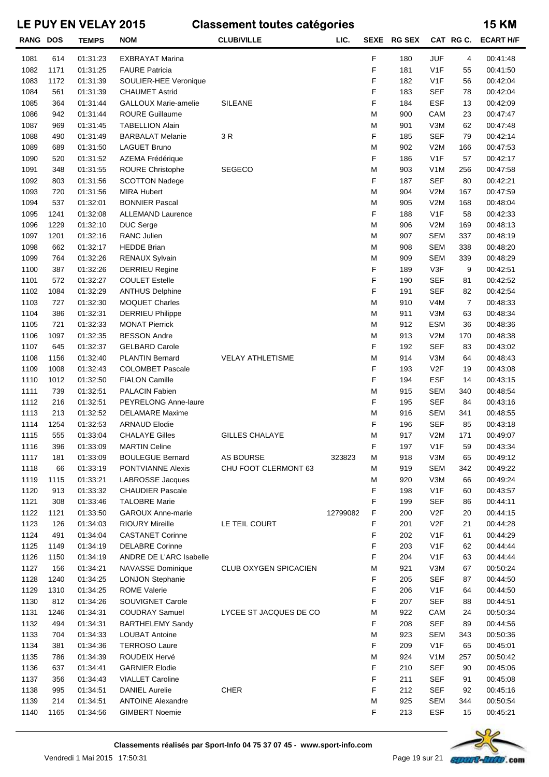| <b>RANG DOS</b> |      | <b>TEMPS</b> | <b>NOM</b>                  | <b>CLUB/VILLE</b>       | LIC.     | <b>SEXE</b> | <b>RG SEX</b> |                  | CAT RGC.       | <b>ECART H/F</b> |
|-----------------|------|--------------|-----------------------------|-------------------------|----------|-------------|---------------|------------------|----------------|------------------|
| 1081            | 614  | 01:31:23     | <b>EXBRAYAT Marina</b>      |                         |          | F           | 180           | <b>JUF</b>       | 4              | 00:41:48         |
| 1082            | 1171 | 01:31:25     | <b>FAURE Patricia</b>       |                         |          | F           | 181           | V <sub>1</sub> F | 55             | 00:41:50         |
| 1083            | 1172 | 01:31:39     | SOULIER-HEE Veronique       |                         |          | F           | 182           | V <sub>1</sub> F | 56             | 00:42:04         |
| 1084            | 561  | 01:31:39     | <b>CHAUMET Astrid</b>       |                         |          | F           | 183           | <b>SEF</b>       | 78             | 00:42:04         |
| 1085            | 364  | 01:31:44     | <b>GALLOUX Marie-amelie</b> | <b>SILEANE</b>          |          | F           | 184           | <b>ESF</b>       | 13             | 00:42:09         |
| 1086            | 942  | 01:31:44     | <b>ROURE Guillaume</b>      |                         |          | M           | 900           | CAM              | 23             | 00:47:47         |
| 1087            | 969  | 01:31:45     | <b>TABELLION Alain</b>      |                         |          | M           | 901           | V3M              | 62             | 00:47:48         |
| 1088            | 490  | 01:31:49     | <b>BARBALAT Melanie</b>     | 3R                      |          | F           | 185           | <b>SEF</b>       | 79             | 00:42:14         |
| 1089            | 689  | 01:31:50     | <b>LAGUET Bruno</b>         |                         |          | M           | 902           | V2M              | 166            | 00:47:53         |
| 1090            | 520  | 01:31:52     | AZEMA Frédérique            |                         |          | F           | 186           | V <sub>1</sub> F | 57             | 00:42:17         |
| 1091            | 348  | 01:31:55     | ROURE Christophe            | <b>SEGECO</b>           |          | M           | 903           | V <sub>1</sub> M | 256            | 00:47:58         |
| 1092            | 803  | 01:31:56     | <b>SCOTTON Nadege</b>       |                         |          | F           | 187           | <b>SEF</b>       | 80             | 00:42:21         |
| 1093            | 720  | 01:31:56     | <b>MIRA Hubert</b>          |                         |          | M           | 904           | V2M              | 167            | 00:47:59         |
| 1094            | 537  | 01:32:01     | <b>BONNIER Pascal</b>       |                         |          | M           | 905           | V2M              | 168            | 00:48:04         |
| 1095            | 1241 | 01:32:08     | <b>ALLEMAND Laurence</b>    |                         |          | F           | 188           | V <sub>1</sub> F | 58             | 00:42:33         |
| 1096            | 1229 | 01:32:10     | DUC Serge                   |                         |          | M           | 906           | V2M              | 169            | 00:48:13         |
| 1097            | 1201 | 01:32:16     | <b>RANC Julien</b>          |                         |          | M           | 907           | <b>SEM</b>       | 337            | 00:48:19         |
| 1098            | 662  | 01:32:17     | <b>HEDDE Brian</b>          |                         |          | M           | 908           | <b>SEM</b>       | 338            | 00:48:20         |
| 1099            | 764  | 01:32:26     | RENAUX Sylvain              |                         |          | M           | 909           | <b>SEM</b>       | 339            | 00:48:29         |
| 1100            | 387  | 01:32:26     | <b>DERRIEU Regine</b>       |                         |          | F           | 189           | V3F              | 9              | 00:42:51         |
| 1101            | 572  | 01:32:27     | <b>COULET Estelle</b>       |                         |          | F           | 190           | <b>SEF</b>       | 81             | 00:42:52         |
| 1102            | 1084 | 01:32:29     | <b>ANTHUS Delphine</b>      |                         |          | F           | 191           | <b>SEF</b>       | 82             | 00:42:54         |
| 1103            | 727  | 01:32:30     | <b>MOQUET Charles</b>       |                         |          | M           | 910           | V <sub>4</sub> M | $\overline{7}$ | 00:48:33         |
| 1104            | 386  | 01:32:31     | <b>DERRIEU Philippe</b>     |                         |          | M           | 911           | V3M              | 63             | 00:48:34         |
| 1105            | 721  | 01:32:33     | <b>MONAT Pierrick</b>       |                         |          | M           | 912           | <b>ESM</b>       | 36             | 00:48:36         |
| 1106            | 1097 | 01:32:35     | <b>BESSON Andre</b>         |                         |          | M           | 913           | V2M              | 170            | 00:48:38         |
| 1107            | 645  | 01:32:37     | <b>GELBARD Carole</b>       |                         |          | F           | 192           | <b>SEF</b>       | 83             | 00:43:02         |
| 1108            | 1156 | 01:32:40     | <b>PLANTIN Bernard</b>      | <b>VELAY ATHLETISME</b> |          | M           | 914           | V3M              | 64             | 00:48:43         |
| 1109            | 1008 | 01:32:43     | <b>COLOMBET Pascale</b>     |                         |          | F           | 193           | V <sub>2</sub> F | 19             | 00:43:08         |
| 1110            | 1012 | 01:32:50     | <b>FIALON Camille</b>       |                         |          | F           | 194           | <b>ESF</b>       | 14             | 00:43:15         |
| 1111            | 739  | 01:32:51     | <b>PALACIN Fabien</b>       |                         |          | M           | 915           | <b>SEM</b>       | 340            | 00:48:54         |
| 1112            | 216  | 01:32:51     | PEYRELONG Anne-laure        |                         |          | F           | 195           | <b>SEF</b>       | 84             | 00:43:16         |
| 1113            | 213  | 01:32:52     | <b>DELAMARE Maxime</b>      |                         |          | M           | 916           | <b>SEM</b>       | 341            | 00:48:55         |
| 1114            | 1254 | 01:32:53     | <b>ARNAUD Elodie</b>        |                         |          | F           | 196           | <b>SEF</b>       | 85             | 00:43:18         |
| 1115            | 555  | 01:33:04     | <b>CHALAYE Gilles</b>       | <b>GILLES CHALAYE</b>   |          | M           | 917           | V2M              | 171            | 00:49:07         |
| 1116            | 396  | 01:33:09     | <b>MARTIN Celine</b>        |                         |          | F           | 197           | V <sub>1</sub> F | 59             | 00:43:34         |
| 1117            | 181  | 01:33:09     | <b>BOULEGUE Bernard</b>     | AS BOURSE               | 323823   | M           | 918           | V3M              | 65             | 00:49:12         |
| 1118            | 66   | 01:33:19     | <b>PONTVIANNE Alexis</b>    | CHU FOOT CLERMONT 63    |          | М           | 919           | <b>SEM</b>       | 342            | 00:49:22         |
| 1119            | 1115 | 01:33:21     | <b>LABROSSE Jacques</b>     |                         |          | M           | 920           | V3M              | 66             | 00:49:24         |
| 1120            | 913  | 01:33:32     | <b>CHAUDIER Pascale</b>     |                         |          | F           | 198           | V <sub>1</sub> F | 60             | 00:43:57         |
| 1121            | 308  | 01:33:46     | <b>TALOBRE Marie</b>        |                         |          | F           | 199           | <b>SEF</b>       | 86             | 00:44:11         |
| 1122            | 1121 | 01:33:50     | <b>GAROUX Anne-marie</b>    |                         | 12799082 | F           | 200           | V <sub>2</sub> F | 20             | 00:44:15         |
| 1123            | 126  | 01:34:03     | <b>RIOURY Mireille</b>      | LE TEIL COURT           |          | F           | 201           | V <sub>2</sub> F | 21             | 00:44:28         |
| 1124            | 491  | 01:34:04     | <b>CASTANET Corinne</b>     |                         |          | F           | 202           | V <sub>1</sub> F | 61             | 00:44:29         |
| 1125            | 1149 | 01:34:19     | <b>DELABRE Corinne</b>      |                         |          | F           | 203           | V <sub>1</sub> F | 62             | 00:44:44         |
| 1126            | 1150 | 01:34:19     | ANDRE DE L'ARC Isabelle     |                         |          | F           | 204           | V <sub>1</sub> F | 63             | 00:44:44         |
| 1127            | 156  | 01:34:21     | <b>NAVASSE Dominique</b>    | CLUB OXYGEN SPICACIEN   |          | M           | 921           | V3M              | 67             | 00:50:24         |
| 1128            | 1240 | 01:34:25     | <b>LONJON Stephanie</b>     |                         |          | F           | 205           | <b>SEF</b>       | 87             | 00:44:50         |
| 1129            | 1310 | 01:34:25     | <b>ROME Valerie</b>         |                         |          | F           | 206           | V <sub>1</sub> F | 64             | 00:44:50         |
| 1130            | 812  | 01:34:26     | SOUVIGNET Carole            |                         |          | F           | 207           | <b>SEF</b>       | 88             | 00:44:51         |
| 1131            | 1246 | 01:34:31     | <b>COUDRAY Samuel</b>       | LYCEE ST JACQUES DE CO  |          | M           | 922           | CAM              | 24             | 00:50:34         |
| 1132            | 494  | 01:34:31     | <b>BARTHELEMY Sandy</b>     |                         |          | F           | 208           | <b>SEF</b>       | 89             | 00:44:56         |
| 1133            | 704  | 01:34:33     | <b>LOUBAT Antoine</b>       |                         |          | M           | 923           | <b>SEM</b>       | 343            | 00:50:36         |
| 1134            | 381  | 01:34:36     | <b>TERROSO Laure</b>        |                         |          | F           | 209           | V <sub>1</sub> F | 65             | 00:45:01         |
| 1135            | 786  | 01:34:39     | ROUDEIX Hervé               |                         |          | M           | 924           | V <sub>1</sub> M | 257            | 00:50:42         |
| 1136            | 637  | 01:34:41     | <b>GARNIER Elodie</b>       |                         |          | F           | 210           | <b>SEF</b>       | 90             | 00:45:06         |
| 1137            | 356  | 01:34:43     | <b>VIALLET Caroline</b>     |                         |          | F           | 211           | SEF              | 91             | 00:45:08         |
| 1138            | 995  | 01:34:51     | <b>DANIEL Aurelie</b>       | <b>CHER</b>             |          | F           | 212           | SEF              | 92             | 00:45:16         |
| 1139            | 214  | 01:34:51     | <b>ANTOINE Alexandre</b>    |                         |          | M           | 925           | <b>SEM</b>       | 344            | 00:50:54         |
| 1140            | 1165 | 01:34:56     | <b>GIMBERT Noemie</b>       |                         |          | F           | 213           | ESF              | 15             | 00:45:21         |
|                 |      |              |                             |                         |          |             |               |                  |                |                  |



Vendredi 1 Mai 2015 17:50:31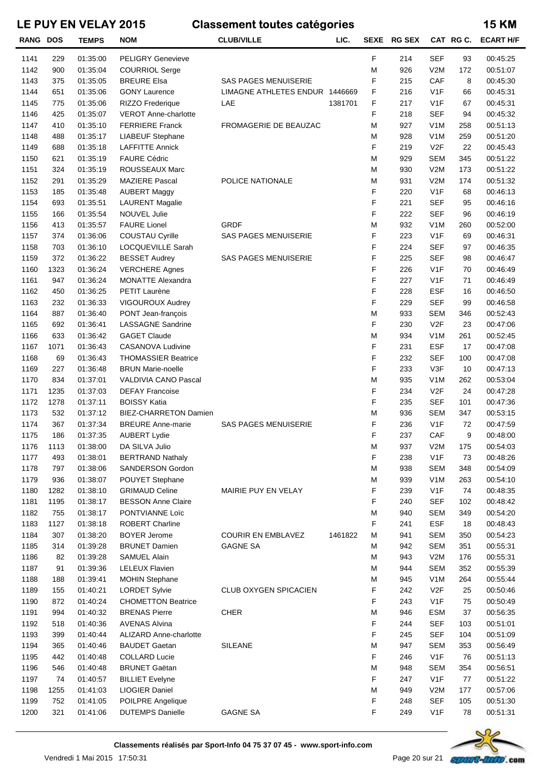| <b>RANG DOS</b> |      | <b>TEMPS</b> | <b>NOM</b>                    | <b>CLUB/VILLE</b>              | LIC.    | <b>SEXE</b> | <b>RG SEX</b> |                  | CAT RG C. | <b>ECART H/F</b> |
|-----------------|------|--------------|-------------------------------|--------------------------------|---------|-------------|---------------|------------------|-----------|------------------|
| 1141            | 229  | 01:35:00     | <b>PELIGRY Genevieve</b>      |                                |         | F           | 214           | <b>SEF</b>       | 93        | 00:45:25         |
| 1142            | 900  | 01:35:04     | <b>COURRIOL Serge</b>         |                                |         | M           | 926           | V2M              | 172       | 00:51:07         |
| 1143            | 375  | 01:35:05     | <b>BREURE Elsa</b>            | SAS PAGES MENUISERIE           |         | F           | 215           | CAF              | 8         | 00:45:30         |
| 1144            | 651  | 01:35:06     | <b>GONY Laurence</b>          | LIMAGNE ATHLETES ENDUR 1446669 |         | F           | 216           | V1F              | 66        | 00:45:31         |
| 1145            | 775  | 01:35:06     | <b>RIZZO Frederique</b>       | LAE                            | 1381701 | F           | 217           | V1F              | 67        | 00:45:31         |
| 1146            | 425  | 01:35:07     | <b>VEROT Anne-charlotte</b>   |                                |         | F           | 218           | <b>SEF</b>       | 94        | 00:45:32         |
| 1147            | 410  | 01:35:10     | <b>FERRIERE Franck</b>        | FROMAGERIE DE BEAUZAC          |         | M           | 927           | V <sub>1</sub> M | 258       | 00:51:13         |
| 1148            | 488  | 01:35:17     | LIABEUF Stephane              |                                |         | M           | 928           | V <sub>1</sub> M | 259       | 00:51:20         |
| 1149            | 688  | 01:35:18     | <b>LAFFITTE Annick</b>        |                                |         | F           | 219           | V <sub>2</sub> F | 22        | 00:45:43         |
| 1150            | 621  | 01:35:19     | <b>FAURE Cédric</b>           |                                |         | M           | 929           | <b>SEM</b>       | 345       | 00:51:22         |
| 1151            | 324  | 01:35:19     | ROUSSEAUX Marc                |                                |         | M           | 930           | V2M              | 173       | 00:51:22         |
| 1152            | 291  | 01:35:29     | <b>MAZIERE Pascal</b>         | POLICE NATIONALE               |         | M           | 931           | V2M              | 174       | 00:51:32         |
| 1153            | 185  | 01:35:48     | <b>AUBERT Maggy</b>           |                                |         | F           | 220           | V1F              | 68        | 00:46:13         |
| 1154            | 693  | 01:35:51     | <b>LAURENT Magalie</b>        |                                |         | F           | 221           | <b>SEF</b>       | 95        | 00:46:16         |
| 1155            | 166  | 01:35:54     | <b>NOUVEL Julie</b>           |                                |         | F           | 222           | <b>SEF</b>       | 96        | 00:46:19         |
| 1156            | 413  | 01:35:57     | <b>FAURE Lionel</b>           | <b>GRDF</b>                    |         | M           | 932           | V <sub>1</sub> M | 260       | 00:52:00         |
| 1157            | 374  | 01:36:06     | <b>COUSTAU Cyrille</b>        | SAS PAGES MENUISERIE           |         | F           | 223           | V1F              | 69        | 00:46:31         |
| 1158            | 703  | 01:36:10     | LOCQUEVILLE Sarah             |                                |         | F           | 224           | <b>SEF</b>       | 97        | 00:46:35         |
| 1159            | 372  | 01:36:22     | <b>BESSET Audrey</b>          | <b>SAS PAGES MENUISERIE</b>    |         | F           | 225           | <b>SEF</b>       | 98        | 00:46:47         |
| 1160            | 1323 | 01:36:24     | <b>VERCHERE Agnes</b>         |                                |         | F           | 226           | V1F              | 70        | 00:46:49         |
| 1161            | 947  | 01:36:24     | <b>MONATTE Alexandra</b>      |                                |         | F           | 227           | V1F              | 71        | 00:46:49         |
| 1162            | 450  | 01:36:25     | PETIT Laurène                 |                                |         | F           | 228           | <b>ESF</b>       | 16        | 00:46:50         |
| 1163            | 232  | 01:36:33     | <b>VIGOUROUX Audrey</b>       |                                |         | F           | 229           | <b>SEF</b>       | 99        | 00:46:58         |
| 1164            | 887  | 01:36:40     | PONT Jean-françois            |                                |         | M           | 933           | <b>SEM</b>       | 346       | 00:52:43         |
| 1165            | 692  | 01:36:41     | LASSAGNE Sandrine             |                                |         | F           | 230           | V <sub>2F</sub>  | 23        | 00:47:06         |
| 1166            | 633  | 01:36:42     | <b>GAGET Claude</b>           |                                |         | M           | 934           | V <sub>1</sub> M | 261       | 00:52:45         |
| 1167            | 1071 | 01:36:43     | <b>CASANOVA Ludivine</b>      |                                |         | F           | 231           | <b>ESF</b>       | 17        | 00:47:08         |
| 1168            | 69   | 01:36:43     | <b>THOMASSIER Beatrice</b>    |                                |         | F           | 232           | <b>SEF</b>       | 100       | 00:47:08         |
| 1169            | 227  | 01:36:48     | <b>BRUN Marie-noelle</b>      |                                |         | F           | 233           | V3F              | 10        | 00:47:13         |
| 1170            | 834  | 01:37:01     | VALDIVIA CANO Pascal          |                                |         | M           | 935           | V <sub>1</sub> M | 262       | 00:53:04         |
| 1171            | 1235 | 01:37:03     | <b>DEFAY Francoise</b>        |                                |         | F           | 234           | V <sub>2</sub> F | 24        | 00:47:28         |
| 1172            | 1278 | 01:37:11     | <b>BOISSY Katia</b>           |                                |         | F           | 235           | <b>SEF</b>       | 101       | 00:47:36         |
| 1173            | 532  | 01:37:12     | <b>BIEZ-CHARRETON Damien</b>  |                                |         | M           | 936           | <b>SEM</b>       | 347       | 00:53:15         |
| 1174            | 367  | 01:37:34     | <b>BREURE Anne-marie</b>      | <b>SAS PAGES MENUISERIE</b>    |         | F           | 236           | V1F              | 72        | 00:47:59         |
| 1175            | 186  | 01:37:35     | <b>AUBERT Lydie</b>           |                                |         | F           | 237           | CAF              | 9         | 00:48:00         |
| 1176            | 1113 | 01:38:00     | DA SILVA Julio                |                                |         | M           | 937           | V2M              | 175       | 00:54:03         |
| 1177            | 493  | 01:38:01     | <b>BERTRAND Nathaly</b>       |                                |         | F           | 238           | V <sub>1</sub> F | 73        | 00:48:26         |
| 1178            | 797  | 01:38:06     | <b>SANDERSON Gordon</b>       |                                |         | M           | 938           | <b>SEM</b>       | 348       | 00:54:09         |
| 1179            | 936  | 01:38:07     | POUYET Stephane               |                                |         | M           | 939           | V <sub>1</sub> M | 263       | 00:54:10         |
| 1180            | 1282 | 01:38:10     | <b>GRIMAUD Celine</b>         | MAIRIE PUY EN VELAY            |         | F           | 239           | V <sub>1</sub> F | 74        | 00:48:35         |
| 1181            | 1195 | 01:38:17     | <b>BESSON Anne Claire</b>     |                                |         | F           | 240           | <b>SEF</b>       | 102       | 00:48:42         |
| 1182            | 755  | 01:38:17     | PONTVIANNE Loïc               |                                |         | M           | 940           | <b>SEM</b>       | 349       | 00:54:20         |
| 1183            | 1127 | 01:38:18     | <b>ROBERT Charline</b>        |                                |         | F           | 241           | <b>ESF</b>       | 18        | 00:48:43         |
| 1184            | 307  | 01:38:20     | <b>BOYER Jerome</b>           | <b>COURIR EN EMBLAVEZ</b>      | 1461822 | M           | 941           | <b>SEM</b>       | 350       | 00:54:23         |
| 1185            | 314  | 01:39:28     | <b>BRUNET Damien</b>          | <b>GAGNE SA</b>                |         | M           | 942           | <b>SEM</b>       | 351       | 00:55:31         |
| 1186            | 82   | 01:39:28     | <b>SAMUEL Alain</b>           |                                |         | M           | 943           | V2M              | 176       | 00:55:31         |
| 1187            | 91   | 01:39:36     | <b>LELEUX Flavien</b>         |                                |         | M           | 944           | <b>SEM</b>       | 352       | 00:55:39         |
| 1188            | 188  | 01:39:41     | <b>MOHIN Stephane</b>         |                                |         | M           | 945           | V <sub>1</sub> M | 264       | 00:55:44         |
| 1189            | 155  | 01:40:21     | <b>LORDET Sylvie</b>          | CLUB OXYGEN SPICACIEN          |         | F           | 242           | V2F              | 25        | 00:50:46         |
| 1190            | 872  | 01:40:24     | <b>CHOMETTON Beatrice</b>     |                                |         | F           | 243           | V <sub>1</sub> F | 75        | 00:50:49         |
| 1191            | 994  | 01:40:32     | <b>BRENAS Pierre</b>          | <b>CHER</b>                    |         | M           | 946           | <b>ESM</b>       | 37        | 00:56:35         |
| 1192            | 518  | 01:40:36     | <b>AVENAS Alvina</b>          |                                |         | F           | 244           | <b>SEF</b>       | 103       | 00:51:01         |
| 1193            | 399  | 01:40:44     | <b>ALIZARD Anne-charlotte</b> |                                |         | F           | 245           | <b>SEF</b>       | 104       | 00:51:09         |
| 1194            | 365  | 01:40:46     | <b>BAUDET Gaetan</b>          | <b>SILEANE</b>                 |         | M           | 947           | <b>SEM</b>       | 353       | 00:56:49         |
| 1195            | 442  | 01:40:48     | <b>COLLARD Lucie</b>          |                                |         | F           | 246           | V <sub>1</sub> F | 76        | 00:51:13         |
| 1196            | 546  | 01:40:48     | <b>BRUNET Gaëtan</b>          |                                |         | M           | 948           | <b>SEM</b>       | 354       | 00:56:51         |
| 1197            | 74   | 01:40:57     | <b>BILLIET Evelyne</b>        |                                |         | F           | 247           | V <sub>1</sub> F | 77        | 00:51:22         |
| 1198            | 1255 | 01:41:03     | <b>LIOGIER Daniel</b>         |                                |         | M           | 949           | V2M              | 177       | 00:57:06         |
| 1199            | 752  | 01:41:05     | POILPRE Angelique             |                                |         | F           | 248           | <b>SEF</b>       | 105       | 00:51:30         |
| 1200            | 321  | 01:41:06     | <b>DUTEMPS Danielle</b>       | <b>GAGNE SA</b>                |         | F           | 249           | V <sub>1</sub> F | 78        | 00:51:31         |
|                 |      |              |                               |                                |         |             |               |                  |           |                  |